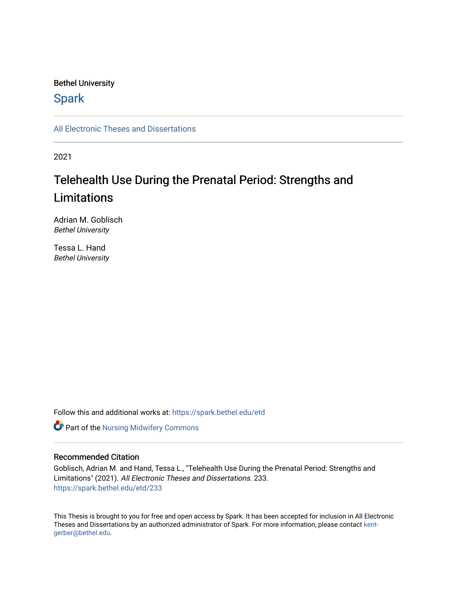# Bethel University

# **Spark**

[All Electronic Theses and Dissertations](https://spark.bethel.edu/etd) 

2021

# Telehealth Use During the Prenatal Period: Strengths and Limitations

Adrian M. Goblisch Bethel University

Tessa L. Hand Bethel University

Follow this and additional works at: [https://spark.bethel.edu/etd](https://spark.bethel.edu/etd?utm_source=spark.bethel.edu%2Fetd%2F233&utm_medium=PDF&utm_campaign=PDFCoverPages)

**Part of the Nursing Midwifery Commons** 

# Recommended Citation

Goblisch, Adrian M. and Hand, Tessa L., "Telehealth Use During the Prenatal Period: Strengths and Limitations" (2021). All Electronic Theses and Dissertations. 233. [https://spark.bethel.edu/etd/233](https://spark.bethel.edu/etd/233?utm_source=spark.bethel.edu%2Fetd%2F233&utm_medium=PDF&utm_campaign=PDFCoverPages)

This Thesis is brought to you for free and open access by Spark. It has been accepted for inclusion in All Electronic Theses and Dissertations by an authorized administrator of Spark. For more information, please contact [kent](mailto:kent-gerber@bethel.edu)[gerber@bethel.edu.](mailto:kent-gerber@bethel.edu)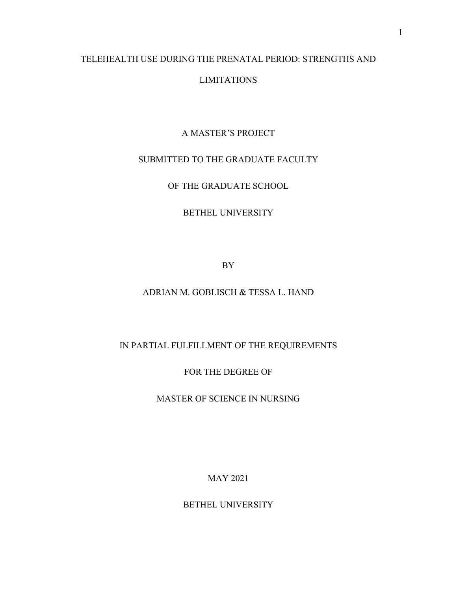# TELEHEALTH USE DURING THE PRENATAL PERIOD: STRENGTHS AND LIMITATIONS

# A MASTER'S PROJECT

# SUBMITTED TO THE GRADUATE FACULTY

OF THE GRADUATE SCHOOL

# BETHEL UNIVERSITY

BY

# ADRIAN M. GOBLISCH & TESSA L. HAND

# IN PARTIAL FULFILLMENT OF THE REQUIREMENTS

FOR THE DEGREE OF

MASTER OF SCIENCE IN NURSING

MAY 2021

BETHEL UNIVERSITY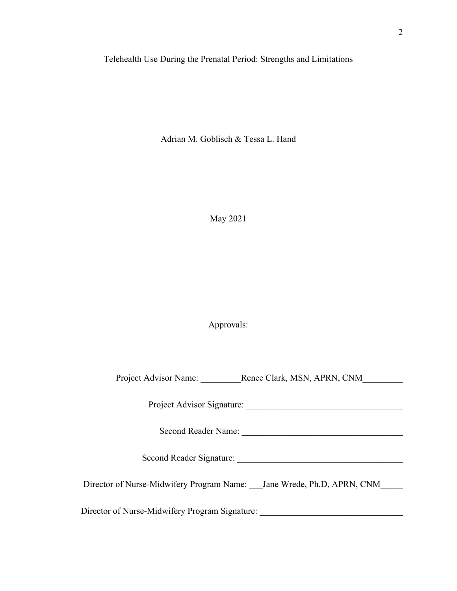Telehealth Use During the Prenatal Period: Strengths and Limitations

Adrian M. Goblisch & Tessa L. Hand

May 2021

Approvals:

Project Advisor Name: \_\_\_\_\_\_\_\_\_\_\_Renee Clark, MSN, APRN, CNM\_\_\_\_\_\_\_\_\_\_\_\_\_\_

Project Advisor Signature: \_\_\_\_\_\_\_\_\_\_\_\_\_\_\_\_\_\_\_\_\_\_\_\_\_\_\_\_\_\_\_\_\_\_\_

Second Reader Name: \_\_\_\_\_\_\_\_\_\_\_\_\_\_\_\_\_\_\_\_\_\_\_\_\_\_\_\_\_\_\_\_\_\_\_\_

Second Reader Signature: \_\_\_\_\_\_\_\_\_\_\_\_\_\_\_\_\_\_\_\_\_\_\_\_\_\_\_\_\_\_\_\_\_\_\_\_\_

Director of Nurse-Midwifery Program Name: Jane Wrede, Ph.D, APRN, CNM

Director of Nurse-Midwifery Program Signature: \_\_\_\_\_\_\_\_\_\_\_\_\_\_\_\_\_\_\_\_\_\_\_\_\_\_\_\_\_\_\_\_\_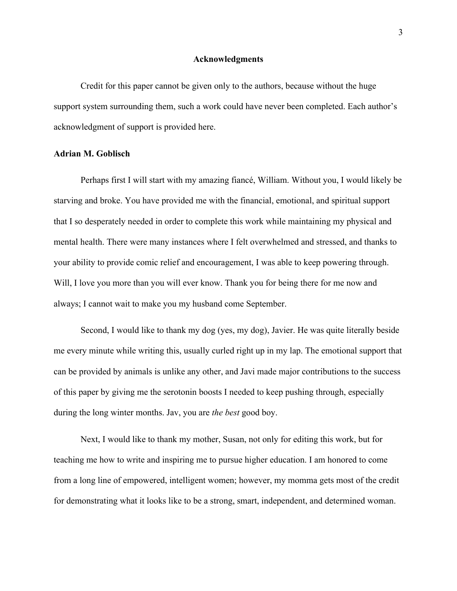#### **Acknowledgments**

Credit for this paper cannot be given only to the authors, because without the huge support system surrounding them, such a work could have never been completed. Each author's acknowledgment of support is provided here.

#### **Adrian M. Goblisch**

Perhaps first I will start with my amazing fiancé, William. Without you, I would likely be starving and broke. You have provided me with the financial, emotional, and spiritual support that I so desperately needed in order to complete this work while maintaining my physical and mental health. There were many instances where I felt overwhelmed and stressed, and thanks to your ability to provide comic relief and encouragement, I was able to keep powering through. Will, I love you more than you will ever know. Thank you for being there for me now and always; I cannot wait to make you my husband come September.

Second, I would like to thank my dog (yes, my dog), Javier. He was quite literally beside me every minute while writing this, usually curled right up in my lap. The emotional support that can be provided by animals is unlike any other, and Javi made major contributions to the success of this paper by giving me the serotonin boosts I needed to keep pushing through, especially during the long winter months. Jav, you are *the best* good boy.

Next, I would like to thank my mother, Susan, not only for editing this work, but for teaching me how to write and inspiring me to pursue higher education. I am honored to come from a long line of empowered, intelligent women; however, my momma gets most of the credit for demonstrating what it looks like to be a strong, smart, independent, and determined woman.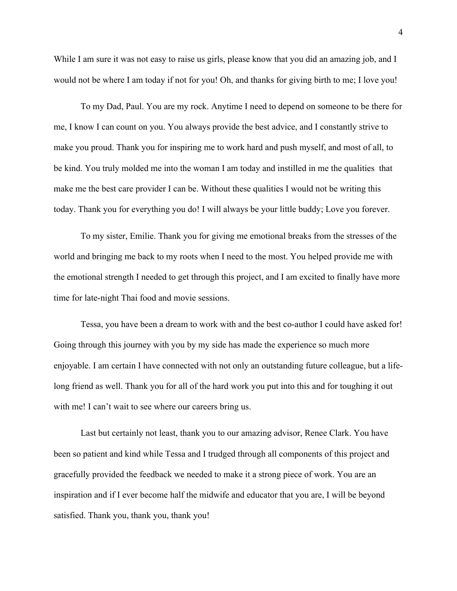While I am sure it was not easy to raise us girls, please know that you did an amazing job, and I would not be where I am today if not for you! Oh, and thanks for giving birth to me; I love you!

To my Dad, Paul. You are my rock. Anytime I need to depend on someone to be there for me, I know I can count on you. You always provide the best advice, and I constantly strive to make you proud. Thank you for inspiring me to work hard and push myself, and most of all, to be kind. You truly molded me into the woman I am today and instilled in me the qualities that make me the best care provider I can be. Without these qualities I would not be writing this today. Thank you for everything you do! I will always be your little buddy; Love you forever.

To my sister, Emilie. Thank you for giving me emotional breaks from the stresses of the world and bringing me back to my roots when I need to the most. You helped provide me with the emotional strength I needed to get through this project, and I am excited to finally have more time for late-night Thai food and movie sessions.

Tessa, you have been a dream to work with and the best co-author I could have asked for! Going through this journey with you by my side has made the experience so much more enjoyable. I am certain I have connected with not only an outstanding future colleague, but a lifelong friend as well. Thank you for all of the hard work you put into this and for toughing it out with me! I can't wait to see where our careers bring us.

Last but certainly not least, thank you to our amazing advisor, Renee Clark. You have been so patient and kind while Tessa and I trudged through all components of this project and gracefully provided the feedback we needed to make it a strong piece of work. You are an inspiration and if I ever become half the midwife and educator that you are, I will be beyond satisfied. Thank you, thank you, thank you!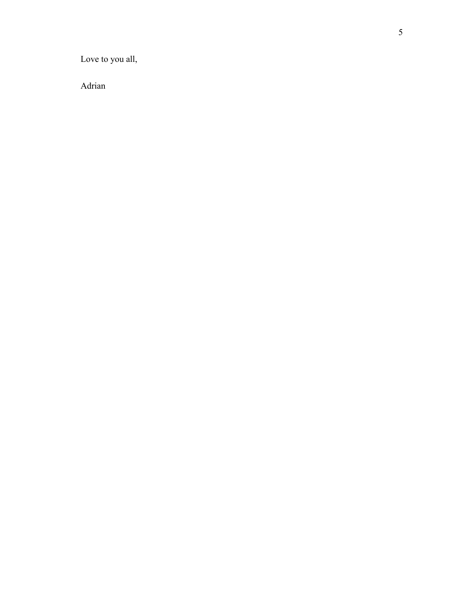Love to you all,

Adrian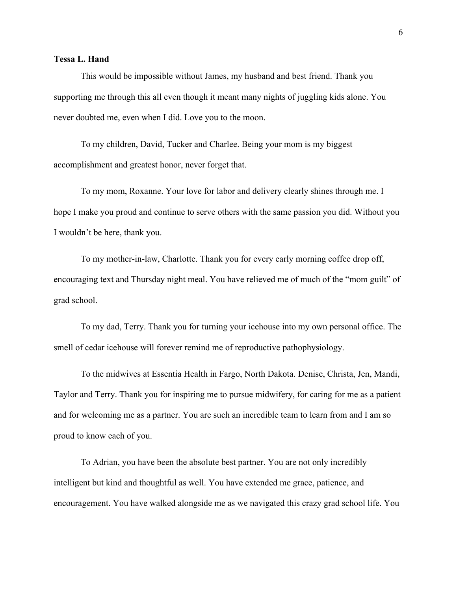# **Tessa L. Hand**

This would be impossible without James, my husband and best friend. Thank you supporting me through this all even though it meant many nights of juggling kids alone. You never doubted me, even when I did. Love you to the moon.

To my children, David, Tucker and Charlee. Being your mom is my biggest accomplishment and greatest honor, never forget that.

To my mom, Roxanne. Your love for labor and delivery clearly shines through me. I hope I make you proud and continue to serve others with the same passion you did. Without you I wouldn't be here, thank you.

To my mother-in-law, Charlotte. Thank you for every early morning coffee drop off, encouraging text and Thursday night meal. You have relieved me of much of the "mom guilt" of grad school.

To my dad, Terry. Thank you for turning your icehouse into my own personal office. The smell of cedar icehouse will forever remind me of reproductive pathophysiology.

To the midwives at Essentia Health in Fargo, North Dakota. Denise, Christa, Jen, Mandi, Taylor and Terry. Thank you for inspiring me to pursue midwifery, for caring for me as a patient and for welcoming me as a partner. You are such an incredible team to learn from and I am so proud to know each of you.

To Adrian, you have been the absolute best partner. You are not only incredibly intelligent but kind and thoughtful as well. You have extended me grace, patience, and encouragement. You have walked alongside me as we navigated this crazy grad school life. You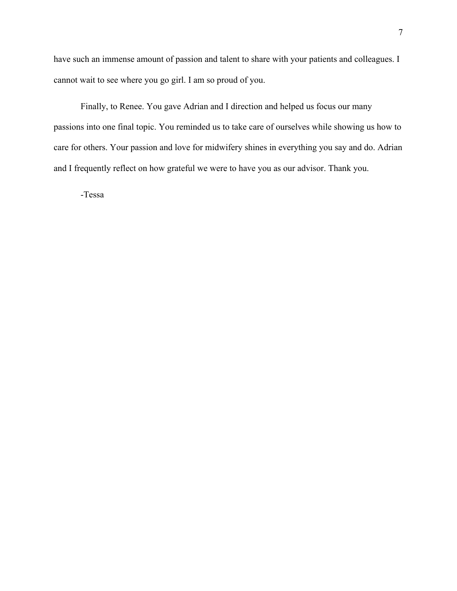have such an immense amount of passion and talent to share with your patients and colleagues. I cannot wait to see where you go girl. I am so proud of you.

Finally, to Renee. You gave Adrian and I direction and helped us focus our many passions into one final topic. You reminded us to take care of ourselves while showing us how to care for others. Your passion and love for midwifery shines in everything you say and do. Adrian and I frequently reflect on how grateful we were to have you as our advisor. Thank you.

-Tessa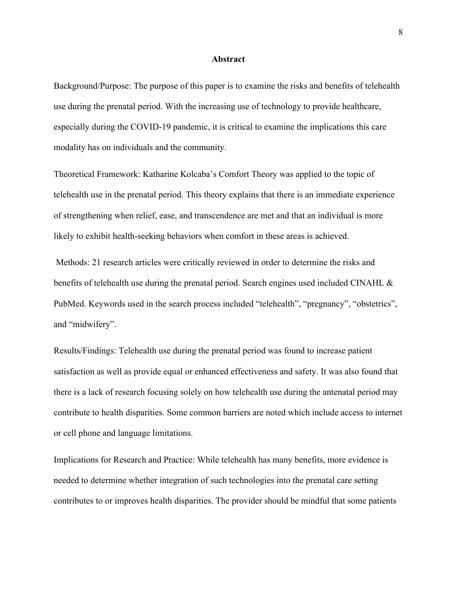#### **Abstract**

Background/Purpose: The purpose of this paper is to examine the risks and benefits of telehealth use during the prenatal period. With the increasing use of technology to provide healthcare, especially during the COVID-19 pandemic, it is critical to examine the implications this care modality has on individuals and the community.

Theoretical Framework: Katharine Kolcaba's Comfort Theory was applied to the topic of telehealth use in the prenatal period. This theory explains that there is an immediate experience of strengthening when relief, ease, and transcendence are met and that an individual is more likely to exhibit health-seeking behaviors when comfort in these areas is achieved.

Methods: 21 research articles were critically reviewed in order to determine the risks and benefits of telehealth use during the prenatal period. Search engines used included CINAHL & PubMed. Keywords used in the search process included "telehealth", "pregnancy", "obstetrics", and "midwifery".

Results/Findings: Telehealth use during the prenatal period was found to increase patient satisfaction as well as provide equal or enhanced effectiveness and safety. It was also found that there is a lack of research focusing solely on how telehealth use during the antenatal period may contribute to health disparities. Some common barriers are noted which include access to internet or cell phone and language limitations.

Implications for Research and Practice: While telehealth has many benefits, more evidence is needed to determine whether integration of such technologies into the prenatal care setting contributes to or improves health disparities. The provider should be mindful that some patients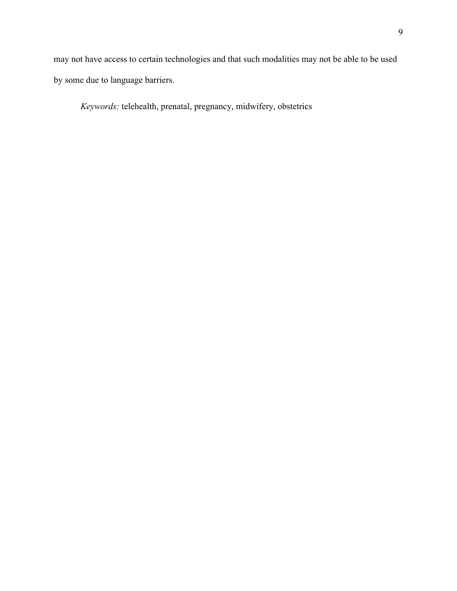may not have access to certain technologies and that such modalities may not be able to be used by some due to language barriers.

*Keywords:* telehealth, prenatal, pregnancy, midwifery, obstetrics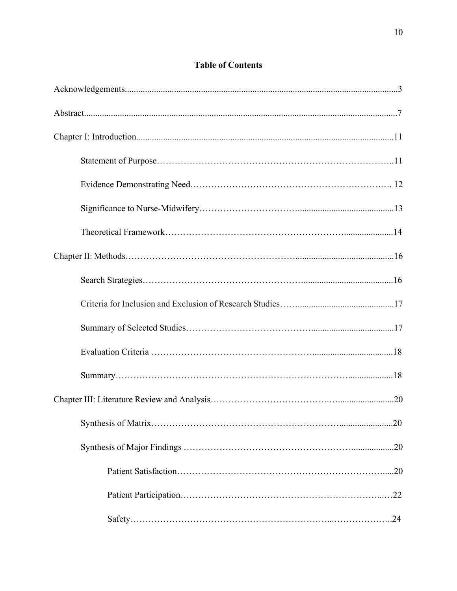# **Table of Contents**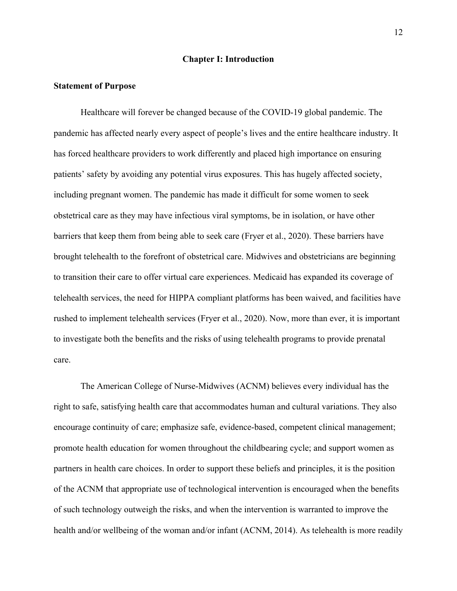#### **Chapter I: Introduction**

#### **Statement of Purpose**

Healthcare will forever be changed because of the COVID-19 global pandemic. The pandemic has affected nearly every aspect of people's lives and the entire healthcare industry. It has forced healthcare providers to work differently and placed high importance on ensuring patients' safety by avoiding any potential virus exposures. This has hugely affected society, including pregnant women. The pandemic has made it difficult for some women to seek obstetrical care as they may have infectious viral symptoms, be in isolation, or have other barriers that keep them from being able to seek care (Fryer et al., 2020). These barriers have brought telehealth to the forefront of obstetrical care. Midwives and obstetricians are beginning to transition their care to offer virtual care experiences. Medicaid has expanded its coverage of telehealth services, the need for HIPPA compliant platforms has been waived, and facilities have rushed to implement telehealth services (Fryer et al., 2020). Now, more than ever, it is important to investigate both the benefits and the risks of using telehealth programs to provide prenatal care.

The American College of Nurse-Midwives (ACNM) believes every individual has the right to safe, satisfying health care that accommodates human and cultural variations. They also encourage continuity of care; emphasize safe, evidence-based, competent clinical management; promote health education for women throughout the childbearing cycle; and support women as partners in health care choices. In order to support these beliefs and principles, it is the position of the ACNM that appropriate use of technological intervention is encouraged when the benefits of such technology outweigh the risks, and when the intervention is warranted to improve the health and/or wellbeing of the woman and/or infant (ACNM, 2014). As telehealth is more readily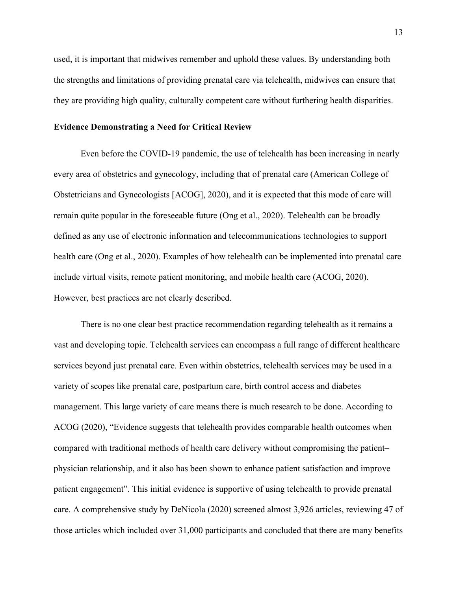used, it is important that midwives remember and uphold these values. By understanding both the strengths and limitations of providing prenatal care via telehealth, midwives can ensure that they are providing high quality, culturally competent care without furthering health disparities.

#### **Evidence Demonstrating a Need for Critical Review**

Even before the COVID-19 pandemic, the use of telehealth has been increasing in nearly every area of obstetrics and gynecology, including that of prenatal care (American College of Obstetricians and Gynecologists [ACOG], 2020), and it is expected that this mode of care will remain quite popular in the foreseeable future (Ong et al., 2020). Telehealth can be broadly defined as any use of electronic information and telecommunications technologies to support health care (Ong et al., 2020). Examples of how telehealth can be implemented into prenatal care include virtual visits, remote patient monitoring, and mobile health care (ACOG, 2020). However, best practices are not clearly described.

There is no one clear best practice recommendation regarding telehealth as it remains a vast and developing topic. Telehealth services can encompass a full range of different healthcare services beyond just prenatal care. Even within obstetrics, telehealth services may be used in a variety of scopes like prenatal care, postpartum care, birth control access and diabetes management. This large variety of care means there is much research to be done. According to ACOG (2020), "Evidence suggests that telehealth provides comparable health outcomes when compared with traditional methods of health care delivery without compromising the patient– physician relationship, and it also has been shown to enhance patient satisfaction and improve patient engagement". This initial evidence is supportive of using telehealth to provide prenatal care. A comprehensive study by DeNicola (2020) screened almost 3,926 articles, reviewing 47 of those articles which included over 31,000 participants and concluded that there are many benefits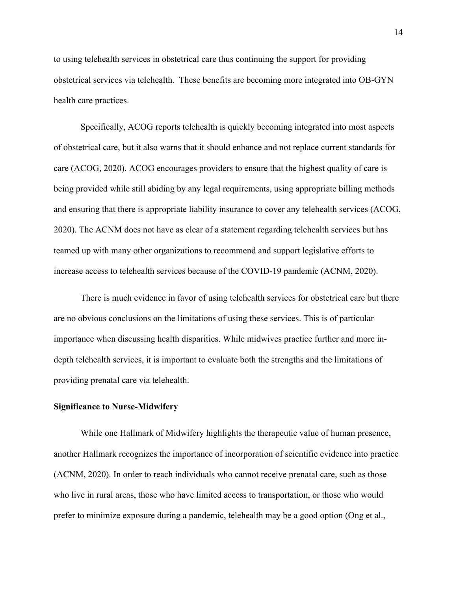to using telehealth services in obstetrical care thus continuing the support for providing obstetrical services via telehealth. These benefits are becoming more integrated into OB-GYN health care practices.

Specifically, ACOG reports telehealth is quickly becoming integrated into most aspects of obstetrical care, but it also warns that it should enhance and not replace current standards for care (ACOG, 2020). ACOG encourages providers to ensure that the highest quality of care is being provided while still abiding by any legal requirements, using appropriate billing methods and ensuring that there is appropriate liability insurance to cover any telehealth services (ACOG, 2020). The ACNM does not have as clear of a statement regarding telehealth services but has teamed up with many other organizations to recommend and support legislative efforts to increase access to telehealth services because of the COVID-19 pandemic (ACNM, 2020).

There is much evidence in favor of using telehealth services for obstetrical care but there are no obvious conclusions on the limitations of using these services. This is of particular importance when discussing health disparities. While midwives practice further and more indepth telehealth services, it is important to evaluate both the strengths and the limitations of providing prenatal care via telehealth.

#### **Significance to Nurse-Midwifery**

While one Hallmark of Midwifery highlights the therapeutic value of human presence, another Hallmark recognizes the importance of incorporation of scientific evidence into practice (ACNM, 2020). In order to reach individuals who cannot receive prenatal care, such as those who live in rural areas, those who have limited access to transportation, or those who would prefer to minimize exposure during a pandemic, telehealth may be a good option (Ong et al.,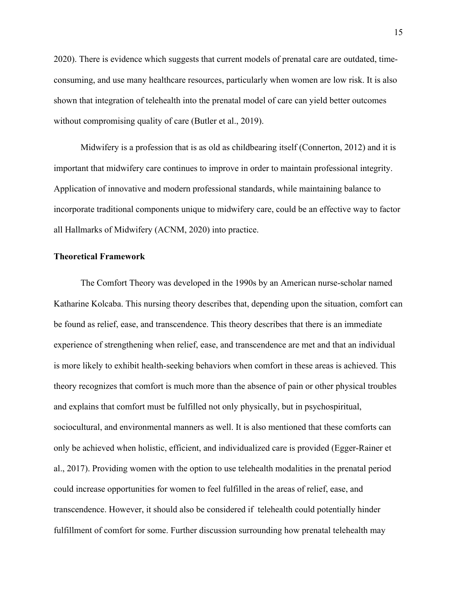2020). There is evidence which suggests that current models of prenatal care are outdated, timeconsuming, and use many healthcare resources, particularly when women are low risk. It is also shown that integration of telehealth into the prenatal model of care can yield better outcomes without compromising quality of care (Butler et al., 2019).

Midwifery is a profession that is as old as childbearing itself (Connerton, 2012) and it is important that midwifery care continues to improve in order to maintain professional integrity. Application of innovative and modern professional standards, while maintaining balance to incorporate traditional components unique to midwifery care, could be an effective way to factor all Hallmarks of Midwifery (ACNM, 2020) into practice.

#### **Theoretical Framework**

The Comfort Theory was developed in the 1990s by an American nurse-scholar named Katharine Kolcaba. This nursing theory describes that, depending upon the situation, comfort can be found as relief, ease, and transcendence. This theory describes that there is an immediate experience of strengthening when relief, ease, and transcendence are met and that an individual is more likely to exhibit health-seeking behaviors when comfort in these areas is achieved. This theory recognizes that comfort is much more than the absence of pain or other physical troubles and explains that comfort must be fulfilled not only physically, but in psychospiritual, sociocultural, and environmental manners as well. It is also mentioned that these comforts can only be achieved when holistic, efficient, and individualized care is provided (Egger-Rainer et al., 2017). Providing women with the option to use telehealth modalities in the prenatal period could increase opportunities for women to feel fulfilled in the areas of relief, ease, and transcendence. However, it should also be considered if telehealth could potentially hinder fulfillment of comfort for some. Further discussion surrounding how prenatal telehealth may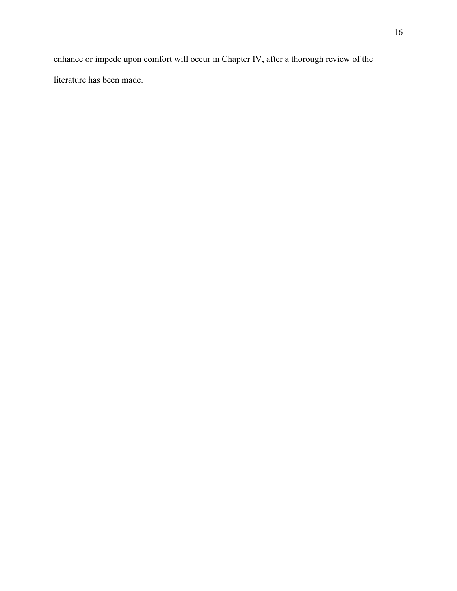enhance or impede upon comfort will occur in Chapter IV, after a thorough review of the literature has been made.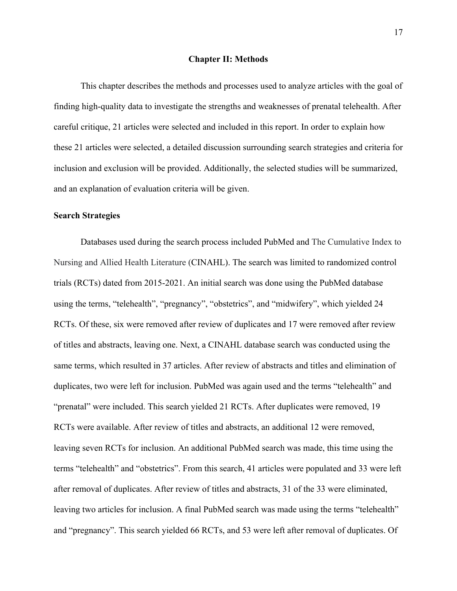#### **Chapter II: Methods**

This chapter describes the methods and processes used to analyze articles with the goal of finding high-quality data to investigate the strengths and weaknesses of prenatal telehealth. After careful critique, 21 articles were selected and included in this report. In order to explain how these 21 articles were selected, a detailed discussion surrounding search strategies and criteria for inclusion and exclusion will be provided. Additionally, the selected studies will be summarized, and an explanation of evaluation criteria will be given.

#### **Search Strategies**

Databases used during the search process included PubMed and The Cumulative Index to Nursing and Allied Health Literature (CINAHL). The search was limited to randomized control trials (RCTs) dated from 2015-2021. An initial search was done using the PubMed database using the terms, "telehealth", "pregnancy", "obstetrics", and "midwifery", which yielded 24 RCTs. Of these, six were removed after review of duplicates and 17 were removed after review of titles and abstracts, leaving one. Next, a CINAHL database search was conducted using the same terms, which resulted in 37 articles. After review of abstracts and titles and elimination of duplicates, two were left for inclusion. PubMed was again used and the terms "telehealth" and "prenatal" were included. This search yielded 21 RCTs. After duplicates were removed, 19 RCTs were available. After review of titles and abstracts, an additional 12 were removed, leaving seven RCTs for inclusion. An additional PubMed search was made, this time using the terms "telehealth" and "obstetrics". From this search, 41 articles were populated and 33 were left after removal of duplicates. After review of titles and abstracts, 31 of the 33 were eliminated, leaving two articles for inclusion. A final PubMed search was made using the terms "telehealth" and "pregnancy". This search yielded 66 RCTs, and 53 were left after removal of duplicates. Of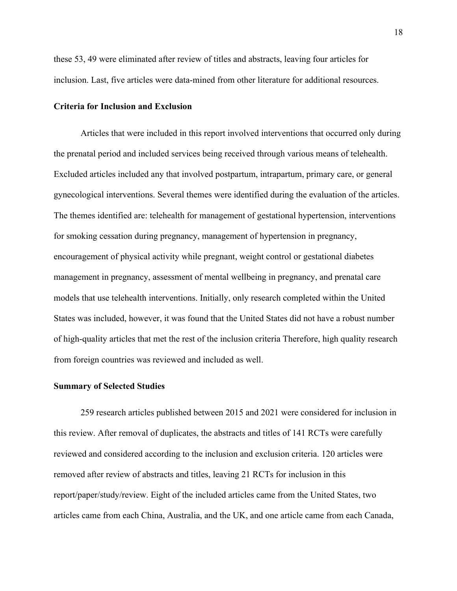these 53, 49 were eliminated after review of titles and abstracts, leaving four articles for inclusion. Last, five articles were data-mined from other literature for additional resources.

#### **Criteria for Inclusion and Exclusion**

Articles that were included in this report involved interventions that occurred only during the prenatal period and included services being received through various means of telehealth. Excluded articles included any that involved postpartum, intrapartum, primary care, or general gynecological interventions. Several themes were identified during the evaluation of the articles. The themes identified are: telehealth for management of gestational hypertension, interventions for smoking cessation during pregnancy, management of hypertension in pregnancy, encouragement of physical activity while pregnant, weight control or gestational diabetes management in pregnancy, assessment of mental wellbeing in pregnancy, and prenatal care models that use telehealth interventions. Initially, only research completed within the United States was included, however, it was found that the United States did not have a robust number of high-quality articles that met the rest of the inclusion criteria Therefore, high quality research from foreign countries was reviewed and included as well.

#### **Summary of Selected Studies**

259 research articles published between 2015 and 2021 were considered for inclusion in this review. After removal of duplicates, the abstracts and titles of 141 RCTs were carefully reviewed and considered according to the inclusion and exclusion criteria. 120 articles were removed after review of abstracts and titles, leaving 21 RCTs for inclusion in this report/paper/study/review. Eight of the included articles came from the United States, two articles came from each China, Australia, and the UK, and one article came from each Canada,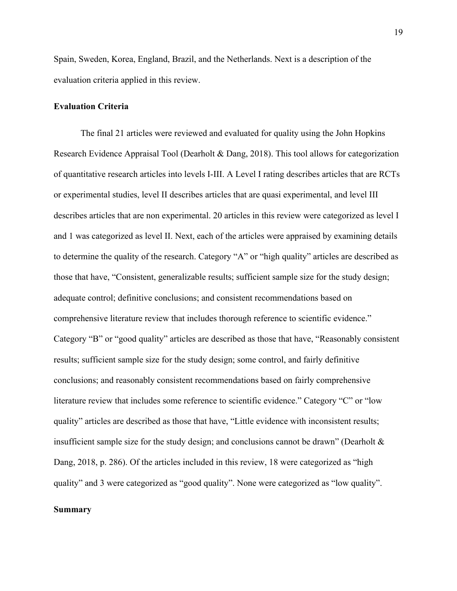Spain, Sweden, Korea, England, Brazil, and the Netherlands. Next is a description of the evaluation criteria applied in this review.

#### **Evaluation Criteria**

The final 21 articles were reviewed and evaluated for quality using the John Hopkins Research Evidence Appraisal Tool (Dearholt & Dang, 2018). This tool allows for categorization of quantitative research articles into levels I-III. A Level I rating describes articles that are RCTs or experimental studies, level II describes articles that are quasi experimental, and level III describes articles that are non experimental. 20 articles in this review were categorized as level I and 1 was categorized as level II. Next, each of the articles were appraised by examining details to determine the quality of the research. Category "A" or "high quality" articles are described as those that have, "Consistent, generalizable results; sufficient sample size for the study design; adequate control; definitive conclusions; and consistent recommendations based on comprehensive literature review that includes thorough reference to scientific evidence." Category "B" or "good quality" articles are described as those that have, "Reasonably consistent results; sufficient sample size for the study design; some control, and fairly definitive conclusions; and reasonably consistent recommendations based on fairly comprehensive literature review that includes some reference to scientific evidence." Category "C" or "low quality" articles are described as those that have, "Little evidence with inconsistent results; insufficient sample size for the study design; and conclusions cannot be drawn" (Dearholt  $\&$ Dang, 2018, p. 286). Of the articles included in this review, 18 were categorized as "high quality" and 3 were categorized as "good quality". None were categorized as "low quality".

## **Summary**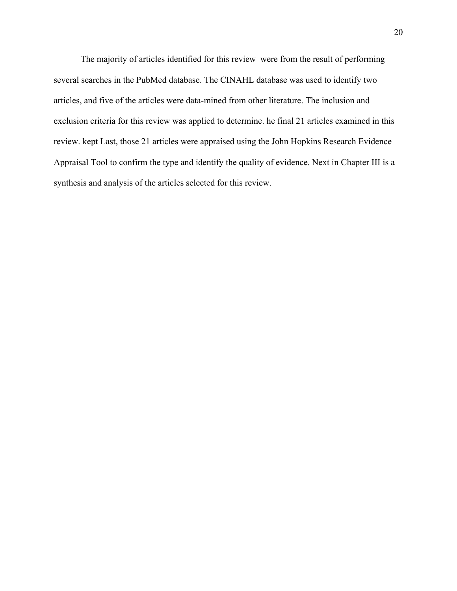The majority of articles identified for this review were from the result of performing several searches in the PubMed database. The CINAHL database was used to identify two articles, and five of the articles were data-mined from other literature. The inclusion and exclusion criteria for this review was applied to determine. he final 21 articles examined in this review. kept Last, those 21 articles were appraised using the John Hopkins Research Evidence Appraisal Tool to confirm the type and identify the quality of evidence. Next in Chapter III is a synthesis and analysis of the articles selected for this review.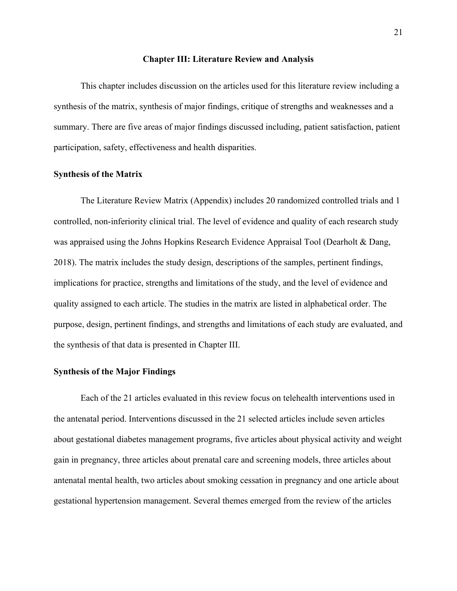#### **Chapter III: Literature Review and Analysis**

This chapter includes discussion on the articles used for this literature review including a synthesis of the matrix, synthesis of major findings, critique of strengths and weaknesses and a summary. There are five areas of major findings discussed including, patient satisfaction, patient participation, safety, effectiveness and health disparities.

#### **Synthesis of the Matrix**

The Literature Review Matrix (Appendix) includes 20 randomized controlled trials and 1 controlled, non-inferiority clinical trial. The level of evidence and quality of each research study was appraised using the Johns Hopkins Research Evidence Appraisal Tool (Dearholt & Dang, 2018). The matrix includes the study design, descriptions of the samples, pertinent findings, implications for practice, strengths and limitations of the study, and the level of evidence and quality assigned to each article. The studies in the matrix are listed in alphabetical order. The purpose, design, pertinent findings, and strengths and limitations of each study are evaluated, and the synthesis of that data is presented in Chapter III.

#### **Synthesis of the Major Findings**

Each of the 21 articles evaluated in this review focus on telehealth interventions used in the antenatal period. Interventions discussed in the 21 selected articles include seven articles about gestational diabetes management programs, five articles about physical activity and weight gain in pregnancy, three articles about prenatal care and screening models, three articles about antenatal mental health, two articles about smoking cessation in pregnancy and one article about gestational hypertension management. Several themes emerged from the review of the articles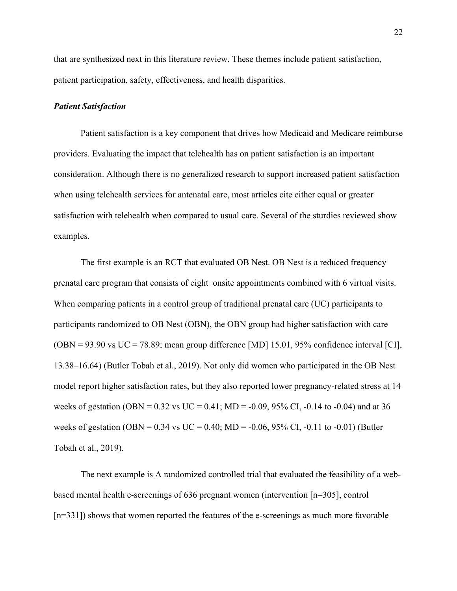that are synthesized next in this literature review. These themes include patient satisfaction, patient participation, safety, effectiveness, and health disparities.

#### *Patient Satisfaction*

Patient satisfaction is a key component that drives how Medicaid and Medicare reimburse providers. Evaluating the impact that telehealth has on patient satisfaction is an important consideration. Although there is no generalized research to support increased patient satisfaction when using telehealth services for antenatal care, most articles cite either equal or greater satisfaction with telehealth when compared to usual care. Several of the sturdies reviewed show examples.

The first example is an RCT that evaluated OB Nest. OB Nest is a reduced frequency prenatal care program that consists of eight onsite appointments combined with 6 virtual visits. When comparing patients in a control group of traditional prenatal care (UC) participants to participants randomized to OB Nest (OBN), the OBN group had higher satisfaction with care  $(OBN = 93.90 \text{ vs } UC = 78.89$ ; mean group difference [MD] 15.01, 95% confidence interval [CI], 13.38–16.64) (Butler Tobah et al., 2019). Not only did women who participated in the OB Nest model report higher satisfaction rates, but they also reported lower pregnancy-related stress at 14 weeks of gestation (OBN =  $0.32$  vs UC =  $0.41$ ; MD =  $-0.09$ , 95% CI,  $-0.14$  to  $-0.04$ ) and at 36 weeks of gestation (OBN =  $0.34$  vs UC = 0.40; MD =  $-0.06$ , 95% CI,  $-0.11$  to  $-0.01$ ) (Butler Tobah et al., 2019).

The next example is A randomized controlled trial that evaluated the feasibility of a webbased mental health e-screenings of 636 pregnant women (intervention [n=305], control [n=331]) shows that women reported the features of the e-screenings as much more favorable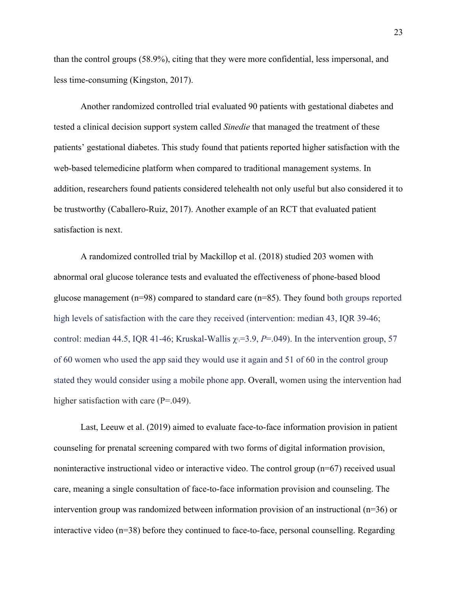than the control groups (58.9%), citing that they were more confidential, less impersonal, and less time-consuming (Kingston, 2017).

Another randomized controlled trial evaluated 90 patients with gestational diabetes and tested a clinical decision support system called *Sinedie* that managed the treatment of these patients' gestational diabetes. This study found that patients reported higher satisfaction with the web-based telemedicine platform when compared to traditional management systems. In addition, researchers found patients considered telehealth not only useful but also considered it to be trustworthy (Caballero-Ruiz, 2017). Another example of an RCT that evaluated patient satisfaction is next.

A randomized controlled trial by Mackillop et al. (2018) studied 203 women with abnormal oral glucose tolerance tests and evaluated the effectiveness of phone-based blood glucose management ( $n=98$ ) compared to standard care ( $n=85$ ). They found both groups reported high levels of satisfaction with the care they received (intervention: median 43, IQR 39-46; control: median 44.5, IQR 41-46; Kruskal-Wallis  $\chi = 3.9$ ,  $P = .049$ ). In the intervention group, 57 of 60 women who used the app said they would use it again and 51 of 60 in the control group stated they would consider using a mobile phone app. Overall, women using the intervention had higher satisfaction with care (P=.049).

Last, Leeuw et al. (2019) aimed to evaluate face-to-face information provision in patient counseling for prenatal screening compared with two forms of digital information provision, noninteractive instructional video or interactive video. The control group (n=67) received usual care, meaning a single consultation of face‐to‐face information provision and counseling. The intervention group was randomized between information provision of an instructional (n=36) or interactive video (n=38) before they continued to face-to-face, personal counselling. Regarding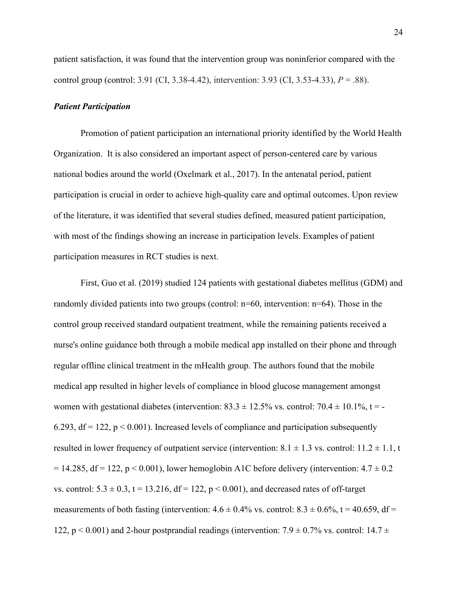patient satisfaction, it was found that the intervention group was noninferior compared with the control group (control: 3.91 (CI, 3.38‐4.42), intervention: 3.93 (CI, 3.53‐4.33), *P* = .88).

#### *Patient Participation*

Promotion of patient participation an international priority identified by the World Health Organization. It is also considered an important aspect of person-centered care by various national bodies around the world (Oxelmark et al., 2017). In the antenatal period, patient participation is crucial in order to achieve high-quality care and optimal outcomes. Upon review of the literature, it was identified that several studies defined, measured patient participation, with most of the findings showing an increase in participation levels. Examples of patient participation measures in RCT studies is next.

First, Guo et al. (2019) studied 124 patients with gestational diabetes mellitus (GDM) and randomly divided patients into two groups (control: n=60, intervention: n=64). Those in the control group received standard outpatient treatment, while the remaining patients received a nurse's online guidance both through a mobile medical app installed on their phone and through regular offline clinical treatment in the mHealth group. The authors found that the mobile medical app resulted in higher levels of compliance in blood glucose management amongst women with gestational diabetes (intervention:  $83.3 \pm 12.5\%$  vs. control:  $70.4 \pm 10.1\%$ , t = -6.293,  $df = 122$ ,  $p < 0.001$ ). Increased levels of compliance and participation subsequently resulted in lower frequency of outpatient service (intervention:  $8.1 \pm 1.3$  vs. control:  $11.2 \pm 1.1$ , t  $= 14.285$ , df = 122, p < 0.001), lower hemoglobin A1C before delivery (intervention:  $4.7 \pm 0.2$ vs. control:  $5.3 \pm 0.3$ ,  $t = 13.216$ ,  $df = 122$ ,  $p < 0.001$ ), and decreased rates of off-target measurements of both fasting (intervention:  $4.6 \pm 0.4\%$  vs. control:  $8.3 \pm 0.6\%$ ,  $t = 40.659$ ,  $df =$ 122, p  $\leq$  0.001) and 2-hour postprandial readings (intervention: 7.9  $\pm$  0.7% vs. control: 14.7  $\pm$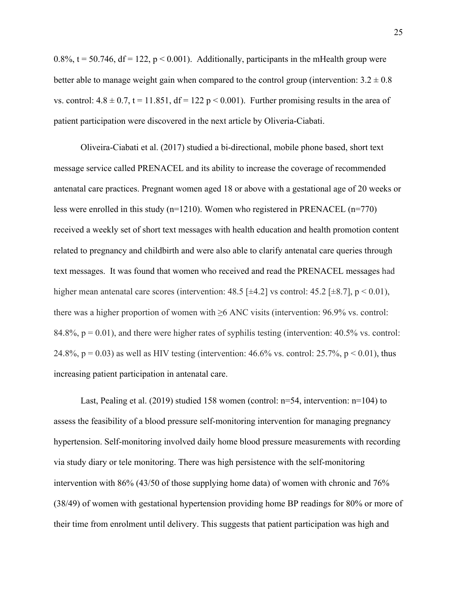0.8%,  $t = 50.746$ ,  $df = 122$ ,  $p < 0.001$ ). Additionally, participants in the mHealth group were better able to manage weight gain when compared to the control group (intervention:  $3.2 \pm 0.8$ ) vs. control:  $4.8 \pm 0.7$ , t = 11.851, df = 122 p < 0.001). Further promising results in the area of patient participation were discovered in the next article by Oliveria-Ciabati.

Oliveira-Ciabati et al. (2017) studied a bi-directional, mobile phone based, short text message service called PRENACEL and its ability to increase the coverage of recommended antenatal care practices. Pregnant women aged 18 or above with a gestational age of 20 weeks or less were enrolled in this study (n=1210). Women who registered in PRENACEL (n=770) received a weekly set of short text messages with health education and health promotion content related to pregnancy and childbirth and were also able to clarify antenatal care queries through text messages. It was found that women who received and read the PRENACEL messages had higher mean antenatal care scores (intervention:  $48.5$  [ $\pm 4.2$ ] vs control:  $45.2$  [ $\pm 8.7$ ], p < 0.01), there was a higher proportion of women with  $\geq 6$  ANC visits (intervention: 96.9% vs. control: 84.8%,  $p = 0.01$ ), and there were higher rates of syphilis testing (intervention: 40.5% vs. control: 24.8%,  $p = 0.03$  as well as HIV testing (intervention: 46.6% vs. control: 25.7%,  $p \le 0.01$ ), thus increasing patient participation in antenatal care.

Last, Pealing et al. (2019) studied 158 women (control: n=54, intervention: n=104) to assess the feasibility of a blood pressure self-monitoring intervention for managing pregnancy hypertension. Self-monitoring involved daily home blood pressure measurements with recording via study diary or tele monitoring. There was high persistence with the self-monitoring intervention with 86% (43/50 of those supplying home data) of women with chronic and 76% (38/49) of women with gestational hypertension providing home BP readings for 80% or more of their time from enrolment until delivery. This suggests that patient participation was high and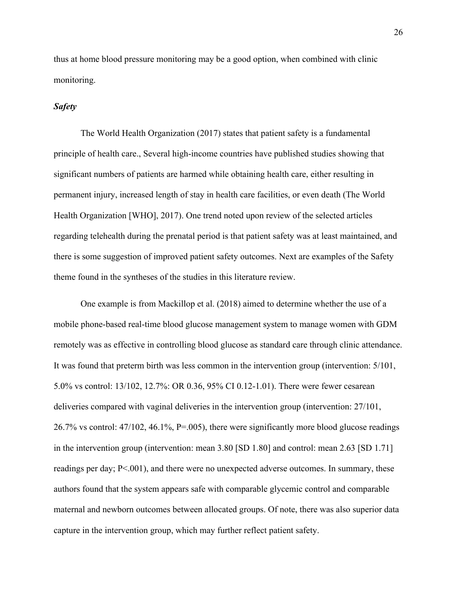thus at home blood pressure monitoring may be a good option, when combined with clinic monitoring.

## *Safety*

The World Health Organization (2017) states that patient safety is a fundamental principle of health care., Several high-income countries have published studies showing that significant numbers of patients are harmed while obtaining health care, either resulting in permanent injury, increased length of stay in health care facilities, or even death (The World Health Organization [WHO], 2017). One trend noted upon review of the selected articles regarding telehealth during the prenatal period is that patient safety was at least maintained, and there is some suggestion of improved patient safety outcomes. Next are examples of the Safety theme found in the syntheses of the studies in this literature review.

One example is from Mackillop et al. (2018) aimed to determine whether the use of a mobile phone-based real-time blood glucose management system to manage women with GDM remotely was as effective in controlling blood glucose as standard care through clinic attendance. It was found that preterm birth was less common in the intervention group (intervention: 5/101, 5.0% vs control: 13/102, 12.7%: OR 0.36, 95% CI 0.12-1.01). There were fewer cesarean deliveries compared with vaginal deliveries in the intervention group (intervention: 27/101, 26.7% vs control: 47/102, 46.1%, P=.005), there were significantly more blood glucose readings in the intervention group (intervention: mean 3.80 [SD 1.80] and control: mean 2.63 [SD 1.71] readings per day; P<.001), and there were no unexpected adverse outcomes. In summary, these authors found that the system appears safe with comparable glycemic control and comparable maternal and newborn outcomes between allocated groups. Of note, there was also superior data capture in the intervention group, which may further reflect patient safety.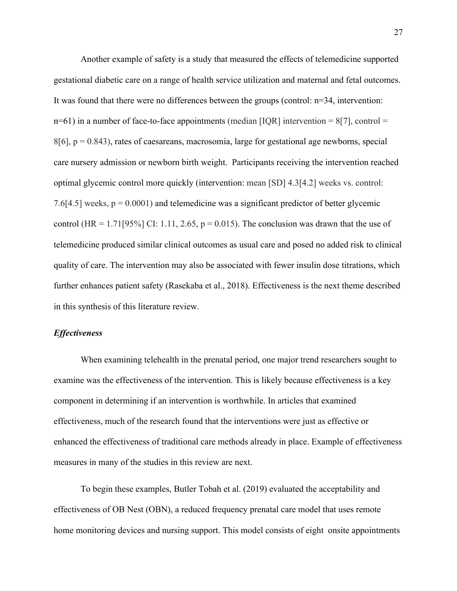Another example of safety is a study that measured the effects of telemedicine supported gestational diabetic care on a range of health service utilization and maternal and fetal outcomes. It was found that there were no differences between the groups (control:  $n=34$ , intervention:  $n=61$ ) in a number of face-to-face appointments (median [IQR] intervention = 8[7], control =  $8[6]$ ,  $p = 0.843$ ), rates of caesareans, macrosomia, large for gestational age newborns, special care nursery admission or newborn birth weight. Participants receiving the intervention reached optimal glycemic control more quickly (intervention: mean [SD] 4.3[4.2] weeks vs. control: 7.6[4.5] weeks,  $p = 0.0001$  and telemedicine was a significant predictor of better glycemic control (HR = 1.71[95%] CI: 1.11, 2.65,  $p = 0.015$ ). The conclusion was drawn that the use of telemedicine produced similar clinical outcomes as usual care and posed no added risk to clinical quality of care. The intervention may also be associated with fewer insulin dose titrations, which further enhances patient safety (Rasekaba et al., 2018). Effectiveness is the next theme described in this synthesis of this literature review.

#### *Effectiveness*

When examining telehealth in the prenatal period, one major trend researchers sought to examine was the effectiveness of the intervention. This is likely because effectiveness is a key component in determining if an intervention is worthwhile. In articles that examined effectiveness, much of the research found that the interventions were just as effective or enhanced the effectiveness of traditional care methods already in place. Example of effectiveness measures in many of the studies in this review are next.

To begin these examples, Butler Tobah et al. (2019) evaluated the acceptability and effectiveness of OB Nest (OBN), a reduced frequency prenatal care model that uses remote home monitoring devices and nursing support. This model consists of eight onsite appointments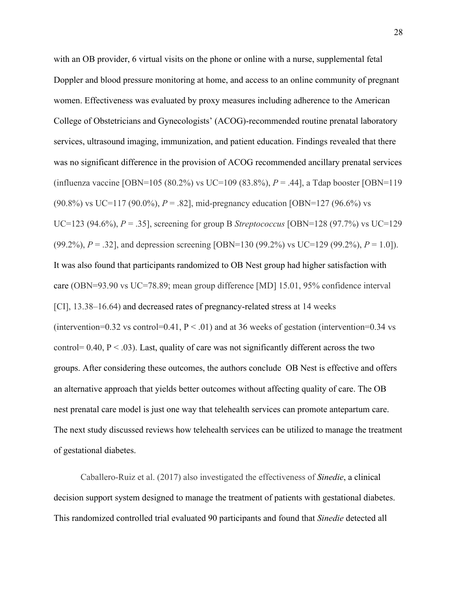with an OB provider, 6 virtual visits on the phone or online with a nurse, supplemental fetal Doppler and blood pressure monitoring at home, and access to an online community of pregnant women. Effectiveness was evaluated by proxy measures including adherence to the American College of Obstetricians and Gynecologists' (ACOG)-recommended routine prenatal laboratory services, ultrasound imaging, immunization, and patient education. Findings revealed that there was no significant difference in the provision of ACOG recommended ancillary prenatal services (influenza vaccine [OBN=105 (80.2%) vs UC=109 (83.8%), *P* = .44], a Tdap booster [OBN=119 (90.8%) vs UC=117 (90.0%), *P* = .82], mid-pregnancy education [OBN=127 (96.6%) vs UC=123 (94.6%), *P* = .35], screening for group B *Streptococcus* [OBN=128 (97.7%) vs UC=129 (99.2%), *P* = .32], and depression screening [OBN=130 (99.2%) vs UC=129 (99.2%), *P* = 1.0]). It was also found that participants randomized to OB Nest group had higher satisfaction with care (OBN=93.90 vs UC=78.89; mean group difference [MD] 15.01, 95% confidence interval [CI], 13.38–16.64) and decreased rates of pregnancy-related stress at 14 weeks (intervention=0.32 vs control=0.41,  $P < .01$ ) and at 36 weeks of gestation (intervention=0.34 vs control=  $0.40$ ,  $P < .03$ ). Last, quality of care was not significantly different across the two groups. After considering these outcomes, the authors conclude OB Nest is effective and offers an alternative approach that yields better outcomes without affecting quality of care. The OB nest prenatal care model is just one way that telehealth services can promote antepartum care. The next study discussed reviews how telehealth services can be utilized to manage the treatment of gestational diabetes.

Caballero-Ruiz et al. (2017) also investigated the effectiveness of *Sinedie*, a clinical decision support system designed to manage the treatment of patients with gestational diabetes. This randomized controlled trial evaluated 90 participants and found that *Sinedie* detected all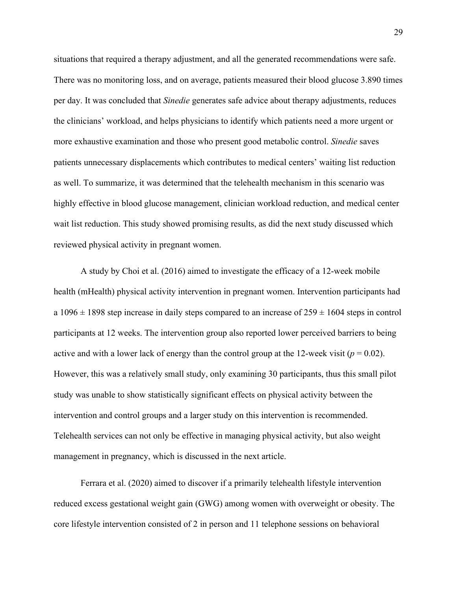situations that required a therapy adjustment, and all the generated recommendations were safe. There was no monitoring loss, and on average, patients measured their blood glucose 3.890 times per day. It was concluded that *Sinedie* generates safe advice about therapy adjustments, reduces the clinicians' workload, and helps physicians to identify which patients need a more urgent or more exhaustive examination and those who present good metabolic control. *Sinedie* saves patients unnecessary displacements which contributes to medical centers' waiting list reduction as well. To summarize, it was determined that the telehealth mechanism in this scenario was highly effective in blood glucose management, clinician workload reduction, and medical center wait list reduction. This study showed promising results, as did the next study discussed which reviewed physical activity in pregnant women.

A study by Choi et al. (2016) aimed to investigate the efficacy of a 12-week mobile health (mHealth) physical activity intervention in pregnant women. Intervention participants had a  $1096 \pm 1898$  step increase in daily steps compared to an increase of  $259 \pm 1604$  steps in control participants at 12 weeks. The intervention group also reported lower perceived barriers to being active and with a lower lack of energy than the control group at the 12-week visit ( $p = 0.02$ ). However, this was a relatively small study, only examining 30 participants, thus this small pilot study was unable to show statistically significant effects on physical activity between the intervention and control groups and a larger study on this intervention is recommended. Telehealth services can not only be effective in managing physical activity, but also weight management in pregnancy, which is discussed in the next article.

Ferrara et al. (2020) aimed to discover if a primarily telehealth lifestyle intervention reduced excess gestational weight gain (GWG) among women with overweight or obesity. The core lifestyle intervention consisted of 2 in person and 11 telephone sessions on behavioral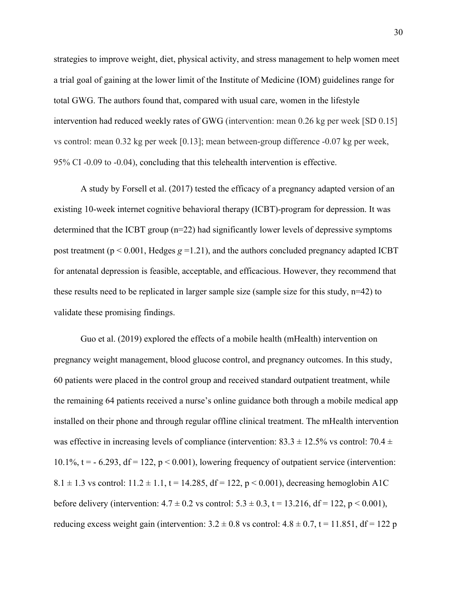strategies to improve weight, diet, physical activity, and stress management to help women meet a trial goal of gaining at the lower limit of the Institute of Medicine (IOM) guidelines range for total GWG. The authors found that, compared with usual care, women in the lifestyle intervention had reduced weekly rates of GWG (intervention: mean 0.26 kg per week [SD 0.15] vs control: mean 0.32 kg per week [0.13]; mean between-group difference -0.07 kg per week, 95% CI -0.09 to -0.04), concluding that this telehealth intervention is effective.

A study by Forsell et al. (2017) tested the efficacy of a pregnancy adapted version of an existing 10-week internet cognitive behavioral therapy (ICBT)-program for depression. It was determined that the ICBT group (n=22) had significantly lower levels of depressive symptoms post treatment ( $p < 0.001$ , Hedges  $g = 1.21$ ), and the authors concluded pregnancy adapted ICBT for antenatal depression is feasible, acceptable, and efficacious. However, they recommend that these results need to be replicated in larger sample size (sample size for this study,  $n=42$ ) to validate these promising findings.

Guo et al. (2019) explored the effects of a mobile health (mHealth) intervention on pregnancy weight management, blood glucose control, and pregnancy outcomes. In this study, 60 patients were placed in the control group and received standard outpatient treatment, while the remaining 64 patients received a nurse's online guidance both through a mobile medical app installed on their phone and through regular offline clinical treatment. The mHealth intervention was effective in increasing levels of compliance (intervention:  $83.3 \pm 12.5\%$  vs control:  $70.4 \pm 12.5\%$ 10.1%,  $t = -6.293$ ,  $df = 122$ ,  $p < 0.001$ ), lowering frequency of outpatient service (intervention: 8.1  $\pm$  1.3 vs control: 11.2  $\pm$  1.1, t = 14.285, df = 122, p < 0.001), decreasing hemoglobin A1C before delivery (intervention:  $4.7 \pm 0.2$  vs control:  $5.3 \pm 0.3$ ,  $t = 13.216$ ,  $df = 122$ ,  $p < 0.001$ ), reducing excess weight gain (intervention:  $3.2 \pm 0.8$  vs control:  $4.8 \pm 0.7$ ,  $t = 11.851$ ,  $df = 122$  p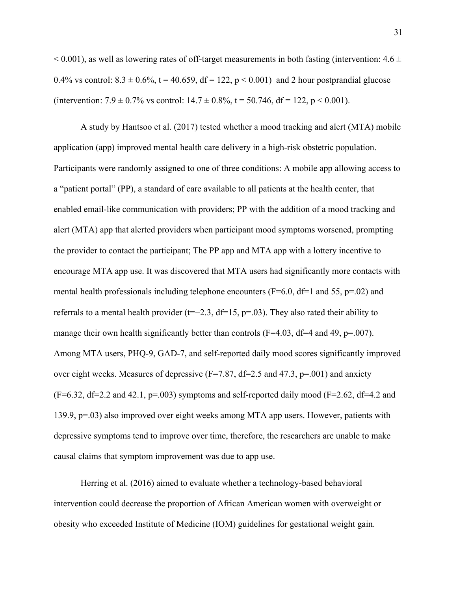$< 0.001$ ), as well as lowering rates of off-target measurements in both fasting (intervention: 4.6  $\pm$ 0.4% vs control:  $8.3 \pm 0.6$ %, t = 40.659, df = 122, p < 0.001) and 2 hour postprandial glucose (intervention:  $7.9 \pm 0.7\%$  vs control:  $14.7 \pm 0.8\%$ ,  $t = 50.746$ ,  $df = 122$ ,  $p < 0.001$ ).

A study by Hantsoo et al. (2017) tested whether a mood tracking and alert (MTA) mobile application (app) improved mental health care delivery in a high-risk obstetric population. Participants were randomly assigned to one of three conditions: A mobile app allowing access to a "patient portal" (PP), a standard of care available to all patients at the health center, that enabled email-like communication with providers; PP with the addition of a mood tracking and alert (MTA) app that alerted providers when participant mood symptoms worsened, prompting the provider to contact the participant; The PP app and MTA app with a lottery incentive to encourage MTA app use. It was discovered that MTA users had significantly more contacts with mental health professionals including telephone encounters ( $F=6.0$ ,  $df=1$  and 55,  $p=.02$ ) and referrals to a mental health provider ( $t=-2.3$ , df=15, p=.03). They also rated their ability to manage their own health significantly better than controls ( $F=4.03$ ,  $df=4$  and 49,  $p=.007$ ). Among MTA users, PHQ-9, GAD-7, and self-reported daily mood scores significantly improved over eight weeks. Measures of depressive  $(F=7.87, df=2.5$  and 47.3,  $p=.001$ ) and anxiety  $(F=6.32, df=2.2$  and 42.1,  $p=.003$ ) symptoms and self-reported daily mood  $(F=2.62, df=4.2$  and 139.9, p=.03) also improved over eight weeks among MTA app users. However, patients with depressive symptoms tend to improve over time, therefore, the researchers are unable to make causal claims that symptom improvement was due to app use.

Herring et al. (2016) aimed to evaluate whether a technology-based behavioral intervention could decrease the proportion of African American women with overweight or obesity who exceeded Institute of Medicine (IOM) guidelines for gestational weight gain.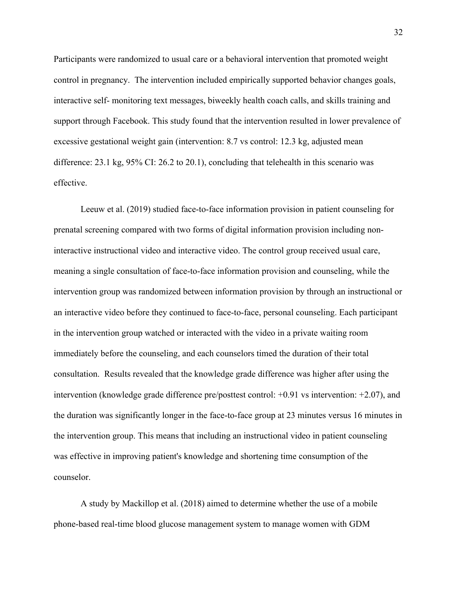Participants were randomized to usual care or a behavioral intervention that promoted weight control in pregnancy. The intervention included empirically supported behavior changes goals, interactive self- monitoring text messages, biweekly health coach calls, and skills training and support through Facebook. This study found that the intervention resulted in lower prevalence of excessive gestational weight gain (intervention: 8.7 vs control: 12.3 kg, adjusted mean difference: 23.1 kg, 95% CI: 26.2 to 20.1), concluding that telehealth in this scenario was effective.

Leeuw et al. (2019) studied face-to-face information provision in patient counseling for prenatal screening compared with two forms of digital information provision including noninteractive instructional video and interactive video. The control group received usual care, meaning a single consultation of face‐to‐face information provision and counseling, while the intervention group was randomized between information provision by through an instructional or an interactive video before they continued to face‐to‐face, personal counseling. Each participant in the intervention group watched or interacted with the video in a private waiting room immediately before the counseling, and each counselors timed the duration of their total consultation. Results revealed that the knowledge grade difference was higher after using the intervention (knowledge grade difference pre/posttest control: +0.91 vs intervention: +2.07), and the duration was significantly longer in the face‐to‐face group at 23 minutes versus 16 minutes in the intervention group. This means that including an instructional video in patient counseling was effective in improving patient's knowledge and shortening time consumption of the counselor.

A study by Mackillop et al. (2018) aimed to determine whether the use of a mobile phone-based real-time blood glucose management system to manage women with GDM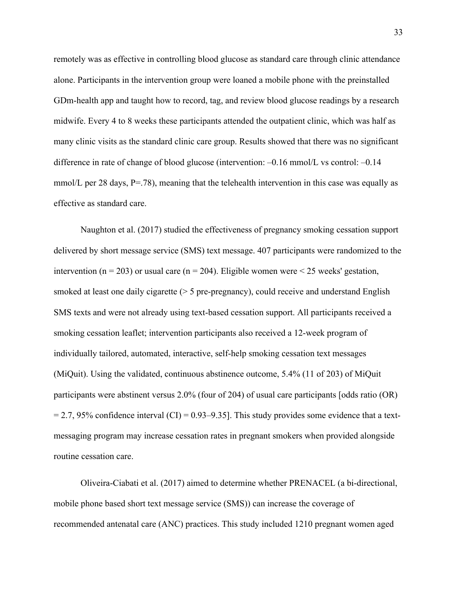remotely was as effective in controlling blood glucose as standard care through clinic attendance alone. Participants in the intervention group were loaned a mobile phone with the preinstalled GDm-health app and taught how to record, tag, and review blood glucose readings by a research midwife. Every 4 to 8 weeks these participants attended the outpatient clinic, which was half as many clinic visits as the standard clinic care group. Results showed that there was no significant difference in rate of change of blood glucose (intervention:  $-0.16$  mmol/L vs control:  $-0.14$ ) mmol/L per 28 days,  $P = .78$ ), meaning that the telehealth intervention in this case was equally as effective as standard care.

Naughton et al. (2017) studied the effectiveness of pregnancy smoking cessation support delivered by short message service (SMS) text message. 407 participants were randomized to the intervention (n = 203) or usual care (n = 204). Eligible women were < 25 weeks' gestation, smoked at least one daily cigarette ( $> 5$  pre-pregnancy), could receive and understand English SMS texts and were not already using text-based cessation support. All participants received a smoking cessation leaflet; intervention participants also received a 12-week program of individually tailored, automated, interactive, self-help smoking cessation text messages (MiQuit). Using the validated, continuous abstinence outcome, 5.4% (11 of 203) of MiQuit participants were abstinent versus 2.0% (four of 204) of usual care participants [odds ratio (OR)  $= 2.7, 95\%$  confidence interval (CI) = 0.93–9.35]. This study provides some evidence that a textmessaging program may increase cessation rates in pregnant smokers when provided alongside routine cessation care.

Oliveira-Ciabati et al. (2017) aimed to determine whether PRENACEL (a bi-directional, mobile phone based short text message service (SMS)) can increase the coverage of recommended antenatal care (ANC) practices. This study included 1210 pregnant women aged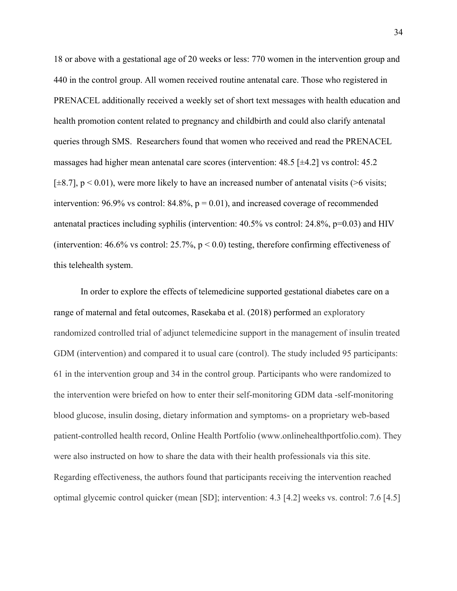18 or above with a gestational age of 20 weeks or less: 770 women in the intervention group and 440 in the control group. All women received routine antenatal care. Those who registered in PRENACEL additionally received a weekly set of short text messages with health education and health promotion content related to pregnancy and childbirth and could also clarify antenatal queries through SMS. Researchers found that women who received and read the PRENACEL massages had higher mean antenatal care scores (intervention: 48.5 [±4.2] vs control: 45.2  $[\pm 8.7]$ , p < 0.01), were more likely to have an increased number of antenatal visits (>6 visits; intervention: 96.9% vs control: 84.8%,  $p = 0.01$ ), and increased coverage of recommended antenatal practices including syphilis (intervention: 40.5% vs control: 24.8%, p=0.03) and HIV (intervention:  $46.6\%$  vs control:  $25.7\%$ ,  $p < 0.0$ ) testing, therefore confirming effectiveness of this telehealth system.

In order to explore the effects of telemedicine supported gestational diabetes care on a range of maternal and fetal outcomes, Rasekaba et al. (2018) performed an exploratory randomized controlled trial of adjunct telemedicine support in the management of insulin treated GDM (intervention) and compared it to usual care (control). The study included 95 participants: 61 in the intervention group and 34 in the control group. Participants who were randomized to the intervention were briefed on how to enter their self-monitoring GDM data -self-monitoring blood glucose, insulin dosing, dietary information and symptoms- on a proprietary web-based patient-controlled health record, Online Health Portfolio (www.onlinehealthportfolio.com). They were also instructed on how to share the data with their health professionals via this site. Regarding effectiveness, the authors found that participants receiving the intervention reached optimal glycemic control quicker (mean [SD]; intervention: 4.3 [4.2] weeks vs. control: 7.6 [4.5]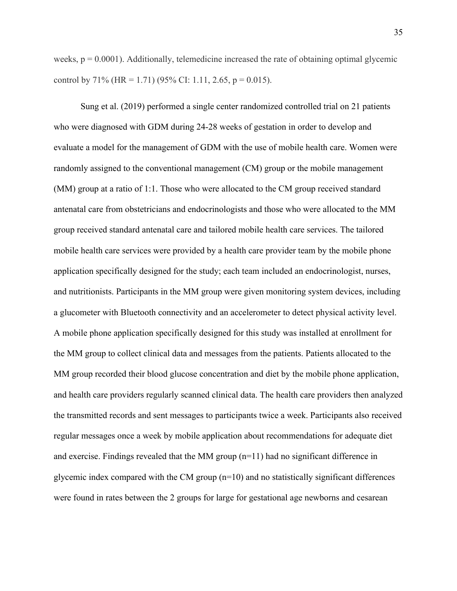weeks,  $p = 0.0001$ ). Additionally, telemedicine increased the rate of obtaining optimal glycemic control by 71% (HR = 1.71) (95% CI: 1.11, 2.65, p = 0.015).

Sung et al. (2019) performed a single center randomized controlled trial on 21 patients who were diagnosed with GDM during 24-28 weeks of gestation in order to develop and evaluate a model for the management of GDM with the use of mobile health care. Women were randomly assigned to the conventional management (CM) group or the mobile management (MM) group at a ratio of 1:1. Those who were allocated to the CM group received standard antenatal care from obstetricians and endocrinologists and those who were allocated to the MM group received standard antenatal care and tailored mobile health care services. The tailored mobile health care services were provided by a health care provider team by the mobile phone application specifically designed for the study; each team included an endocrinologist, nurses, and nutritionists. Participants in the MM group were given monitoring system devices, including a glucometer with Bluetooth connectivity and an accelerometer to detect physical activity level. A mobile phone application specifically designed for this study was installed at enrollment for the MM group to collect clinical data and messages from the patients. Patients allocated to the MM group recorded their blood glucose concentration and diet by the mobile phone application, and health care providers regularly scanned clinical data. The health care providers then analyzed the transmitted records and sent messages to participants twice a week. Participants also received regular messages once a week by mobile application about recommendations for adequate diet and exercise. Findings revealed that the MM group  $(n=11)$  had no significant difference in glycemic index compared with the CM group  $(n=10)$  and no statistically significant differences were found in rates between the 2 groups for large for gestational age newborns and cesarean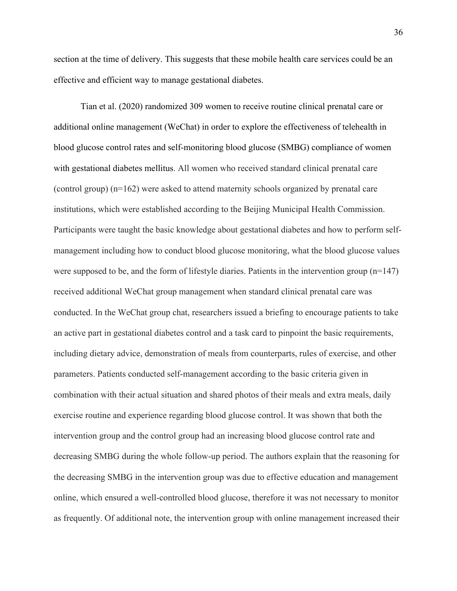section at the time of delivery. This suggests that these mobile health care services could be an effective and efficient way to manage gestational diabetes.

Tian et al. (2020) randomized 309 women to receive routine clinical prenatal care or additional online management (WeChat) in order to explore the effectiveness of telehealth in blood glucose control rates and self-monitoring blood glucose (SMBG) compliance of women with gestational diabetes mellitus. All women who received standard clinical prenatal care (control group) (n=162) were asked to attend maternity schools organized by prenatal care institutions, which were established according to the Beijing Municipal Health Commission. Participants were taught the basic knowledge about gestational diabetes and how to perform selfmanagement including how to conduct blood glucose monitoring, what the blood glucose values were supposed to be, and the form of lifestyle diaries. Patients in the intervention group (n=147) received additional WeChat group management when standard clinical prenatal care was conducted. In the WeChat group chat, researchers issued a briefing to encourage patients to take an active part in gestational diabetes control and a task card to pinpoint the basic requirements, including dietary advice, demonstration of meals from counterparts, rules of exercise, and other parameters. Patients conducted self-management according to the basic criteria given in combination with their actual situation and shared photos of their meals and extra meals, daily exercise routine and experience regarding blood glucose control. It was shown that both the intervention group and the control group had an increasing blood glucose control rate and decreasing SMBG during the whole follow-up period. The authors explain that the reasoning for the decreasing SMBG in the intervention group was due to effective education and management online, which ensured a well-controlled blood glucose, therefore it was not necessary to monitor as frequently. Of additional note, the intervention group with online management increased their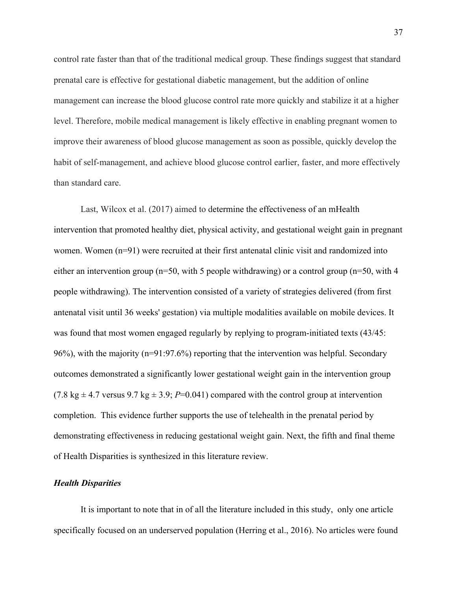control rate faster than that of the traditional medical group. These findings suggest that standard prenatal care is effective for gestational diabetic management, but the addition of online management can increase the blood glucose control rate more quickly and stabilize it at a higher level. Therefore, mobile medical management is likely effective in enabling pregnant women to improve their awareness of blood glucose management as soon as possible, quickly develop the habit of self-management, and achieve blood glucose control earlier, faster, and more effectively than standard care.

Last, Wilcox et al. (2017) aimed to determine the effectiveness of an mHealth intervention that promoted healthy diet, physical activity, and gestational weight gain in pregnant women. Women (n=91) were recruited at their first antenatal clinic visit and randomized into either an intervention group ( $n=50$ , with 5 people withdrawing) or a control group ( $n=50$ , with 4 people withdrawing). The intervention consisted of a variety of strategies delivered (from first antenatal visit until 36 weeks' gestation) via multiple modalities available on mobile devices. It was found that most women engaged regularly by replying to program-initiated texts (43/45: 96%), with the majority (n=91:97.6%) reporting that the intervention was helpful. Secondary outcomes demonstrated a significantly lower gestational weight gain in the intervention group (7.8 kg  $\pm$  4.7 versus 9.7 kg  $\pm$  3.9; *P*=0.041) compared with the control group at intervention completion. This evidence further supports the use of telehealth in the prenatal period by demonstrating effectiveness in reducing gestational weight gain. Next, the fifth and final theme of Health Disparities is synthesized in this literature review.

#### *Health Disparities*

It is important to note that in of all the literature included in this study, only one article specifically focused on an underserved population (Herring et al., 2016). No articles were found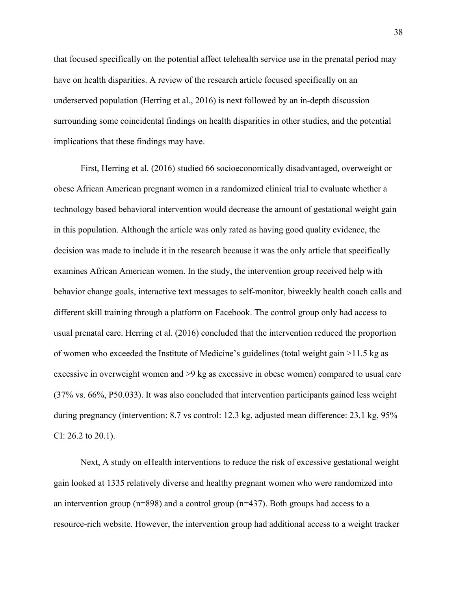that focused specifically on the potential affect telehealth service use in the prenatal period may have on health disparities. A review of the research article focused specifically on an underserved population (Herring et al., 2016) is next followed by an in-depth discussion surrounding some coincidental findings on health disparities in other studies, and the potential implications that these findings may have.

First, Herring et al. (2016) studied 66 socioeconomically disadvantaged, overweight or obese African American pregnant women in a randomized clinical trial to evaluate whether a technology based behavioral intervention would decrease the amount of gestational weight gain in this population. Although the article was only rated as having good quality evidence, the decision was made to include it in the research because it was the only article that specifically examines African American women. In the study, the intervention group received help with behavior change goals, interactive text messages to self-monitor, biweekly health coach calls and different skill training through a platform on Facebook. The control group only had access to usual prenatal care. Herring et al. (2016) concluded that the intervention reduced the proportion of women who exceeded the Institute of Medicine's guidelines (total weight gain >11.5 kg as excessive in overweight women and >9 kg as excessive in obese women) compared to usual care (37% vs. 66%, P50.033). It was also concluded that intervention participants gained less weight during pregnancy (intervention: 8.7 vs control: 12.3 kg, adjusted mean difference: 23.1 kg, 95% CI: 26.2 to 20.1).

Next, A study on eHealth interventions to reduce the risk of excessive gestational weight gain looked at 1335 relatively diverse and healthy pregnant women who were randomized into an intervention group (n=898) and a control group (n=437). Both groups had access to a resource-rich website. However, the intervention group had additional access to a weight tracker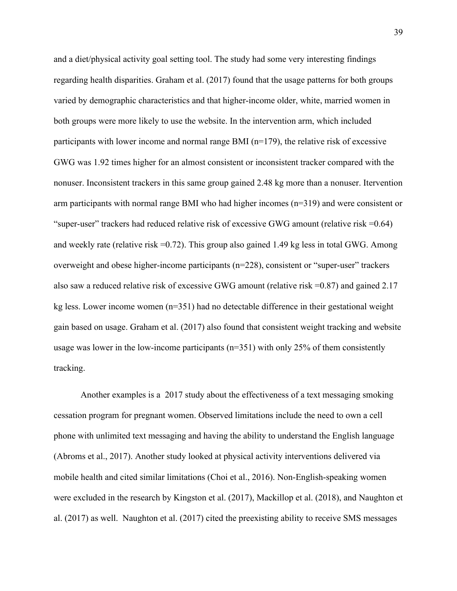and a diet/physical activity goal setting tool. The study had some very interesting findings regarding health disparities. Graham et al. (2017) found that the usage patterns for both groups varied by demographic characteristics and that higher-income older, white, married women in both groups were more likely to use the website. In the intervention arm, which included participants with lower income and normal range BMI  $(n=179)$ , the relative risk of excessive GWG was 1.92 times higher for an almost consistent or inconsistent tracker compared with the nonuser. Inconsistent trackers in this same group gained 2.48 kg more than a nonuser. Itervention arm participants with normal range BMI who had higher incomes (n=319) and were consistent or "super-user" trackers had reduced relative risk of excessive GWG amount (relative risk =0.64) and weekly rate (relative risk  $=0.72$ ). This group also gained 1.49 kg less in total GWG. Among overweight and obese higher-income participants (n=228), consistent or "super-user" trackers also saw a reduced relative risk of excessive GWG amount (relative risk =0.87) and gained 2.17 kg less. Lower income women  $(n=351)$  had no detectable difference in their gestational weight gain based on usage. Graham et al. (2017) also found that consistent weight tracking and website usage was lower in the low-income participants ( $n=351$ ) with only 25% of them consistently tracking.

Another examples is a 2017 study about the effectiveness of a text messaging smoking cessation program for pregnant women. Observed limitations include the need to own a cell phone with unlimited text messaging and having the ability to understand the English language (Abroms et al., 2017). Another study looked at physical activity interventions delivered via mobile health and cited similar limitations (Choi et al., 2016). Non-English-speaking women were excluded in the research by Kingston et al. (2017), Mackillop et al. (2018), and Naughton et al. (2017) as well. Naughton et al. (2017) cited the preexisting ability to receive SMS messages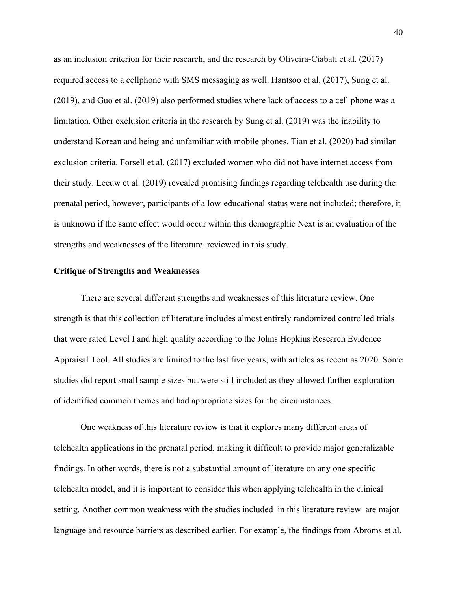as an inclusion criterion for their research, and the research by Oliveira-Ciabati et al. (2017) required access to a cellphone with SMS messaging as well. Hantsoo et al. (2017), Sung et al. (2019), and Guo et al. (2019) also performed studies where lack of access to a cell phone was a limitation. Other exclusion criteria in the research by Sung et al. (2019) was the inability to understand Korean and being and unfamiliar with mobile phones. Tian et al. (2020) had similar exclusion criteria. Forsell et al. (2017) excluded women who did not have internet access from their study. Leeuw et al. (2019) revealed promising findings regarding telehealth use during the prenatal period, however, participants of a low-educational status were not included; therefore, it is unknown if the same effect would occur within this demographic Next is an evaluation of the strengths and weaknesses of the literature reviewed in this study.

#### **Critique of Strengths and Weaknesses**

There are several different strengths and weaknesses of this literature review. One strength is that this collection of literature includes almost entirely randomized controlled trials that were rated Level I and high quality according to the Johns Hopkins Research Evidence Appraisal Tool. All studies are limited to the last five years, with articles as recent as 2020. Some studies did report small sample sizes but were still included as they allowed further exploration of identified common themes and had appropriate sizes for the circumstances.

One weakness of this literature review is that it explores many different areas of telehealth applications in the prenatal period, making it difficult to provide major generalizable findings. In other words, there is not a substantial amount of literature on any one specific telehealth model, and it is important to consider this when applying telehealth in the clinical setting. Another common weakness with the studies included in this literature review are major language and resource barriers as described earlier. For example, the findings from Abroms et al.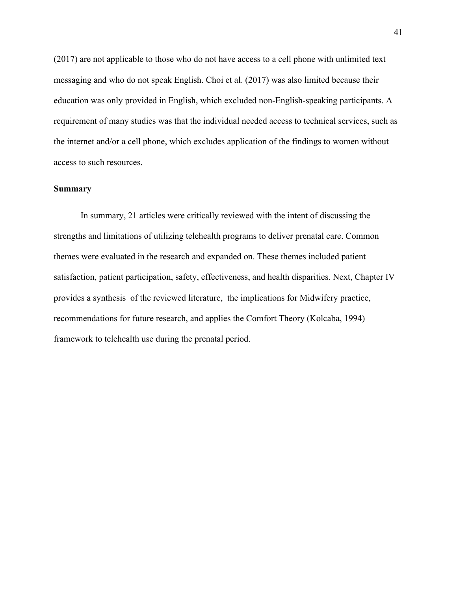(2017) are not applicable to those who do not have access to a cell phone with unlimited text messaging and who do not speak English. Choi et al. (2017) was also limited because their education was only provided in English, which excluded non-English-speaking participants. A requirement of many studies was that the individual needed access to technical services, such as the internet and/or a cell phone, which excludes application of the findings to women without access to such resources.

## **Summary**

In summary, 21 articles were critically reviewed with the intent of discussing the strengths and limitations of utilizing telehealth programs to deliver prenatal care. Common themes were evaluated in the research and expanded on. These themes included patient satisfaction, patient participation, safety, effectiveness, and health disparities. Next, Chapter IV provides a synthesis of the reviewed literature, the implications for Midwifery practice, recommendations for future research, and applies the Comfort Theory (Kolcaba, 1994) framework to telehealth use during the prenatal period.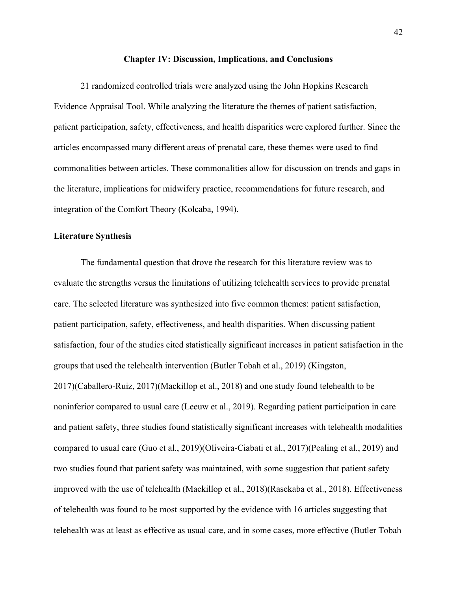#### **Chapter IV: Discussion, Implications, and Conclusions**

21 randomized controlled trials were analyzed using the John Hopkins Research Evidence Appraisal Tool. While analyzing the literature the themes of patient satisfaction, patient participation, safety, effectiveness, and health disparities were explored further. Since the articles encompassed many different areas of prenatal care, these themes were used to find commonalities between articles. These commonalities allow for discussion on trends and gaps in the literature, implications for midwifery practice, recommendations for future research, and integration of the Comfort Theory (Kolcaba, 1994).

#### **Literature Synthesis**

The fundamental question that drove the research for this literature review was to evaluate the strengths versus the limitations of utilizing telehealth services to provide prenatal care. The selected literature was synthesized into five common themes: patient satisfaction, patient participation, safety, effectiveness, and health disparities. When discussing patient satisfaction, four of the studies cited statistically significant increases in patient satisfaction in the groups that used the telehealth intervention (Butler Tobah et al., 2019) (Kingston, 2017)(Caballero-Ruiz, 2017)(Mackillop et al., 2018) and one study found telehealth to be noninferior compared to usual care (Leeuw et al., 2019). Regarding patient participation in care and patient safety, three studies found statistically significant increases with telehealth modalities compared to usual care (Guo et al., 2019)(Oliveira-Ciabati et al., 2017)(Pealing et al., 2019) and two studies found that patient safety was maintained, with some suggestion that patient safety improved with the use of telehealth (Mackillop et al., 2018)(Rasekaba et al., 2018). Effectiveness of telehealth was found to be most supported by the evidence with 16 articles suggesting that telehealth was at least as effective as usual care, and in some cases, more effective (Butler Tobah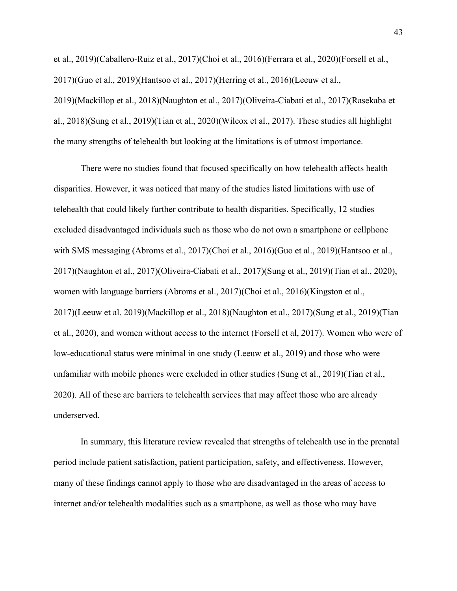et al., 2019)(Caballero-Ruiz et al., 2017)(Choi et al., 2016)(Ferrara et al., 2020)(Forsell et al., 2017)(Guo et al., 2019)(Hantsoo et al., 2017)(Herring et al., 2016)(Leeuw et al., 2019)(Mackillop et al., 2018)(Naughton et al., 2017)(Oliveira-Ciabati et al., 2017)(Rasekaba et al., 2018)(Sung et al., 2019)(Tian et al., 2020)(Wilcox et al., 2017). These studies all highlight the many strengths of telehealth but looking at the limitations is of utmost importance.

There were no studies found that focused specifically on how telehealth affects health disparities. However, it was noticed that many of the studies listed limitations with use of telehealth that could likely further contribute to health disparities. Specifically, 12 studies excluded disadvantaged individuals such as those who do not own a smartphone or cellphone with SMS messaging (Abroms et al., 2017)(Choi et al., 2016)(Guo et al., 2019)(Hantsoo et al., 2017)(Naughton et al., 2017)(Oliveira-Ciabati et al., 2017)(Sung et al., 2019)(Tian et al., 2020), women with language barriers (Abroms et al., 2017)(Choi et al., 2016)(Kingston et al., 2017)(Leeuw et al. 2019)(Mackillop et al., 2018)(Naughton et al., 2017)(Sung et al., 2019)(Tian et al., 2020), and women without access to the internet (Forsell et al, 2017). Women who were of low-educational status were minimal in one study (Leeuw et al., 2019) and those who were unfamiliar with mobile phones were excluded in other studies (Sung et al., 2019)(Tian et al., 2020). All of these are barriers to telehealth services that may affect those who are already underserved.

In summary, this literature review revealed that strengths of telehealth use in the prenatal period include patient satisfaction, patient participation, safety, and effectiveness. However, many of these findings cannot apply to those who are disadvantaged in the areas of access to internet and/or telehealth modalities such as a smartphone, as well as those who may have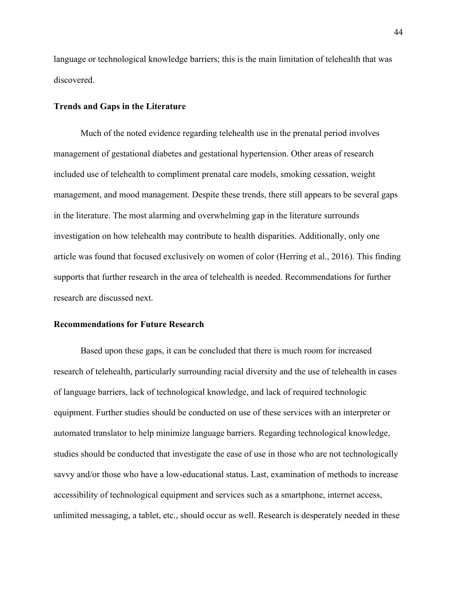language or technological knowledge barriers; this is the main limitation of telehealth that was discovered.

## **Trends and Gaps in the Literature**

Much of the noted evidence regarding telehealth use in the prenatal period involves management of gestational diabetes and gestational hypertension. Other areas of research included use of telehealth to compliment prenatal care models, smoking cessation, weight management, and mood management. Despite these trends, there still appears to be several gaps in the literature. The most alarming and overwhelming gap in the literature surrounds investigation on how telehealth may contribute to health disparities. Additionally, only one article was found that focused exclusively on women of color (Herring et al., 2016). This finding supports that further research in the area of telehealth is needed. Recommendations for further research are discussed next.

#### **Recommendations for Future Research**

Based upon these gaps, it can be concluded that there is much room for increased research of telehealth, particularly surrounding racial diversity and the use of telehealth in cases of language barriers, lack of technological knowledge, and lack of required technologic equipment. Further studies should be conducted on use of these services with an interpreter or automated translator to help minimize language barriers. Regarding technological knowledge, studies should be conducted that investigate the ease of use in those who are not technologically savvy and/or those who have a low-educational status. Last, examination of methods to increase accessibility of technological equipment and services such as a smartphone, internet access, unlimited messaging, a tablet, etc., should occur as well. Research is desperately needed in these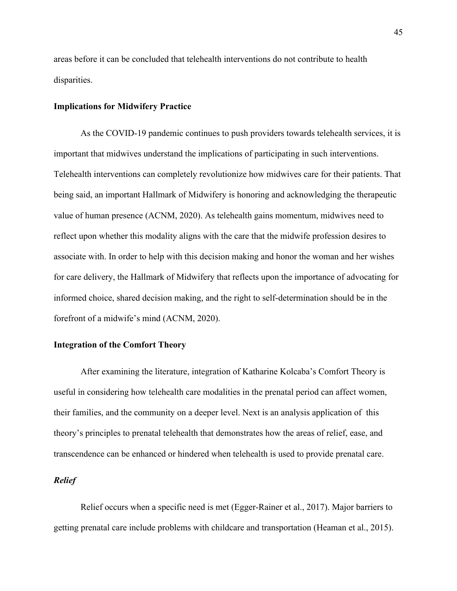areas before it can be concluded that telehealth interventions do not contribute to health disparities.

### **Implications for Midwifery Practice**

As the COVID-19 pandemic continues to push providers towards telehealth services, it is important that midwives understand the implications of participating in such interventions. Telehealth interventions can completely revolutionize how midwives care for their patients. That being said, an important Hallmark of Midwifery is honoring and acknowledging the therapeutic value of human presence (ACNM, 2020). As telehealth gains momentum, midwives need to reflect upon whether this modality aligns with the care that the midwife profession desires to associate with. In order to help with this decision making and honor the woman and her wishes for care delivery, the Hallmark of Midwifery that reflects upon the importance of advocating for informed choice, shared decision making, and the right to self-determination should be in the forefront of a midwife's mind (ACNM, 2020).

## **Integration of the Comfort Theory**

After examining the literature, integration of Katharine Kolcaba's Comfort Theory is useful in considering how telehealth care modalities in the prenatal period can affect women, their families, and the community on a deeper level. Next is an analysis application of this theory's principles to prenatal telehealth that demonstrates how the areas of relief, ease, and transcendence can be enhanced or hindered when telehealth is used to provide prenatal care.

### *Relief*

Relief occurs when a specific need is met (Egger-Rainer et al., 2017). Major barriers to getting prenatal care include problems with childcare and transportation (Heaman et al., 2015).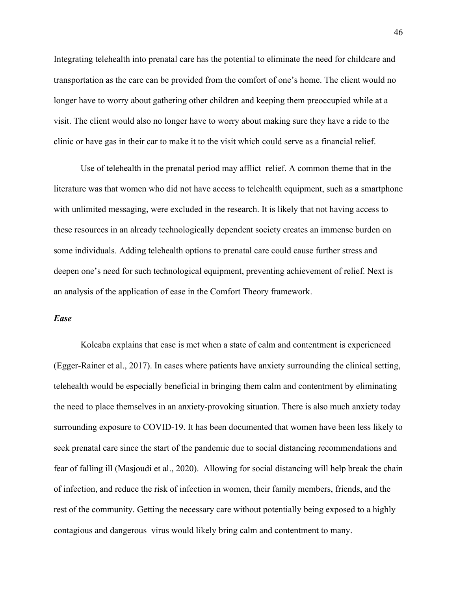Integrating telehealth into prenatal care has the potential to eliminate the need for childcare and transportation as the care can be provided from the comfort of one's home. The client would no longer have to worry about gathering other children and keeping them preoccupied while at a visit. The client would also no longer have to worry about making sure they have a ride to the clinic or have gas in their car to make it to the visit which could serve as a financial relief.

Use of telehealth in the prenatal period may afflict relief. A common theme that in the literature was that women who did not have access to telehealth equipment, such as a smartphone with unlimited messaging, were excluded in the research. It is likely that not having access to these resources in an already technologically dependent society creates an immense burden on some individuals. Adding telehealth options to prenatal care could cause further stress and deepen one's need for such technological equipment, preventing achievement of relief. Next is an analysis of the application of ease in the Comfort Theory framework.

## *Ease*

Kolcaba explains that ease is met when a state of calm and contentment is experienced (Egger-Rainer et al., 2017). In cases where patients have anxiety surrounding the clinical setting, telehealth would be especially beneficial in bringing them calm and contentment by eliminating the need to place themselves in an anxiety-provoking situation. There is also much anxiety today surrounding exposure to COVID-19. It has been documented that women have been less likely to seek prenatal care since the start of the pandemic due to social distancing recommendations and fear of falling ill (Masjoudi et al., 2020). Allowing for social distancing will help break the chain of infection, and reduce the risk of infection in women, their family members, friends, and the rest of the community. Getting the necessary care without potentially being exposed to a highly contagious and dangerous virus would likely bring calm and contentment to many.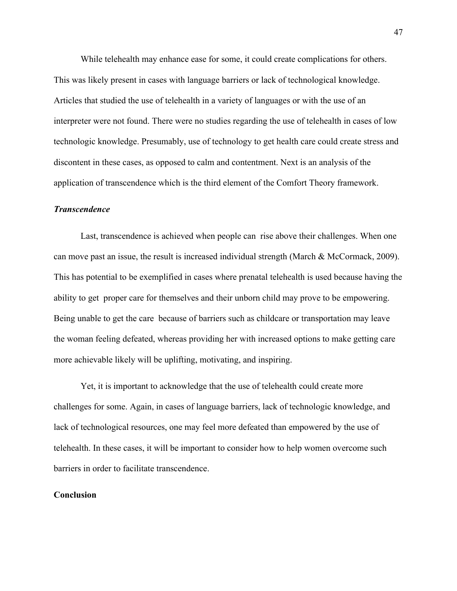While telehealth may enhance ease for some, it could create complications for others. This was likely present in cases with language barriers or lack of technological knowledge. Articles that studied the use of telehealth in a variety of languages or with the use of an interpreter were not found. There were no studies regarding the use of telehealth in cases of low technologic knowledge. Presumably, use of technology to get health care could create stress and discontent in these cases, as opposed to calm and contentment. Next is an analysis of the application of transcendence which is the third element of the Comfort Theory framework.

# *Transcendence*

Last, transcendence is achieved when people can rise above their challenges. When one can move past an issue, the result is increased individual strength (March & McCormack, 2009). This has potential to be exemplified in cases where prenatal telehealth is used because having the ability to get proper care for themselves and their unborn child may prove to be empowering. Being unable to get the care because of barriers such as childcare or transportation may leave the woman feeling defeated, whereas providing her with increased options to make getting care more achievable likely will be uplifting, motivating, and inspiring.

Yet, it is important to acknowledge that the use of telehealth could create more challenges for some. Again, in cases of language barriers, lack of technologic knowledge, and lack of technological resources, one may feel more defeated than empowered by the use of telehealth. In these cases, it will be important to consider how to help women overcome such barriers in order to facilitate transcendence.

### **Conclusion**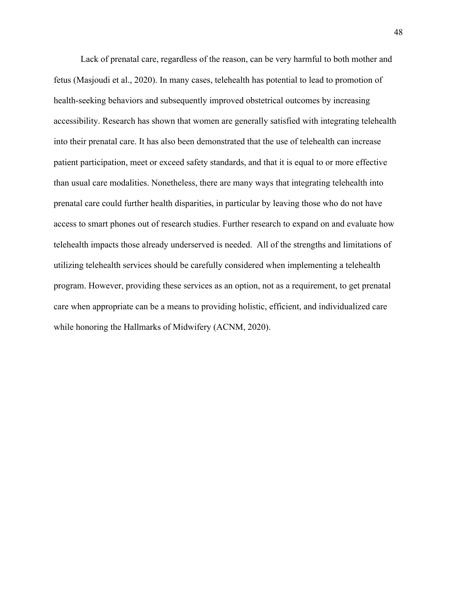Lack of prenatal care, regardless of the reason, can be very harmful to both mother and fetus (Masjoudi et al., 2020). In many cases, telehealth has potential to lead to promotion of health-seeking behaviors and subsequently improved obstetrical outcomes by increasing accessibility. Research has shown that women are generally satisfied with integrating telehealth into their prenatal care. It has also been demonstrated that the use of telehealth can increase patient participation, meet or exceed safety standards, and that it is equal to or more effective than usual care modalities. Nonetheless, there are many ways that integrating telehealth into prenatal care could further health disparities, in particular by leaving those who do not have access to smart phones out of research studies. Further research to expand on and evaluate how telehealth impacts those already underserved is needed. All of the strengths and limitations of utilizing telehealth services should be carefully considered when implementing a telehealth program. However, providing these services as an option, not as a requirement, to get prenatal care when appropriate can be a means to providing holistic, efficient, and individualized care while honoring the Hallmarks of Midwifery (ACNM, 2020).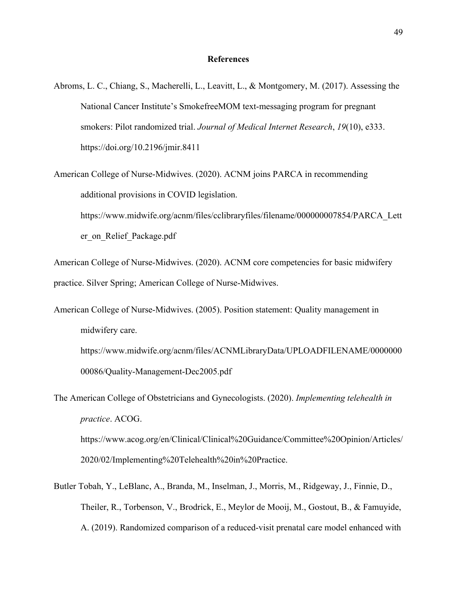#### **References**

- Abroms, L. C., Chiang, S., Macherelli, L., Leavitt, L., & Montgomery, M. (2017). Assessing the National Cancer Institute's SmokefreeMOM text-messaging program for pregnant smokers: Pilot randomized trial. *Journal of Medical Internet Research*, *19*(10), e333. https://doi.org/10.2196/jmir.8411
- American College of Nurse-Midwives. (2020). ACNM joins PARCA in recommending additional provisions in COVID legislation. https://www.midwife.org/acnm/files/cclibraryfiles/filename/000000007854/PARCA\_Lett

er\_on\_Relief\_Package.pdf

American College of Nurse-Midwives. (2020). ACNM core competencies for basic midwifery practice. Silver Spring; American College of Nurse-Midwives.

American College of Nurse-Midwives. (2005). Position statement: Quality management in midwifery care. https://www.midwife.org/acnm/files/ACNMLibraryData/UPLOADFILENAME/0000000 00086/Quality-Management-Dec2005.pdf

The American College of Obstetricians and Gynecologists. (2020). *Implementing telehealth in practice*. ACOG. https://www.acog.org/en/Clinical/Clinical%20Guidance/Committee%20Opinion/Articles/ 2020/02/Implementing%20Telehealth%20in%20Practice.

Butler Tobah, Y., LeBlanc, A., Branda, M., Inselman, J., Morris, M., Ridgeway, J., Finnie, D., Theiler, R., Torbenson, V., Brodrick, E., Meylor de Mooij, M., Gostout, B., & Famuyide, A. (2019). Randomized comparison of a reduced-visit prenatal care model enhanced with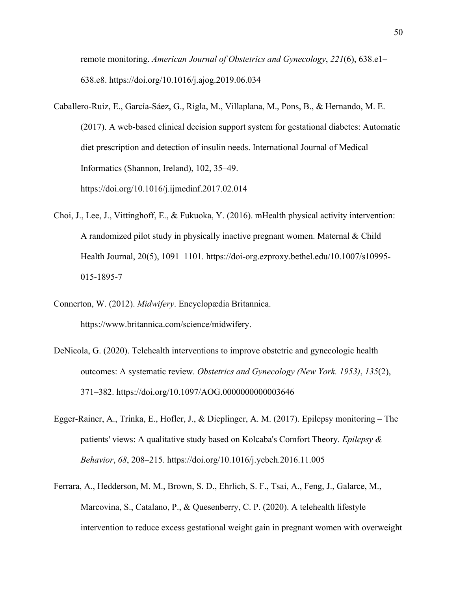remote monitoring. *American Journal of Obstetrics and Gynecology*, *221*(6), 638.e1– 638.e8. https://doi.org/10.1016/j.ajog.2019.06.034

- Caballero-Ruiz, E., García-Sáez, G., Rigla, M., Villaplana, M., Pons, B., & Hernando, M. E. (2017). A web-based clinical decision support system for gestational diabetes: Automatic diet prescription and detection of insulin needs. International Journal of Medical Informatics (Shannon, Ireland), 102, 35–49. https://doi.org/10.1016/j.ijmedinf.2017.02.014
- Choi, J., Lee, J., Vittinghoff, E., & Fukuoka, Y. (2016). mHealth physical activity intervention: A randomized pilot study in physically inactive pregnant women. Maternal & Child Health Journal, 20(5), 1091–1101. https://doi-org.ezproxy.bethel.edu/10.1007/s10995- 015-1895-7
- Connerton, W. (2012). *Midwifery*. Encyclopædia Britannica. https://www.britannica.com/science/midwifery.
- DeNicola, G. (2020). Telehealth interventions to improve obstetric and gynecologic health outcomes: A systematic review. *Obstetrics and Gynecology (New York. 1953)*, *135*(2), 371–382. https://doi.org/10.1097/AOG.0000000000003646
- Egger-Rainer, A., Trinka, E., Hofler, J., & Dieplinger, A. M. (2017). Epilepsy monitoring The patients' views: A qualitative study based on Kolcaba's Comfort Theory. *Epilepsy & Behavior*, *68*, 208–215. https://doi.org/10.1016/j.yebeh.2016.11.005
- Ferrara, A., Hedderson, M. M., Brown, S. D., Ehrlich, S. F., Tsai, A., Feng, J., Galarce, M., Marcovina, S., Catalano, P., & Quesenberry, C. P. (2020). A telehealth lifestyle intervention to reduce excess gestational weight gain in pregnant women with overweight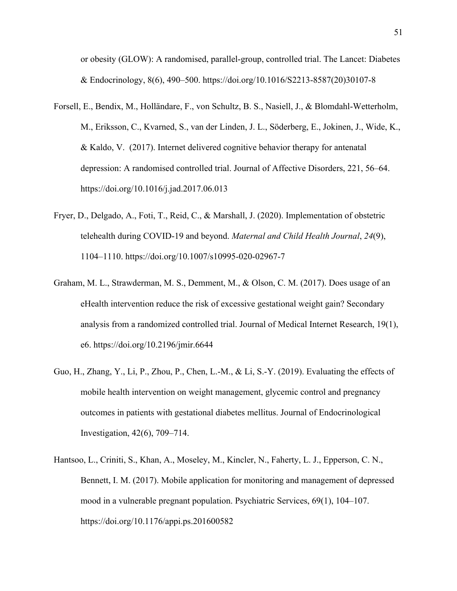or obesity (GLOW): A randomised, parallel-group, controlled trial. The Lancet: Diabetes & Endocrinology, 8(6), 490–500. https://doi.org/10.1016/S2213-8587(20)30107-8

- Forsell, E., Bendix, M., Holländare, F., von Schultz, B. S., Nasiell, J., & Blomdahl-Wetterholm, M., Eriksson, C., Kvarned, S., van der Linden, J. L., Söderberg, E., Jokinen, J., Wide, K., & Kaldo, V. (2017). Internet delivered cognitive behavior therapy for antenatal depression: A randomised controlled trial. Journal of Affective Disorders, 221, 56–64. https://doi.org/10.1016/j.jad.2017.06.013
- Fryer, D., Delgado, A., Foti, T., Reid, C., & Marshall, J. (2020). Implementation of obstetric telehealth during COVID-19 and beyond. *Maternal and Child Health Journal*, *24*(9), 1104–1110. https://doi.org/10.1007/s10995-020-02967-7
- Graham, M. L., Strawderman, M. S., Demment, M., & Olson, C. M. (2017). Does usage of an eHealth intervention reduce the risk of excessive gestational weight gain? Secondary analysis from a randomized controlled trial. Journal of Medical Internet Research, 19(1), e6. https://doi.org/10.2196/jmir.6644
- Guo, H., Zhang, Y., Li, P., Zhou, P., Chen, L.-M., & Li, S.-Y. (2019). Evaluating the effects of mobile health intervention on weight management, glycemic control and pregnancy outcomes in patients with gestational diabetes mellitus. Journal of Endocrinological Investigation, 42(6), 709–714.
- Hantsoo, L., Criniti, S., Khan, A., Moseley, M., Kincler, N., Faherty, L. J., Epperson, C. N., Bennett, I. M. (2017). Mobile application for monitoring and management of depressed mood in a vulnerable pregnant population. Psychiatric Services, 69(1), 104–107. https://doi.org/10.1176/appi.ps.201600582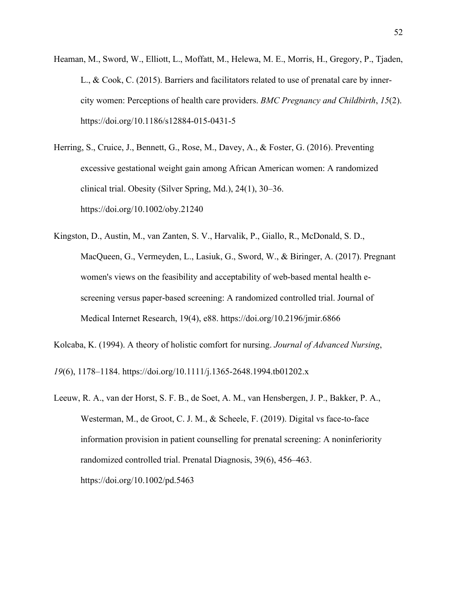- Heaman, M., Sword, W., Elliott, L., Moffatt, M., Helewa, M. E., Morris, H., Gregory, P., Tjaden, L., & Cook, C. (2015). Barriers and facilitators related to use of prenatal care by innercity women: Perceptions of health care providers. *BMC Pregnancy and Childbirth*, *15*(2). https://doi.org/10.1186/s12884-015-0431-5
- Herring, S., Cruice, J., Bennett, G., Rose, M., Davey, A., & Foster, G. (2016). Preventing excessive gestational weight gain among African American women: A randomized clinical trial. Obesity (Silver Spring, Md.), 24(1), 30–36. https://doi.org/10.1002/oby.21240
- Kingston, D., Austin, M., van Zanten, S. V., Harvalik, P., Giallo, R., McDonald, S. D., MacQueen, G., Vermeyden, L., Lasiuk, G., Sword, W., & Biringer, A. (2017). Pregnant women's views on the feasibility and acceptability of web-based mental health escreening versus paper-based screening: A randomized controlled trial. Journal of Medical Internet Research, 19(4), e88. https://doi.org/10.2196/jmir.6866
- Kolcaba, K. (1994). A theory of holistic comfort for nursing. *Journal of Advanced Nursing*,

*19*(6), 1178–1184. https://doi.org/10.1111/j.1365-2648.1994.tb01202.x

Leeuw, R. A., van der Horst, S. F. B., de Soet, A. M., van Hensbergen, J. P., Bakker, P. A., Westerman, M., de Groot, C. J. M., & Scheele, F. (2019). Digital vs face-to-face information provision in patient counselling for prenatal screening: A noninferiority randomized controlled trial. Prenatal Diagnosis, 39(6), 456–463. https://doi.org/10.1002/pd.5463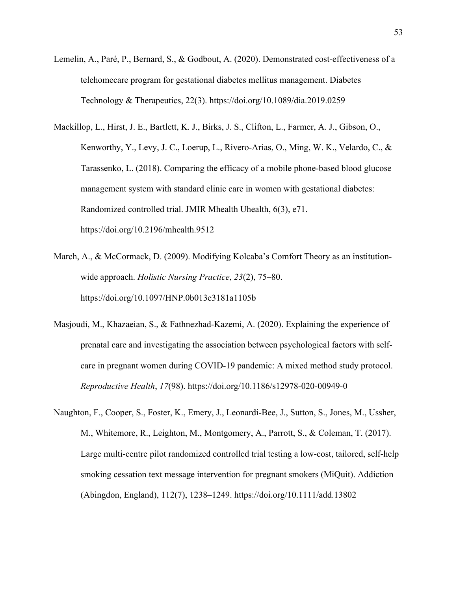- Lemelin, A., Paré, P., Bernard, S., & Godbout, A. (2020). Demonstrated cost-effectiveness of a telehomecare program for gestational diabetes mellitus management. Diabetes Technology & Therapeutics, 22(3). https://doi.org/10.1089/dia.2019.0259
- Mackillop, L., Hirst, J. E., Bartlett, K. J., Birks, J. S., Clifton, L., Farmer, A. J., Gibson, O., Kenworthy, Y., Levy, J. C., Loerup, L., Rivero-Arias, O., Ming, W. K., Velardo, C., & Tarassenko, L. (2018). Comparing the efficacy of a mobile phone-based blood glucose management system with standard clinic care in women with gestational diabetes: Randomized controlled trial. JMIR Mhealth Uhealth, 6(3), e71. https://doi.org/10.2196/mhealth.9512
- March, A., & McCormack, D. (2009). Modifying Kolcaba's Comfort Theory as an institutionwide approach. *Holistic Nursing Practice*, *23*(2), 75–80. https://doi.org/10.1097/HNP.0b013e3181a1105b
- Masjoudi, M., Khazaeian, S., & Fathnezhad-Kazemi, A. (2020). Explaining the experience of prenatal care and investigating the association between psychological factors with selfcare in pregnant women during COVID-19 pandemic: A mixed method study protocol. *Reproductive Health*, *17*(98). https://doi.org/10.1186/s12978-020-00949-0
- Naughton, F., Cooper, S., Foster, K., Emery, J., Leonardi‐Bee, J., Sutton, S., Jones, M., Ussher, M., Whitemore, R., Leighton, M., Montgomery, A., Parrott, S., & Coleman, T. (2017). Large multi-centre pilot randomized controlled trial testing a low-cost, tailored, self-help smoking cessation text message intervention for pregnant smokers (MiQuit). Addiction (Abingdon, England), 112(7), 1238–1249. https://doi.org/10.1111/add.13802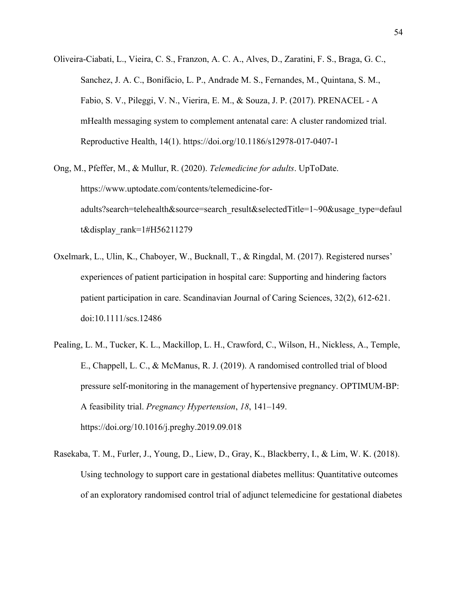- Oliveira-Ciabati, L., Vieira, C. S., Franzon, A. C. A., Alves, D., Zaratini, F. S., Braga, G. C., Sanchez, J. A. C., Bonifácio, L. P., Andrade M. S., Fernandes, M., Quintana, S. M., Fabio, S. V., Pileggi, V. N., Vierira, E. M., & Souza, J. P. (2017). PRENACEL - A mHealth messaging system to complement antenatal care: A cluster randomized trial. Reproductive Health, 14(1). https://doi.org/10.1186/s12978-017-0407-1
- Ong, M., Pfeffer, M., & Mullur, R. (2020). *Telemedicine for adults*. UpToDate. https://www.uptodate.com/contents/telemedicine-foradults?search=telehealth&source=search\_result&selectedTitle=1~90&usage\_type=defaul t&display\_rank=1#H56211279
- Oxelmark, L., Ulin, K., Chaboyer, W., Bucknall, T., & Ringdal, M. (2017). Registered nurses' experiences of patient participation in hospital care: Supporting and hindering factors patient participation in care. Scandinavian Journal of Caring Sciences, 32(2), 612-621. doi:10.1111/scs.12486
- Pealing, L. M., Tucker, K. L., Mackillop, L. H., Crawford, C., Wilson, H., Nickless, A., Temple, E., Chappell, L. C., & McManus, R. J. (2019). A randomised controlled trial of blood pressure self-monitoring in the management of hypertensive pregnancy. OPTIMUM-BP: A feasibility trial. *Pregnancy Hypertension*, *18*, 141–149. https://doi.org/10.1016/j.preghy.2019.09.018
- Rasekaba, T. M., Furler, J., Young, D., Liew, D., Gray, K., Blackberry, I., & Lim, W. K. (2018). Using technology to support care in gestational diabetes mellitus: Quantitative outcomes of an exploratory randomised control trial of adjunct telemedicine for gestational diabetes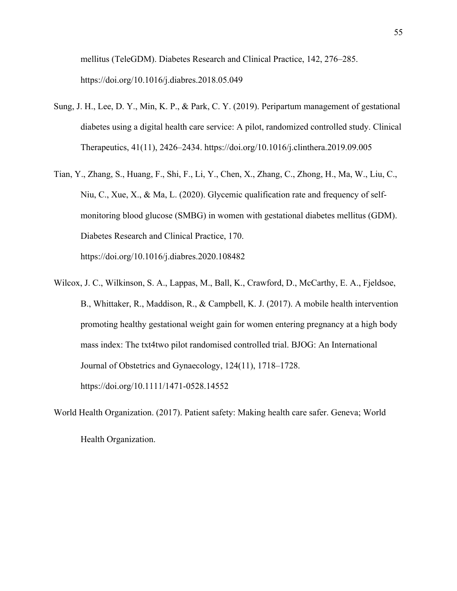mellitus (TeleGDM). Diabetes Research and Clinical Practice, 142, 276–285. https://doi.org/10.1016/j.diabres.2018.05.049

- Sung, J. H., Lee, D. Y., Min, K. P., & Park, C. Y. (2019). Peripartum management of gestational diabetes using a digital health care service: A pilot, randomized controlled study. Clinical Therapeutics, 41(11), 2426–2434. https://doi.org/10.1016/j.clinthera.2019.09.005
- Tian, Y., Zhang, S., Huang, F., Shi, F., Li, Y., Chen, X., Zhang, C., Zhong, H., Ma, W., Liu, C., Niu, C., Xue, X., & Ma, L. (2020). Glycemic qualification rate and frequency of selfmonitoring blood glucose (SMBG) in women with gestational diabetes mellitus (GDM). Diabetes Research and Clinical Practice, 170. https://doi.org/10.1016/j.diabres.2020.108482
- Wilcox, J. C., Wilkinson, S. A., Lappas, M., Ball, K., Crawford, D., McCarthy, E. A., Fjeldsoe, B., Whittaker, R., Maddison, R., & Campbell, K. J. (2017). A mobile health intervention promoting healthy gestational weight gain for women entering pregnancy at a high body mass index: The txt4two pilot randomised controlled trial. BJOG: An International Journal of Obstetrics and Gynaecology, 124(11), 1718–1728. https://doi.org/10.1111/1471-0528.14552
- World Health Organization. (2017). Patient safety: Making health care safer. Geneva; World Health Organization.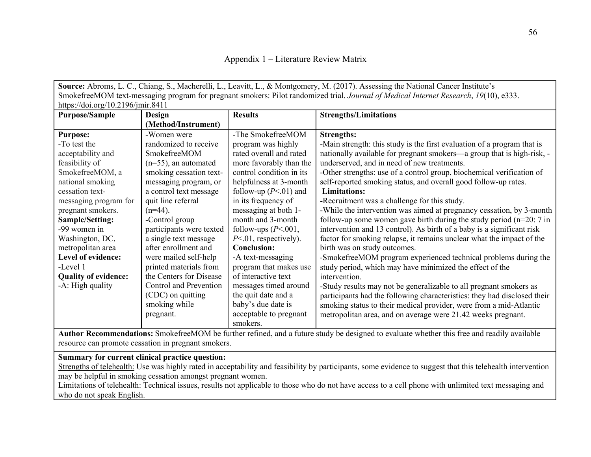| Appendix 1 – Literature Review Matrix |  |  |  |  |
|---------------------------------------|--|--|--|--|
|---------------------------------------|--|--|--|--|

**Source:** Abroms, L. C., Chiang, S., Macherelli, L., Leavitt, L., & Montgomery, M. (2017). Assessing the National Cancer Institute's SmokefreeMOM text-messaging program for pregnant smokers: Pilot randomized trial. *Journal of Medical Internet Research*, *19*(10), e333. https://doi.org/10.2196/jmir.8411 **Purpose/Sample Design (Method/Instrument) Results Strengths/Limitations Purpose:** -To test the acceptability and feasibility of SmokefreeMOM, a national smoking cessation textmessaging program for pregnant smokers. **Sample/Setting:** -99 women in Washington, DC, metropolitan area **Level of evidence:** -Level 1 **Quality of evidence:** -A: High quality -Women were randomized to receive SmokefreeMOM (n=55), an automated smoking cessation textmessaging program, or a control text message quit line referral  $(n=44)$ . -Control group participants were texted a single text message after enrollment and were mailed self-help printed materials from the Centers for Disease Control and Prevention (CDC) on quitting smoking while pregnant. -The SmokefreeMOM program was highly rated overall and rated more favorably than the control condition in its helpfulness at 3-month follow-up  $(P<.01)$  and in its frequency of messaging at both 1 month and 3-month follow-ups  $(P<.001$ , *P*<.01, respectively). **Conclusion:** -A text-messaging program that makes use of interactive text messages timed around the quit date and a baby's due date is acceptable to pregnant smokers. **Strengths:** -Main strength: this study is the first evaluation of a program that is nationally available for pregnant smokers—a group that is high-risk, underserved, and in need of new treatments. -Other strengths: use of a control group, biochemical verification of self-reported smoking status, and overall good follow-up rates. **Limitations:** -Recruitment was a challenge for this study. -While the intervention was aimed at pregnancy cessation, by 3-month follow-up some women gave birth during the study period  $(n=20: 7$  in intervention and 13 control). As birth of a baby is a significant risk factor for smoking relapse, it remains unclear what the impact of the birth was on study outcomes. -SmokefreeMOM program experienced technical problems during the study period, which may have minimized the effect of the intervention. -Study results may not be generalizable to all pregnant smokers as participants had the following characteristics: they had disclosed their smoking status to their medical provider, were from a mid-Atlantic metropolitan area, and on average were 21.42 weeks pregnant.

**Author Recommendations:** SmokefreeMOM be further refined, and a future study be designed to evaluate whether this free and readily available resource can promote cessation in pregnant smokers.

## **Summary for current clinical practice question:**

Strengths of telehealth: Use was highly rated in acceptability and feasibility by participants, some evidence to suggest that this telehealth intervention may be helpful in smoking cessation amongst pregnant women.

Limitations of telehealth: Technical issues, results not applicable to those who do not have access to a cell phone with unlimited text messaging and who do not speak English.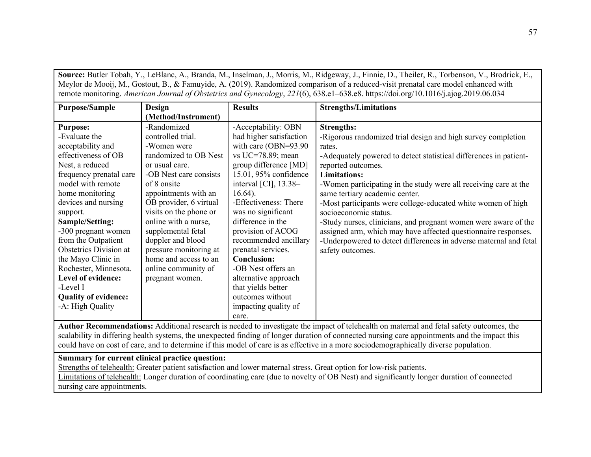**Source:** Butler Tobah, Y., LeBlanc, A., Branda, M., Inselman, J., Morris, M., Ridgeway, J., Finnie, D., Theiler, R., Torbenson, V., Brodrick, E., Meylor de Mooij, M., Gostout, B., & Famuyide, A. (2019). Randomized comparison of a reduced-visit prenatal care model enhanced with remote monitoring. *American Journal of Obstetrics and Gynecology*, *221*(6), 638.e1–638.e8. https://doi.org/10.1016/j.ajog.2019.06.034

| <b>Purpose/Sample</b>         | <b>Design</b>          | <b>Results</b>          | <b>Strengths/Limitations</b>                                      |
|-------------------------------|------------------------|-------------------------|-------------------------------------------------------------------|
|                               | (Method/Instrument)    |                         |                                                                   |
| <b>Purpose:</b>               | -Randomized            | -Acceptability: OBN     | <b>Strengths:</b>                                                 |
| -Evaluate the                 | controlled trial.      | had higher satisfaction | -Rigorous randomized trial design and high survey completion      |
| acceptability and             | -Women were            | with care (OBN=93.90    | rates.                                                            |
| effectiveness of OB           | randomized to OB Nest  | vs UC=78.89; mean       | -Adequately powered to detect statistical differences in patient- |
| Nest, a reduced               | or usual care.         | group difference [MD]   | reported outcomes.                                                |
| frequency prenatal care       | -OB Nest care consists | 15.01, 95% confidence   | <b>Limitations:</b>                                               |
| model with remote             | of 8 onsite            | interval [CI], $13.38-$ | -Women participating in the study were all receiving care at the  |
| home monitoring               | appointments with an   | $16.64$ ).              | same tertiary academic center.                                    |
| devices and nursing           | OB provider, 6 virtual | -Effectiveness: There   | -Most participants were college-educated white women of high      |
| support.                      | visits on the phone or | was no significant      | socioeconomic status.                                             |
| Sample/Setting:               | online with a nurse,   | difference in the       | -Study nurses, clinicians, and pregnant women were aware of the   |
| -300 pregnant women           | supplemental fetal     | provision of ACOG       | assigned arm, which may have affected questionnaire responses.    |
| from the Outpatient           | doppler and blood      | recommended ancillary   | -Underpowered to detect differences in adverse maternal and fetal |
| <b>Obstetrics Division at</b> | pressure monitoring at | prenatal services.      | safety outcomes.                                                  |
| the Mayo Clinic in            | home and access to an  | <b>Conclusion:</b>      |                                                                   |
| Rochester, Minnesota.         | online community of    | -OB Nest offers an      |                                                                   |
| Level of evidence:            | pregnant women.        | alternative approach    |                                                                   |
| -Level I                      |                        | that yields better      |                                                                   |
| <b>Quality of evidence:</b>   |                        | outcomes without        |                                                                   |
| -A: High Quality              |                        | impacting quality of    |                                                                   |
|                               |                        | care.                   |                                                                   |

**Author Recommendations:** Additional research is needed to investigate the impact of telehealth on maternal and fetal safety outcomes, the scalability in differing health systems, the unexpected finding of longer duration of connected nursing care appointments and the impact this could have on cost of care, and to determine if this model of care is as effective in a more sociodemographically diverse population.

# **Summary for current clinical practice question:**

Strengths of telehealth: Greater patient satisfaction and lower maternal stress. Great option for low-risk patients. Limitations of telehealth: Longer duration of coordinating care (due to novelty of OB Nest) and significantly longer duration of connected nursing care appointments.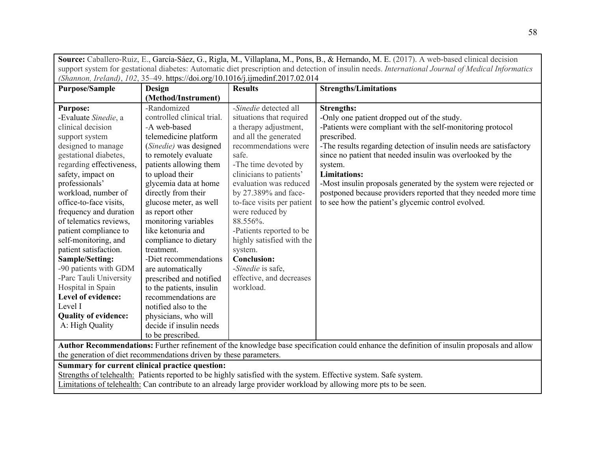|                                                                                                                                                   | Source: Caballero-Ruiz, E., García-Sáez, G., Rigla, M., Villaplana, M., Pons, B., & Hernando, M. E. (2017). A web-based clinical decision |                                                                                |                                                                                                                                            |  |
|---------------------------------------------------------------------------------------------------------------------------------------------------|-------------------------------------------------------------------------------------------------------------------------------------------|--------------------------------------------------------------------------------|--------------------------------------------------------------------------------------------------------------------------------------------|--|
| support system for gestational diabetes: Automatic diet prescription and detection of insulin needs. International Journal of Medical Informatics |                                                                                                                                           |                                                                                |                                                                                                                                            |  |
|                                                                                                                                                   |                                                                                                                                           | (Shannon, Ireland), 102, 35-49. https://doi.org/10.1016/j.ijmedinf.2017.02.014 |                                                                                                                                            |  |
| <b>Purpose/Sample</b>                                                                                                                             | <b>Design</b>                                                                                                                             | <b>Results</b>                                                                 | <b>Strengths/Limitations</b>                                                                                                               |  |
|                                                                                                                                                   | (Method/Instrument)                                                                                                                       |                                                                                |                                                                                                                                            |  |
| <b>Purpose:</b>                                                                                                                                   | -Randomized                                                                                                                               | -Sinedie detected all                                                          | <b>Strengths:</b>                                                                                                                          |  |
| -Evaluate Sinedie, a                                                                                                                              | controlled clinical trial.                                                                                                                | situations that required                                                       | -Only one patient dropped out of the study.                                                                                                |  |
| clinical decision                                                                                                                                 | -A web-based                                                                                                                              | a therapy adjustment,                                                          | -Patients were compliant with the self-monitoring protocol                                                                                 |  |
| support system                                                                                                                                    | telemedicine platform                                                                                                                     | and all the generated                                                          | prescribed.                                                                                                                                |  |
| designed to manage                                                                                                                                | (Sinedie) was designed                                                                                                                    | recommendations were                                                           | -The results regarding detection of insulin needs are satisfactory                                                                         |  |
| gestational diabetes,                                                                                                                             | to remotely evaluate                                                                                                                      | safe.                                                                          | since no patient that needed insulin was overlooked by the                                                                                 |  |
| regarding effectiveness,                                                                                                                          | patients allowing them                                                                                                                    | -The time devoted by                                                           | system.                                                                                                                                    |  |
| safety, impact on                                                                                                                                 | to upload their                                                                                                                           | clinicians to patients'                                                        | <b>Limitations:</b>                                                                                                                        |  |
| professionals'                                                                                                                                    | glycemia data at home                                                                                                                     | evaluation was reduced                                                         | -Most insulin proposals generated by the system were rejected or                                                                           |  |
| workload, number of                                                                                                                               | directly from their                                                                                                                       | by 27.389% and face-                                                           | postponed because providers reported that they needed more time                                                                            |  |
| office-to-face visits,                                                                                                                            | glucose meter, as well                                                                                                                    | to-face visits per patient                                                     | to see how the patient's glycemic control evolved.                                                                                         |  |
| frequency and duration                                                                                                                            | as report other                                                                                                                           | were reduced by                                                                |                                                                                                                                            |  |
| of telematics reviews,                                                                                                                            | monitoring variables                                                                                                                      | 88.556%.                                                                       |                                                                                                                                            |  |
| patient compliance to                                                                                                                             | like ketonuria and                                                                                                                        | -Patients reported to be                                                       |                                                                                                                                            |  |
| self-monitoring, and                                                                                                                              | compliance to dietary                                                                                                                     | highly satisfied with the                                                      |                                                                                                                                            |  |
| patient satisfaction.                                                                                                                             | treatment.                                                                                                                                | system.                                                                        |                                                                                                                                            |  |
| Sample/Setting:                                                                                                                                   | -Diet recommendations                                                                                                                     | <b>Conclusion:</b>                                                             |                                                                                                                                            |  |
| -90 patients with GDM                                                                                                                             | are automatically                                                                                                                         | -Sinedie is safe,                                                              |                                                                                                                                            |  |
| -Parc Tauli University                                                                                                                            | prescribed and notified                                                                                                                   | effective, and decreases                                                       |                                                                                                                                            |  |
| Hospital in Spain                                                                                                                                 | to the patients, insulin                                                                                                                  | workload.                                                                      |                                                                                                                                            |  |
| Level of evidence:                                                                                                                                | recommendations are                                                                                                                       |                                                                                |                                                                                                                                            |  |
| Level I                                                                                                                                           | notified also to the                                                                                                                      |                                                                                |                                                                                                                                            |  |
| <b>Quality of evidence:</b>                                                                                                                       | physicians, who will                                                                                                                      |                                                                                |                                                                                                                                            |  |
| A: High Quality                                                                                                                                   | decide if insulin needs                                                                                                                   |                                                                                |                                                                                                                                            |  |
|                                                                                                                                                   | to be prescribed.                                                                                                                         |                                                                                |                                                                                                                                            |  |
|                                                                                                                                                   |                                                                                                                                           |                                                                                | Author Recommendations: Further refinement of the knowledge base specification could enhance the definition of insulin proposals and allow |  |
|                                                                                                                                                   | the generation of diet recommendations driven by these parameters.                                                                        |                                                                                |                                                                                                                                            |  |

**Summary for current clinical practice question:** 

Strengths of telehealth: Patients reported to be highly satisfied with the system. Effective system. Safe system.

Limitations of telehealth: Can contribute to an already large provider workload by allowing more pts to be seen.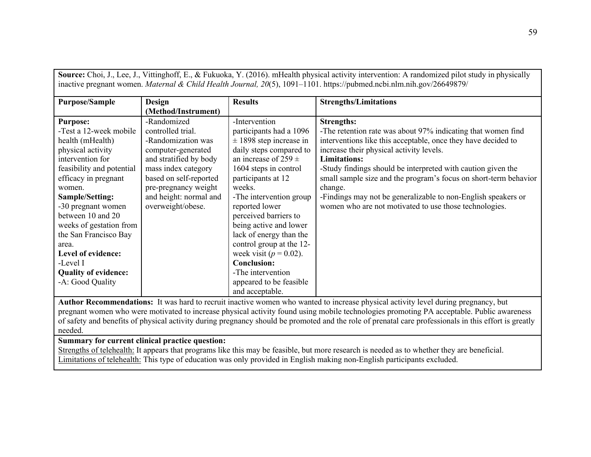| Source: Choi, J., Lee, J., Vittinghoff, E., & Fukuoka, Y. (2016). mHealth physical activity intervention: A randomized pilot study in physically                                                                                                                                                   |                                                |                                                                    |                                                                                                                         |
|----------------------------------------------------------------------------------------------------------------------------------------------------------------------------------------------------------------------------------------------------------------------------------------------------|------------------------------------------------|--------------------------------------------------------------------|-------------------------------------------------------------------------------------------------------------------------|
| inactive pregnant women. Maternal & Child Health Journal, 20(5), 1091-1101. https://pubmed.ncbi.nlm.nih.gov/26649879/                                                                                                                                                                              |                                                |                                                                    |                                                                                                                         |
| <b>Purpose/Sample</b>                                                                                                                                                                                                                                                                              | <b>Design</b><br>(Method/Instrument)           | <b>Results</b>                                                     | <b>Strengths/Limitations</b>                                                                                            |
| <b>Purpose:</b><br>-Test a 12-week mobile                                                                                                                                                                                                                                                          | -Randomized<br>controlled trial.               | -Intervention<br>participants had a 1096                           | <b>Strengths:</b><br>-The retention rate was about 97% indicating that women find                                       |
| health (mHealth)<br>physical activity                                                                                                                                                                                                                                                              | -Randomization was<br>computer-generated       | $\pm$ 1898 step increase in<br>daily steps compared to             | interventions like this acceptable, once they have decided to<br>increase their physical activity levels.               |
| intervention for<br>feasibility and potential                                                                                                                                                                                                                                                      | and stratified by body<br>mass index category  | an increase of 259 $\pm$<br>1604 steps in control                  | <b>Limitations:</b><br>-Study findings should be interpreted with caution given the                                     |
| efficacy in pregnant<br>women.                                                                                                                                                                                                                                                                     | based on self-reported<br>pre-pregnancy weight | participants at 12<br>weeks.                                       | small sample size and the program's focus on short-term behavior<br>change.                                             |
| Sample/Setting:<br>-30 pregnant women<br>between 10 and 20                                                                                                                                                                                                                                         | and height: normal and<br>overweight/obese.    | -The intervention group<br>reported lower<br>perceived barriers to | -Findings may not be generalizable to non-English speakers or<br>women who are not motivated to use those technologies. |
| weeks of gestation from<br>the San Francisco Bay                                                                                                                                                                                                                                                   |                                                | being active and lower<br>lack of energy than the                  |                                                                                                                         |
| area.<br>Level of evidence:                                                                                                                                                                                                                                                                        |                                                | control group at the 12-<br>week visit ( $p = 0.02$ ).             |                                                                                                                         |
| -Level I                                                                                                                                                                                                                                                                                           |                                                | <b>Conclusion:</b>                                                 |                                                                                                                         |
| <b>Quality of evidence:</b><br>-A: Good Quality                                                                                                                                                                                                                                                    |                                                | -The intervention<br>appeared to be feasible<br>and acceptable.    |                                                                                                                         |
| Author Recommendations: It was hard to recruit inactive women who wanted to increase physical activity level during pregnancy, but                                                                                                                                                                 |                                                |                                                                    |                                                                                                                         |
| pregnant women who were motivated to increase physical activity found using mobile technologies promoting PA acceptable. Public awareness<br>of safety and benefits of physical activity during pregnancy should be promoted and the role of prenatal care professionals in this effort is greatly |                                                |                                                                    |                                                                                                                         |

**Summary for current clinical practice question:** 

needed.

Strengths of telehealth: It appears that programs like this may be feasible, but more research is needed as to whether they are beneficial. Limitations of telehealth: This type of education was only provided in English making non-English participants excluded.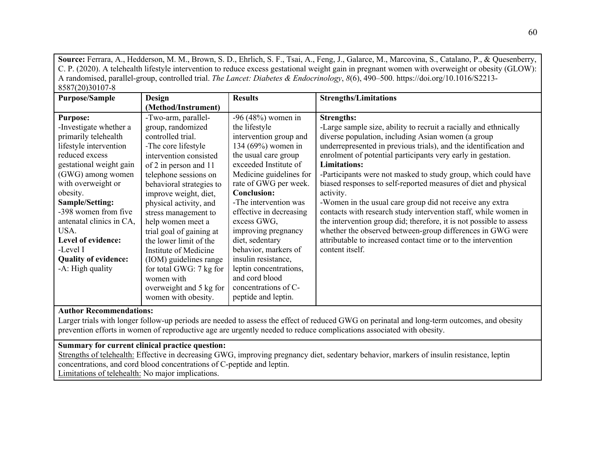**Source:** Ferrara, A., Hedderson, M. M., Brown, S. D., Ehrlich, S. F., Tsai, A., Feng, J., Galarce, M., Marcovina, S., Catalano, P., & Quesenberry, C. P. (2020). A telehealth lifestyle intervention to reduce excess gestational weight gain in pregnant women with overweight or obesity (GLOW): A randomised, parallel-group, controlled trial. *The Lancet: Diabetes & Endocrinology*, *8*(6), 490–500. https://doi.org/10.1016/S2213- 8587(20)30107-8

| <b>Purpose/Sample</b>       | <b>Design</b>            | <b>Results</b>          | <b>Strengths/Limitations</b>                                        |
|-----------------------------|--------------------------|-------------------------|---------------------------------------------------------------------|
|                             | (Method/Instrument)      |                         |                                                                     |
| <b>Purpose:</b>             | -Two-arm, parallel-      | $-96 (48%)$ women in    | <b>Strengths:</b>                                                   |
| -Investigate whether a      | group, randomized        | the lifestyle           | -Large sample size, ability to recruit a racially and ethnically    |
| primarily telehealth        | controlled trial.        | intervention group and  | diverse population, including Asian women (a group                  |
| lifestyle intervention      | -The core lifestyle      | 134 (69%) women in      | underrepresented in previous trials), and the identification and    |
| reduced excess              | intervention consisted   | the usual care group    | enrolment of potential participants very early in gestation.        |
| gestational weight gain     | of 2 in person and 11    | exceeded Institute of   | <b>Limitations:</b>                                                 |
| (GWG) among women           | telephone sessions on    | Medicine guidelines for | -Participants were not masked to study group, which could have      |
| with overweight or          | behavioral strategies to | rate of GWG per week.   | biased responses to self-reported measures of diet and physical     |
| obesity.                    | improve weight, diet,    | <b>Conclusion:</b>      | activity.                                                           |
| Sample/Setting:             | physical activity, and   | -The intervention was   | -Women in the usual care group did not receive any extra            |
| -398 women from five        | stress management to     | effective in decreasing | contacts with research study intervention staff, while women in     |
| antenatal clinics in CA,    | help women meet a        | excess GWG,             | the intervention group did; therefore, it is not possible to assess |
| USA.                        | trial goal of gaining at | improving pregnancy     | whether the observed between-group differences in GWG were          |
| Level of evidence:          | the lower limit of the   | diet, sedentary         | attributable to increased contact time or to the intervention       |
| -Level I                    | Institute of Medicine    | behavior, markers of    | content itself.                                                     |
| <b>Quality of evidence:</b> | (IOM) guidelines range   | insulin resistance,     |                                                                     |
| -A: High quality            | for total GWG: 7 kg for  | leptin concentrations,  |                                                                     |
|                             | women with               | and cord blood          |                                                                     |
|                             | overweight and 5 kg for  | concentrations of C-    |                                                                     |
|                             | women with obesity.      | peptide and leptin.     |                                                                     |

# **Author Recommendations:**

Larger trials with longer follow-up periods are needed to assess the effect of reduced GWG on perinatal and long-term outcomes, and obesity prevention efforts in women of reproductive age are urgently needed to reduce complications associated with obesity.

# **Summary for current clinical practice question:**

Strengths of telehealth: Effective in decreasing GWG, improving pregnancy diet, sedentary behavior, markers of insulin resistance, leptin concentrations, and cord blood concentrations of C-peptide and leptin. Limitations of telehealth: No major implications.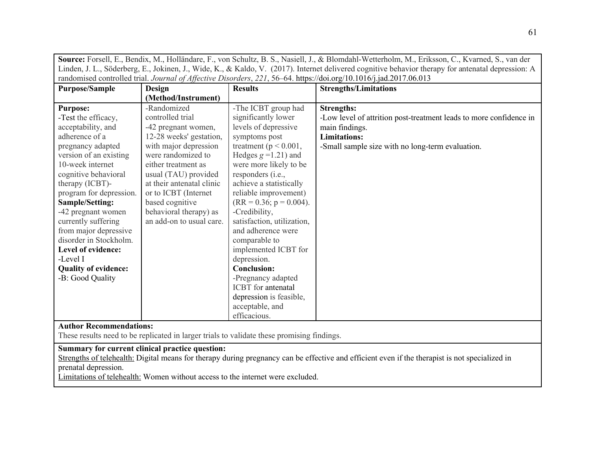| Source: Forsell, E., Bendix, M., Holländare, F., von Schultz, B. S., Nasiell, J., & Blomdahl-Wetterholm, M., Eriksson, C., Kvarned, S., van der    |
|----------------------------------------------------------------------------------------------------------------------------------------------------|
| Linden, J. L., Söderberg, E., Jokinen, J., Wide, K., & Kaldo, V. (2017). Internet delivered cognitive behavior therapy for antenatal depression: A |
| randomised controlled trial. Journal of Affective Disorders, 221, 56–64. https://doi.org/10.1016/j.jad.2017.06.013                                 |

| <b>Purpose/Sample</b>       | Design                    | <b>Results</b>             | <b>Strengths/Limitations</b>                                       |
|-----------------------------|---------------------------|----------------------------|--------------------------------------------------------------------|
|                             | (Method/Instrument)       |                            |                                                                    |
| <b>Purpose:</b>             | -Randomized               | -The ICBT group had        | <b>Strengths:</b>                                                  |
| -Test the efficacy,         | controlled trial          | significantly lower        | -Low level of attrition post-treatment leads to more confidence in |
| acceptability, and          | -42 pregnant women,       | levels of depressive       | main findings.                                                     |
| adherence of a              | 12-28 weeks' gestation,   | symptoms post              | <b>Limitations:</b>                                                |
| pregnancy adapted           | with major depression     | treatment ( $p < 0.001$ ,  | -Small sample size with no long-term evaluation.                   |
| version of an existing      | were randomized to        | Hedges $g = 1.21$ ) and    |                                                                    |
| 10-week internet            | either treatment as       | were more likely to be     |                                                                    |
| cognitive behavioral        | usual (TAU) provided      | responders (i.e.,          |                                                                    |
| therapy (ICBT)-             | at their antenatal clinic | achieve a statistically    |                                                                    |
| program for depression.     | or to ICBT (Internet      | reliable improvement)      |                                                                    |
| Sample/Setting:             | based cognitive           | $(RR = 0.36; p = 0.004).$  |                                                                    |
| -42 pregnant women          | behavioral therapy) as    | -Credibility,              |                                                                    |
| currently suffering         | an add-on to usual care.  | satisfaction, utilization, |                                                                    |
| from major depressive       |                           | and adherence were         |                                                                    |
| disorder in Stockholm.      |                           | comparable to              |                                                                    |
| Level of evidence:          |                           | implemented ICBT for       |                                                                    |
| -Level I                    |                           | depression.                |                                                                    |
| <b>Quality of evidence:</b> |                           | <b>Conclusion:</b>         |                                                                    |
| -B: Good Quality            |                           | -Pregnancy adapted         |                                                                    |
|                             |                           | ICBT for antenatal         |                                                                    |
|                             |                           | depression is feasible,    |                                                                    |
|                             |                           | acceptable, and            |                                                                    |
|                             |                           | efficacious.               |                                                                    |

# **Author Recommendations:**

These results need to be replicated in larger trials to validate these promising findings.

## **Summary for current clinical practice question:**

Strengths of telehealth: Digital means for therapy during pregnancy can be effective and efficient even if the therapist is not specialized in prenatal depression.

Limitations of telehealth: Women without access to the internet were excluded.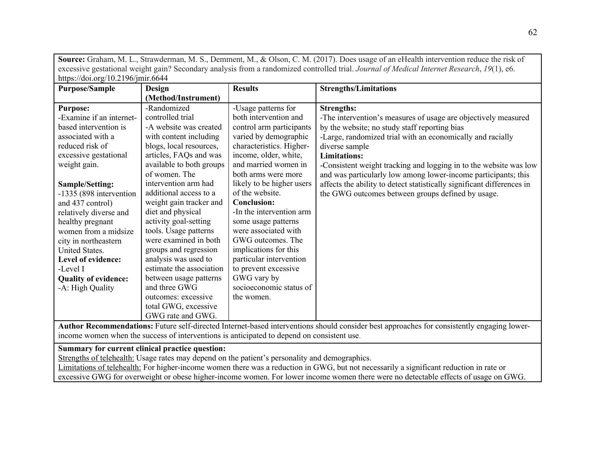**Source:** Graham, M. L., Strawderman, M. S., Demment, M., & Olson, C. M. (2017). Does usage of an eHealth intervention reduce the risk of excessive gestational weight gain? Secondary analysis from a randomized controlled trial. *Journal of Medical Internet Research*, *19*(1), e6. https://doi.org/10.2196/jmir.6644

| <b>Purpose/Sample</b>       | <b>Design</b>            | <b>Results</b>            | <b>Strengths/Limitations</b>                                           |
|-----------------------------|--------------------------|---------------------------|------------------------------------------------------------------------|
|                             | (Method/Instrument)      |                           |                                                                        |
| <b>Purpose:</b>             | -Randomized              | -Usage patterns for       | <b>Strengths:</b>                                                      |
| -Examine if an internet-    | controlled trial         | both intervention and     | -The intervention's measures of usage are objectively measured         |
| based intervention is       | -A website was created   | control arm participants  | by the website; no study staff reporting bias                          |
| associated with a           | with content including   | varied by demographic     | -Large, randomized trial with an economically and racially             |
| reduced risk of             | blogs, local resources,  | characteristics. Higher-  | diverse sample                                                         |
| excessive gestational       | articles, FAQs and was   | income, older, white,     | <b>Limitations:</b>                                                    |
| weight gain.                | available to both groups | and married women in      | -Consistent weight tracking and logging in to the website was low      |
|                             | of women. The            | both arms were more       | and was particularly low among lower-income participants; this         |
| Sample/Setting:             | intervention arm had     | likely to be higher users | affects the ability to detect statistically significant differences in |
| -1335 (898 intervention     | additional access to a   | of the website.           | the GWG outcomes between groups defined by usage.                      |
| and 437 control)            | weight gain tracker and  | <b>Conclusion:</b>        |                                                                        |
| relatively diverse and      | diet and physical        | -In the intervention arm  |                                                                        |
| healthy pregnant            | activity goal-setting    | some usage patterns       |                                                                        |
| women from a midsize        | tools. Usage patterns    | were associated with      |                                                                        |
| city in northeastern        | were examined in both    | GWG outcomes. The         |                                                                        |
| United States.              | groups and regression    | implications for this     |                                                                        |
| Level of evidence:          | analysis was used to     | particular intervention   |                                                                        |
| -Level I                    | estimate the association | to prevent excessive      |                                                                        |
| <b>Quality of evidence:</b> | between usage patterns   | GWG vary by               |                                                                        |
| -A: High Quality            | and three GWG            | socioeconomic status of   |                                                                        |
|                             | outcomes: excessive      | the women.                |                                                                        |
|                             | total GWG, excessive     |                           |                                                                        |
|                             | GWG rate and GWG.        |                           |                                                                        |

**Author Recommendations:** Future self-directed Internet-based interventions should consider best approaches for consistently engaging lowerincome women when the success of interventions is anticipated to depend on consistent use.

# **Summary for current clinical practice question:**

Strengths of telehealth: Usage rates may depend on the patient's personality and demographics.

Limitations of telehealth: For higher-income women there was a reduction in GWG, but not necessarily a significant reduction in rate or excessive GWG for overweight or obese higher-income women. For lower income women there were no detectable effects of usage on GWG.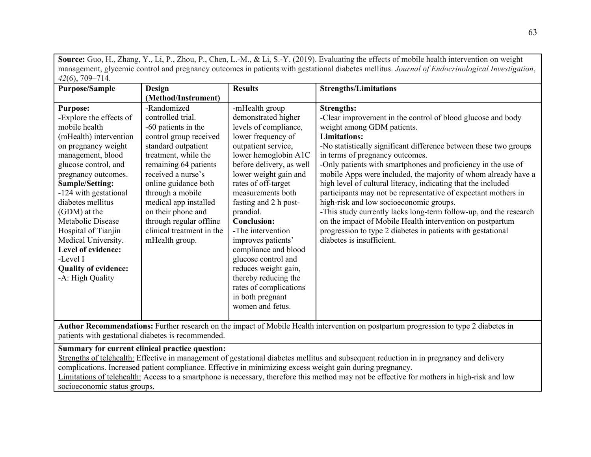**Source:** Guo, H., Zhang, Y., Li, P., Zhou, P., Chen, L.-M., & Li, S.-Y. (2019). Evaluating the effects of mobile health intervention on weight management, glycemic control and pregnancy outcomes in patients with gestational diabetes mellitus. *Journal of Endocrinological Investigation*, *42*(6), 709–714.

| <b>Purpose/Sample</b>                                                                                                                                                                                                                                                                                                                                                  | Design                                                                                                                                                                                                                                                                                                                                               | <b>Results</b>                                                                                                                                                                                                                                                                                                                                                                             | <b>Strengths/Limitations</b>                                                                                                                                                                                                                                                                                                                                                                                                                                                                                                                                                                                                                                                                                                                                                                 |
|------------------------------------------------------------------------------------------------------------------------------------------------------------------------------------------------------------------------------------------------------------------------------------------------------------------------------------------------------------------------|------------------------------------------------------------------------------------------------------------------------------------------------------------------------------------------------------------------------------------------------------------------------------------------------------------------------------------------------------|--------------------------------------------------------------------------------------------------------------------------------------------------------------------------------------------------------------------------------------------------------------------------------------------------------------------------------------------------------------------------------------------|----------------------------------------------------------------------------------------------------------------------------------------------------------------------------------------------------------------------------------------------------------------------------------------------------------------------------------------------------------------------------------------------------------------------------------------------------------------------------------------------------------------------------------------------------------------------------------------------------------------------------------------------------------------------------------------------------------------------------------------------------------------------------------------------|
|                                                                                                                                                                                                                                                                                                                                                                        | (Method/Instrument)                                                                                                                                                                                                                                                                                                                                  |                                                                                                                                                                                                                                                                                                                                                                                            |                                                                                                                                                                                                                                                                                                                                                                                                                                                                                                                                                                                                                                                                                                                                                                                              |
| <b>Purpose:</b><br>-Explore the effects of<br>mobile health<br>(mHealth) intervention<br>on pregnancy weight<br>management, blood<br>glucose control, and<br>pregnancy outcomes.<br>Sample/Setting:<br>-124 with gestational<br>diabetes mellitus<br>(GDM) at the<br>Metabolic Disease<br>Hospital of Tianjin<br>Medical University.<br>Level of evidence:<br>-Level I | -Randomized<br>controlled trial.<br>-60 patients in the<br>control group received<br>standard outpatient<br>treatment, while the<br>remaining 64 patients<br>received a nurse's<br>online guidance both<br>through a mobile<br>medical app installed<br>on their phone and<br>through regular offline<br>clinical treatment in the<br>mHealth group. | -mHealth group<br>demonstrated higher<br>levels of compliance,<br>lower frequency of<br>outpatient service,<br>lower hemoglobin A1C<br>before delivery, as well<br>lower weight gain and<br>rates of off-target<br>measurements both<br>fasting and 2 h post-<br>prandial.<br><b>Conclusion:</b><br>-The intervention<br>improves patients'<br>compliance and blood<br>glucose control and | <b>Strengths:</b><br>-Clear improvement in the control of blood glucose and body<br>weight among GDM patients.<br><b>Limitations:</b><br>-No statistically significant difference between these two groups<br>in terms of pregnancy outcomes.<br>-Only patients with smartphones and proficiency in the use of<br>mobile Apps were included, the majority of whom already have a<br>high level of cultural literacy, indicating that the included<br>participants may not be representative of expectant mothers in<br>high-risk and low socioeconomic groups.<br>-This study currently lacks long-term follow-up, and the research<br>on the impact of Mobile Health intervention on postpartum<br>progression to type 2 diabetes in patients with gestational<br>diabetes is insufficient. |
| <b>Quality of evidence:</b><br>-A: High Quality                                                                                                                                                                                                                                                                                                                        |                                                                                                                                                                                                                                                                                                                                                      | reduces weight gain,<br>thereby reducing the<br>rates of complications<br>in both pregnant<br>women and fetus.                                                                                                                                                                                                                                                                             |                                                                                                                                                                                                                                                                                                                                                                                                                                                                                                                                                                                                                                                                                                                                                                                              |
|                                                                                                                                                                                                                                                                                                                                                                        |                                                                                                                                                                                                                                                                                                                                                      |                                                                                                                                                                                                                                                                                                                                                                                            |                                                                                                                                                                                                                                                                                                                                                                                                                                                                                                                                                                                                                                                                                                                                                                                              |

**Author Recommendations:** Further research on the impact of Mobile Health intervention on postpartum progression to type 2 diabetes in patients with gestational diabetes is recommended.

# **Summary for current clinical practice question:**

Strengths of telehealth: Effective in management of gestational diabetes mellitus and subsequent reduction in in pregnancy and delivery complications. Increased patient compliance. Effective in minimizing excess weight gain during pregnancy. Limitations of telehealth: Access to a smartphone is necessary, therefore this method may not be effective for mothers in high-risk and low

socioeconomic status groups.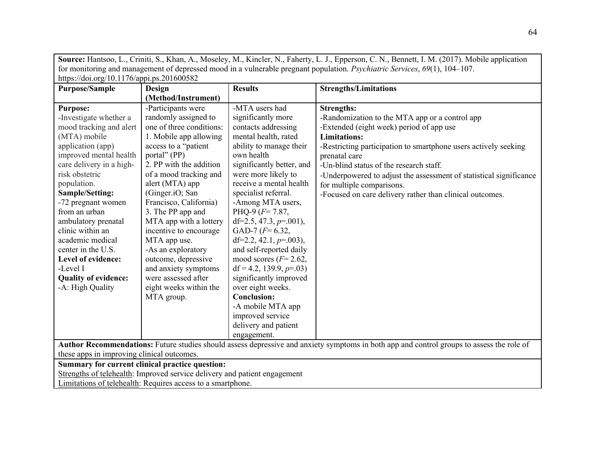| Source: Hantsoo, L., Criniti, S., Khan, A., Moseley, M., Kincler, N., Faherty, L. J., Epperson, C. N., Bennett, I. M. (2017). Mobile application |                                                                                                                                           |                            |                                                                    |  |  |
|--------------------------------------------------------------------------------------------------------------------------------------------------|-------------------------------------------------------------------------------------------------------------------------------------------|----------------------------|--------------------------------------------------------------------|--|--|
| for monitoring and management of depressed mood in a vulnerable pregnant population. <i>Psychiatric Services</i> , 69(1), 104–107.               |                                                                                                                                           |                            |                                                                    |  |  |
| https://doi.org/10.1176/appi.ps.201600582                                                                                                        |                                                                                                                                           |                            |                                                                    |  |  |
| <b>Purpose/Sample</b>                                                                                                                            | Design                                                                                                                                    | <b>Results</b>             | <b>Strengths/Limitations</b>                                       |  |  |
|                                                                                                                                                  | (Method/Instrument)                                                                                                                       |                            |                                                                    |  |  |
| <b>Purpose:</b>                                                                                                                                  | -Participants were                                                                                                                        | -MTA users had             | <b>Strengths:</b>                                                  |  |  |
| -Investigate whether a                                                                                                                           | randomly assigned to                                                                                                                      | significantly more         | -Randomization to the MTA app or a control app                     |  |  |
| mood tracking and alert                                                                                                                          | one of three conditions:                                                                                                                  | contacts addressing        | -Extended (eight week) period of app use                           |  |  |
| (MTA) mobile                                                                                                                                     | 1. Mobile app allowing                                                                                                                    | mental health, rated       | <b>Limitations:</b>                                                |  |  |
| application (app)                                                                                                                                | access to a "patient                                                                                                                      | ability to manage their    | -Restricting participation to smartphone users actively seeking    |  |  |
| improved mental health                                                                                                                           | portal" (PP)                                                                                                                              | own health                 | prenatal care                                                      |  |  |
| care delivery in a high-                                                                                                                         | 2. PP with the addition                                                                                                                   | significantly better, and  | -Un-blind status of the research staff.                            |  |  |
| risk obstetric                                                                                                                                   | of a mood tracking and                                                                                                                    | were more likely to        | -Underpowered to adjust the assessment of statistical significance |  |  |
| population.                                                                                                                                      | alert (MTA) app                                                                                                                           | receive a mental health    | for multiple comparisons.                                          |  |  |
| Sample/Setting:                                                                                                                                  | (Ginger.iO; San                                                                                                                           | specialist referral.       | -Focused on care delivery rather than clinical outcomes.           |  |  |
| -72 pregnant women                                                                                                                               | Francisco, California)                                                                                                                    | -Among MTA users,          |                                                                    |  |  |
| from an urban                                                                                                                                    | 3. The PP app and                                                                                                                         | PHQ-9 $(F = 7.87,$         |                                                                    |  |  |
| ambulatory prenatal                                                                                                                              | MTA app with a lottery                                                                                                                    | df=2.5, 47.3, $p=0.001$ ), |                                                                    |  |  |
| clinic within an                                                                                                                                 | incentive to encourage                                                                                                                    | GAD-7 $(F=6.32,$           |                                                                    |  |  |
| academic medical                                                                                                                                 | MTA app use.                                                                                                                              | df=2.2, 42.1, $p=0.003$ ), |                                                                    |  |  |
| center in the U.S.                                                                                                                               | -As an exploratory                                                                                                                        | and self-reported daily    |                                                                    |  |  |
| Level of evidence:                                                                                                                               | outcome, depressive                                                                                                                       | mood scores ( $F=2.62$ ,   |                                                                    |  |  |
| -Level I                                                                                                                                         | and anxiety symptoms                                                                                                                      | $df = 4.2, 139.9, p = .03$ |                                                                    |  |  |
| <b>Quality of evidence:</b>                                                                                                                      | were assessed after                                                                                                                       | significantly improved     |                                                                    |  |  |
| -A: High Quality                                                                                                                                 | eight weeks within the                                                                                                                    | over eight weeks.          |                                                                    |  |  |
|                                                                                                                                                  | MTA group.                                                                                                                                | <b>Conclusion:</b>         |                                                                    |  |  |
|                                                                                                                                                  |                                                                                                                                           | -A mobile MTA app          |                                                                    |  |  |
|                                                                                                                                                  |                                                                                                                                           | improved service           |                                                                    |  |  |
|                                                                                                                                                  |                                                                                                                                           | delivery and patient       |                                                                    |  |  |
|                                                                                                                                                  | engagement.                                                                                                                               |                            |                                                                    |  |  |
|                                                                                                                                                  | Author Recommendations: Future studies should assess depressive and anxiety symptoms in both app and control groups to assess the role of |                            |                                                                    |  |  |
| these apps in improving clinical outcomes.                                                                                                       |                                                                                                                                           |                            |                                                                    |  |  |
|                                                                                                                                                  | Summary for current clinical practice question:                                                                                           |                            |                                                                    |  |  |
|                                                                                                                                                  | Strengths of telehealth: Improved service delivery and patient engagement                                                                 |                            |                                                                    |  |  |
| Limitations of telehealth: Requires access to a smartphone.                                                                                      |                                                                                                                                           |                            |                                                                    |  |  |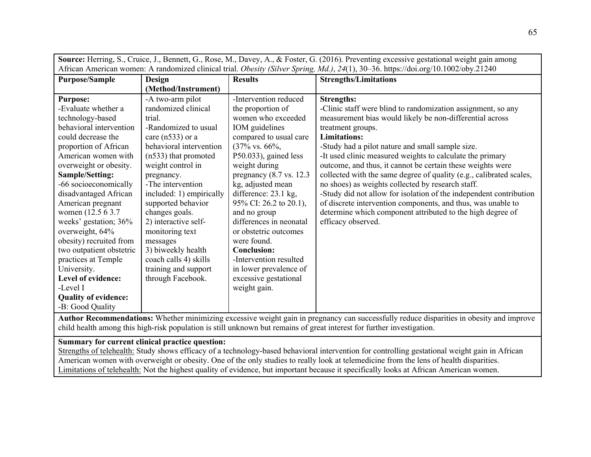| Source: Herring, S., Cruice, J., Bennett, G., Rose, M., Davey, A., & Foster, G. (2016). Preventing excessive gestational weight gain among |                          |                                     |                                                                     |
|--------------------------------------------------------------------------------------------------------------------------------------------|--------------------------|-------------------------------------|---------------------------------------------------------------------|
| African American women: A randomized clinical trial. Obesity (Silver Spring, Md.), 24(1), 30-36. https://doi.org/10.1002/oby.21240         |                          |                                     |                                                                     |
| <b>Purpose/Sample</b>                                                                                                                      | <b>Design</b>            | <b>Results</b>                      | <b>Strengths/Limitations</b>                                        |
|                                                                                                                                            | (Method/Instrument)      |                                     |                                                                     |
| <b>Purpose:</b>                                                                                                                            | -A two-arm pilot         | -Intervention reduced               | <b>Strengths:</b>                                                   |
| -Evaluate whether a                                                                                                                        | randomized clinical      | the proportion of                   | -Clinic staff were blind to randomization assignment, so any        |
| technology-based                                                                                                                           | trial.                   | women who exceeded                  | measurement bias would likely be non-differential across            |
| behavioral intervention                                                                                                                    | -Randomized to usual     | IOM guidelines                      | treatment groups.                                                   |
| could decrease the                                                                                                                         | care $(n533)$ or a       | compared to usual care              | <b>Limitations:</b>                                                 |
| proportion of African                                                                                                                      | behavioral intervention  | $(37\% \text{ vs. } 66\%,$          | -Study had a pilot nature and small sample size.                    |
| American women with                                                                                                                        | $(n533)$ that promoted   | P50.033), gained less               | -It used clinic measured weights to calculate the primary           |
| overweight or obesity.                                                                                                                     | weight control in        | weight during                       | outcome, and thus, it cannot be certain these weights were          |
| Sample/Setting:                                                                                                                            | pregnancy.               | pregnancy $(8.7 \text{ vs. } 12.3)$ | collected with the same degree of quality (e.g., calibrated scales, |
| -66 socioeconomically                                                                                                                      | -The intervention        | kg, adjusted mean                   | no shoes) as weights collected by research staff.                   |
| disadvantaged African                                                                                                                      | included: 1) empirically | difference: 23.1 kg,                | -Study did not allow for isolation of the independent contribution  |
| American pregnant                                                                                                                          | supported behavior       | 95% CI: 26.2 to 20.1),              | of discrete intervention components, and thus, was unable to        |
| women (12.5 6 3.7)                                                                                                                         | changes goals.           | and no group                        | determine which component attributed to the high degree of          |
| weeks' gestation; 36%                                                                                                                      | 2) interactive self-     | differences in neonatal             | efficacy observed.                                                  |
| overweight, 64%                                                                                                                            | monitoring text          | or obstetric outcomes               |                                                                     |
| obesity) recruited from                                                                                                                    | messages                 | were found.                         |                                                                     |
| two outpatient obstetric                                                                                                                   | 3) biweekly health       | <b>Conclusion:</b>                  |                                                                     |
| practices at Temple                                                                                                                        | coach calls 4) skills    | -Intervention resulted              |                                                                     |
| University.                                                                                                                                | training and support     | in lower prevalence of              |                                                                     |
| Level of evidence:                                                                                                                         | through Facebook.        | excessive gestational               |                                                                     |
| -Level I                                                                                                                                   |                          | weight gain.                        |                                                                     |
| <b>Quality of evidence:</b>                                                                                                                |                          |                                     |                                                                     |
| -B: Good Quality                                                                                                                           |                          |                                     |                                                                     |

**Author Recommendations:** Whether minimizing excessive weight gain in pregnancy can successfully reduce disparities in obesity and improve child health among this high-risk population is still unknown but remains of great interest for further investigation.

# **Summary for current clinical practice question:**

Strengths of telehealth: Study shows efficacy of a technology-based behavioral intervention for controlling gestational weight gain in African American women with overweight or obesity. One of the only studies to really look at telemedicine from the lens of health disparities. Limitations of telehealth: Not the highest quality of evidence, but important because it specifically looks at African American women.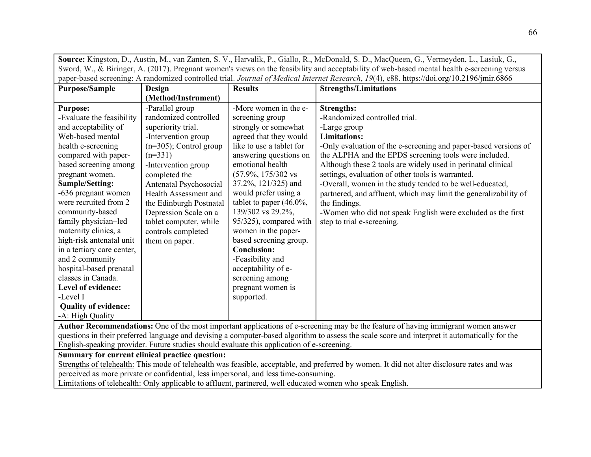| Source: Kingston, D., Austin, M., van Zanten, S. V., Harvalik, P., Giallo, R., McDonald, S. D., MacQueen, G., Vermeyden, L., Lasiuk, G.,    |                           |                                |                                                                  |
|---------------------------------------------------------------------------------------------------------------------------------------------|---------------------------|--------------------------------|------------------------------------------------------------------|
| Sword, W., & Biringer, A. (2017). Pregnant women's views on the feasibility and acceptability of web-based mental health e-screening versus |                           |                                |                                                                  |
| paper-based screening: A randomized controlled trial. Journal of Medical Internet Research, 19(4), e88. https://doi.org/10.2196/jmir.6866   |                           |                                |                                                                  |
| <b>Purpose/Sample</b>                                                                                                                       | Design                    | <b>Results</b>                 | <b>Strengths/Limitations</b>                                     |
|                                                                                                                                             | (Method/Instrument)       |                                |                                                                  |
| <b>Purpose:</b>                                                                                                                             | -Parallel group           | -More women in the e-          | <b>Strengths:</b>                                                |
| -Evaluate the feasibility                                                                                                                   | randomized controlled     | screening group                | -Randomized controlled trial.                                    |
| and acceptability of                                                                                                                        | superiority trial.        | strongly or somewhat           | -Large group                                                     |
| Web-based mental                                                                                                                            | -Intervention group       | agreed that they would         | <b>Limitations:</b>                                              |
| health e-screening                                                                                                                          | $(n=305)$ ; Control group | like to use a tablet for       | -Only evaluation of the e-screening and paper-based versions of  |
| compared with paper-                                                                                                                        | $(n=331)$                 | answering questions on         | the ALPHA and the EPDS screening tools were included.            |
| based screening among                                                                                                                       | -Intervention group       | emotional health               | Although these 2 tools are widely used in perinatal clinical     |
| pregnant women.                                                                                                                             | completed the             | $(57.9\%, 175/302 \text{ vs }$ | settings, evaluation of other tools is warranted.                |
| Sample/Setting:                                                                                                                             | Antenatal Psychosocial    | 37.2%, 121/325) and            | -Overall, women in the study tended to be well-educated,         |
| -636 pregnant women                                                                                                                         | Health Assessment and     | would prefer using a           | partnered, and affluent, which may limit the generalizability of |
| were recruited from 2                                                                                                                       | the Edinburgh Postnatal   | tablet to paper $(46.0\%,$     | the findings.                                                    |
| community-based                                                                                                                             | Depression Scale on a     | 139/302 vs 29.2%,              | -Women who did not speak English were excluded as the first      |
| family physician-led                                                                                                                        | tablet computer, while    | 95/325), compared with         | step to trial e-screening.                                       |
| maternity clinics, a                                                                                                                        | controls completed        | women in the paper-            |                                                                  |
| high-risk antenatal unit                                                                                                                    | them on paper.            | based screening group.         |                                                                  |
| in a tertiary care center,                                                                                                                  |                           | <b>Conclusion:</b>             |                                                                  |
| and 2 community                                                                                                                             |                           | -Feasibility and               |                                                                  |
| hospital-based prenatal                                                                                                                     |                           | acceptability of e-            |                                                                  |
| classes in Canada.                                                                                                                          |                           | screening among                |                                                                  |
| Level of evidence:                                                                                                                          |                           | pregnant women is              |                                                                  |
| -Level I                                                                                                                                    |                           | supported.                     |                                                                  |
| <b>Quality of evidence:</b>                                                                                                                 |                           |                                |                                                                  |
| -A: High Quality                                                                                                                            |                           |                                |                                                                  |

**Author Recommendations:** One of the most important applications of e-screening may be the feature of having immigrant women answer questions in their preferred language and devising a computer-based algorithm to assess the scale score and interpret it automatically for the English-speaking provider. Future studies should evaluate this application of e-screening.

**Summary for current clinical practice question:** 

Strengths of telehealth: This mode of telehealth was feasible, acceptable, and preferred by women. It did not alter disclosure rates and was perceived as more private or confidential, less impersonal, and less time-consuming.

Limitations of telehealth: Only applicable to affluent, partnered, well educated women who speak English.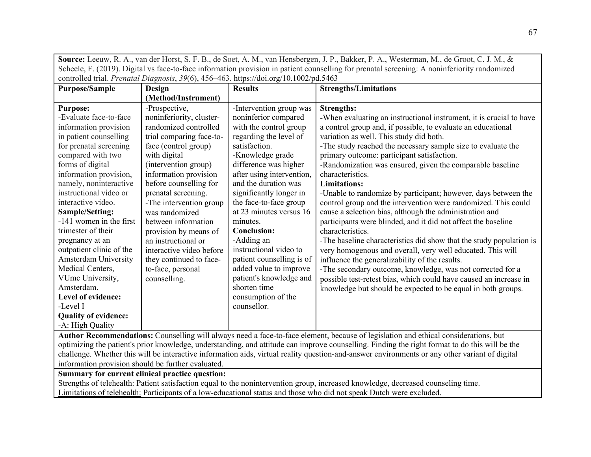**Source:** Leeuw, R. A., van der Horst, S. F. B., de Soet, A. M., van Hensbergen, J. P., Bakker, P. A., Westerman, M., de Groot, C. J. M., & Scheele, F. (2019). Digital vs face-to-face information provision in patient counselling for prenatal screening: A noninferiority randomized controlled trial. *Prenatal Diagnosis*, *39*(6), 456–463. https://doi.org/10.1002/pd.5463

| <b>Purpose/Sample</b>       | <b>Design</b>            | <b>Results</b>            | <b>Strengths/Limitations</b>                                                                                                        |
|-----------------------------|--------------------------|---------------------------|-------------------------------------------------------------------------------------------------------------------------------------|
|                             | (Method/Instrument)      |                           |                                                                                                                                     |
| <b>Purpose:</b>             | -Prospective,            | -Intervention group was   | <b>Strengths:</b>                                                                                                                   |
| -Evaluate face-to-face      | noninferiority, cluster- | noninferior compared      | -When evaluating an instructional instrument, it is crucial to have                                                                 |
| information provision       | randomized controlled    | with the control group    | a control group and, if possible, to evaluate an educational                                                                        |
| in patient counselling      | trial comparing face-to- | regarding the level of    | variation as well. This study did both.                                                                                             |
| for prenatal screening      | face (control group)     | satisfaction.             | -The study reached the necessary sample size to evaluate the                                                                        |
| compared with two           | with digital             | -Knowledge grade          | primary outcome: participant satisfaction.                                                                                          |
| forms of digital            | (intervention group)     | difference was higher     | -Randomization was ensured, given the comparable baseline                                                                           |
| information provision,      | information provision    | after using intervention, | characteristics.                                                                                                                    |
| namely, noninteractive      | before counselling for   | and the duration was      | <b>Limitations:</b>                                                                                                                 |
| instructional video or      | prenatal screening.      | significantly longer in   | -Unable to randomize by participant; however, days between the                                                                      |
| interactive video.          | -The intervention group  | the face-to-face group    | control group and the intervention were randomized. This could                                                                      |
| Sample/Setting:             | was randomized           | at 23 minutes versus 16   | cause a selection bias, although the administration and                                                                             |
| -141 women in the first     | between information      | minutes.                  | participants were blinded, and it did not affect the baseline                                                                       |
| trimester of their          | provision by means of    | <b>Conclusion:</b>        | characteristics.                                                                                                                    |
| pregnancy at an             | an instructional or      | -Adding an                | -The baseline characteristics did show that the study population is                                                                 |
| outpatient clinic of the    | interactive video before | instructional video to    | very homogenous and overall, very well educated. This will                                                                          |
| Amsterdam University        | they continued to face-  | patient counselling is of | influence the generalizability of the results.                                                                                      |
| Medical Centers,            | to-face, personal        | added value to improve    | -The secondary outcome, knowledge, was not corrected for a                                                                          |
| VUmc University,            | counselling.             | patient's knowledge and   | possible test-retest bias, which could have caused an increase in                                                                   |
| Amsterdam.                  |                          | shorten time              | knowledge but should be expected to be equal in both groups.                                                                        |
| Level of evidence:          |                          | consumption of the        |                                                                                                                                     |
| -Level I                    |                          | counsellor.               |                                                                                                                                     |
| <b>Quality of evidence:</b> |                          |                           |                                                                                                                                     |
| -A: High Quality            |                          |                           |                                                                                                                                     |
|                             |                          |                           | Author Decommondational Councilling will obverse need a face to face algument because of logiclation and othical considerations but |

**Author Recommendations:** Counselling will always need a face-to-face element, because of legislation and ethical considerations, but optimizing the patient's prior knowledge, understanding, and attitude can improve counselling. Finding the right format to do this will be the challenge. Whether this will be interactive information aids, virtual reality question‐and‐answer environments or any other variant of digital information provision should be further evaluated.

**Summary for current clinical practice question:** 

Strengths of telehealth: Patient satisfaction equal to the nonintervention group, increased knowledge, decreased counseling time. Limitations of telehealth: Participants of a low-educational status and those who did not speak Dutch were excluded.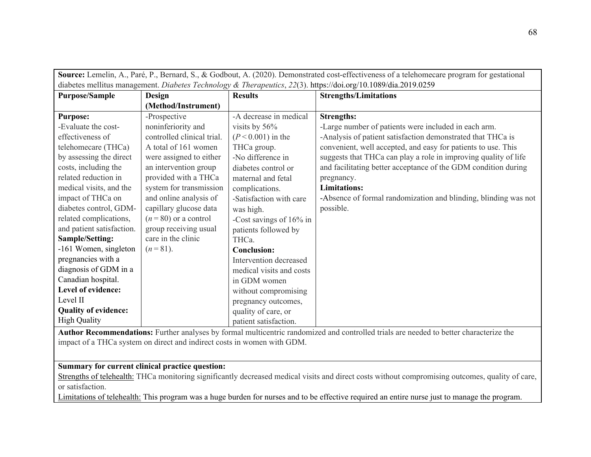| Source: Lemelin, A., Paré, P., Bernard, S., & Godbout, A. (2020). Demonstrated cost-effectiveness of a telehomecare program for gestational |                            |                          |                                                                 |
|---------------------------------------------------------------------------------------------------------------------------------------------|----------------------------|--------------------------|-----------------------------------------------------------------|
| diabetes mellitus management. Diabetes Technology & Therapeutics, 22(3). https://doi.org/10.1089/dia.2019.0259                              |                            |                          |                                                                 |
| <b>Purpose/Sample</b>                                                                                                                       | Design                     | <b>Results</b>           | <b>Strengths/Limitations</b>                                    |
|                                                                                                                                             | (Method/Instrument)        |                          |                                                                 |
| <b>Purpose:</b>                                                                                                                             | -Prospective               | -A decrease in medical   | <b>Strengths:</b>                                               |
| -Evaluate the cost-                                                                                                                         | noninferiority and         | visits by $56\%$         | -Large number of patients were included in each arm.            |
| effectiveness of                                                                                                                            | controlled clinical trial. | $(P < 0.001)$ in the     | -Analysis of patient satisfaction demonstrated that THCa is     |
| telehomecare (THCa)                                                                                                                         | A total of 161 women       | THCa group.              | convenient, well accepted, and easy for patients to use. This   |
| by assessing the direct                                                                                                                     | were assigned to either    | -No difference in        | suggests that THCa can play a role in improving quality of life |
| costs, including the                                                                                                                        | an intervention group      | diabetes control or      | and facilitating better acceptance of the GDM condition during  |
| related reduction in                                                                                                                        | provided with a THCa       | maternal and fetal       | pregnancy.                                                      |
| medical visits, and the                                                                                                                     | system for transmission    | complications.           | <b>Limitations:</b>                                             |
| impact of THCa on                                                                                                                           | and online analysis of     | -Satisfaction with care  | -Absence of formal randomization and blinding, blinding was not |
| diabetes control, GDM-                                                                                                                      | capillary glucose data     | was high.                | possible.                                                       |
| related complications,                                                                                                                      | $(n=80)$ or a control      | -Cost savings of 16% in  |                                                                 |
| and patient satisfaction.                                                                                                                   | group receiving usual      | patients followed by     |                                                                 |
| Sample/Setting:                                                                                                                             | care in the clinic         | THCa.                    |                                                                 |
| -161 Women, singleton                                                                                                                       | $(n=81)$ .                 | <b>Conclusion:</b>       |                                                                 |
| pregnancies with a                                                                                                                          |                            | Intervention decreased   |                                                                 |
| diagnosis of GDM in a                                                                                                                       |                            | medical visits and costs |                                                                 |
| Canadian hospital.                                                                                                                          |                            | in GDM women             |                                                                 |
| Level of evidence:                                                                                                                          |                            | without compromising     |                                                                 |
| Level II                                                                                                                                    |                            | pregnancy outcomes,      |                                                                 |
| <b>Quality of evidence:</b>                                                                                                                 |                            | quality of care, or      |                                                                 |
| <b>High Quality</b>                                                                                                                         |                            | patient satisfaction.    |                                                                 |

**Author Recommendations:** Further analyses by formal multicentric randomized and controlled trials are needed to better characterize the impact of a THCa system on direct and indirect costs in women with GDM.

# **Summary for current clinical practice question:**

Strengths of telehealth: THCa monitoring significantly decreased medical visits and direct costs without compromising outcomes, quality of care, or satisfaction.

Limitations of telehealth: This program was a huge burden for nurses and to be effective required an entire nurse just to manage the program.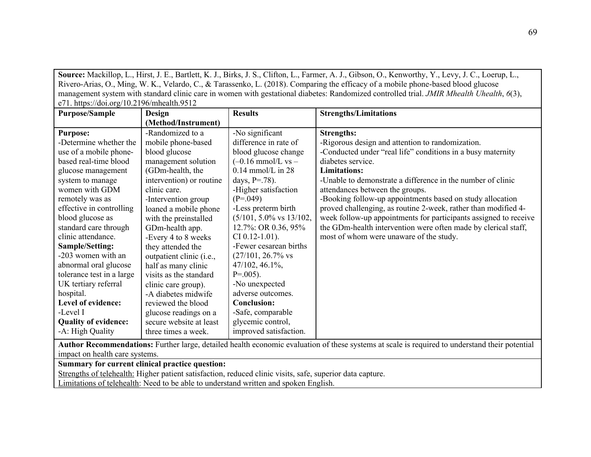**Source:** Mackillop, L., Hirst, J. E., Bartlett, K. J., Birks, J. S., Clifton, L., Farmer, A. J., Gibson, O., Kenworthy, Y., Levy, J. C., Loerup, L., Rivero-Arias, O., Ming, W. K., Velardo, C., & Tarassenko, L. (2018). Comparing the efficacy of a mobile phone-based blood glucose management system with standard clinic care in women with gestational diabetes: Randomized controlled trial. *JMIR Mhealth Uhealth*, *6*(3),  $\left| \right.$  e71. https://doi.org/10.2196/mhealth.9512

| <b>Purpose/Sample</b>                                                                                                                                                            | Design                   | <b>Results</b>                      | <b>Strengths/Limitations</b>                                     |
|----------------------------------------------------------------------------------------------------------------------------------------------------------------------------------|--------------------------|-------------------------------------|------------------------------------------------------------------|
|                                                                                                                                                                                  | (Method/Instrument)      |                                     |                                                                  |
| <b>Purpose:</b>                                                                                                                                                                  | -Randomized to a         | -No significant                     | <b>Strengths:</b>                                                |
| -Determine whether the                                                                                                                                                           | mobile phone-based       | difference in rate of               | -Rigorous design and attention to randomization.                 |
| use of a mobile phone-                                                                                                                                                           | blood glucose            | blood glucose change                | -Conducted under "real life" conditions in a busy maternity      |
| based real-time blood                                                                                                                                                            | management solution      | $(-0.16$ mmol/L vs –                | diabetes service.                                                |
| glucose management                                                                                                                                                               | (GDm-health, the         | $0.14$ mmol/L in 28                 | <b>Limitations:</b>                                              |
| system to manage                                                                                                                                                                 | intervention) or routine | days, $P = .78$ ).                  | -Unable to demonstrate a difference in the number of clinic      |
| women with GDM                                                                                                                                                                   | clinic care.             | -Higher satisfaction                | attendances between the groups.                                  |
| remotely was as                                                                                                                                                                  | -Intervention group      | $(P=.049)$                          | -Booking follow-up appointments based on study allocation        |
| effective in controlling                                                                                                                                                         | loaned a mobile phone    | -Less preterm birth                 | proved challenging, as routine 2-week, rather than modified 4-   |
| blood glucose as                                                                                                                                                                 | with the preinstalled    | $(5/101, 5.0\% \text{ vs } 13/102,$ | week follow-up appointments for participants assigned to receive |
| standard care through                                                                                                                                                            | GDm-health app.          | 12.7%: OR 0.36, 95%                 | the GDm-health intervention were often made by clerical staff,   |
| clinic attendance.                                                                                                                                                               | -Every 4 to 8 weeks      | $CI$ 0.12-1.01).                    | most of whom were unaware of the study.                          |
| Sample/Setting:                                                                                                                                                                  | they attended the        | -Fewer cesarean births              |                                                                  |
| -203 women with an                                                                                                                                                               | outpatient clinic (i.e., | $(27/101, 26.7\%$ vs                |                                                                  |
| abnormal oral glucose                                                                                                                                                            | half as many clinic      | 47/102, 46.1%,                      |                                                                  |
| tolerance test in a large                                                                                                                                                        | visits as the standard   | $P=.005$ ).                         |                                                                  |
| UK tertiary referral                                                                                                                                                             | clinic care group).      | -No unexpected                      |                                                                  |
| hospital.                                                                                                                                                                        | -A diabetes midwife      | adverse outcomes.                   |                                                                  |
| Level of evidence:                                                                                                                                                               | reviewed the blood       | <b>Conclusion:</b>                  |                                                                  |
| -Level I                                                                                                                                                                         | glucose readings on a    | -Safe, comparable                   |                                                                  |
| <b>Quality of evidence:</b>                                                                                                                                                      | secure website at least  | glycemic control,                   |                                                                  |
| -A: High Quality                                                                                                                                                                 | three times a week.      | improved satisfaction.              |                                                                  |
| Author Recommendations: Further large, detailed health economic evaluation of these systems at scale is required to understand their potential<br>impact on health care systems. |                          |                                     |                                                                  |

**Summary for current clinical practice question:** 

Strengths of telehealth: Higher patient satisfaction, reduced clinic visits, safe, superior data capture.

Limitations of telehealth: Need to be able to understand written and spoken English.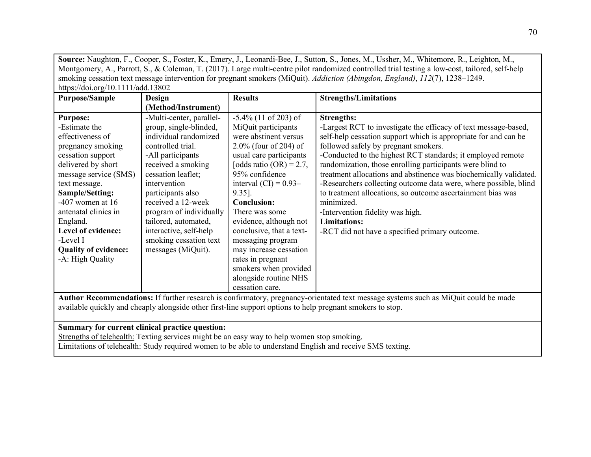**Source:** Naughton, F., Cooper, S., Foster, K., Emery, J., Leonardi‐Bee, J., Sutton, S., Jones, M., Ussher, M., Whitemore, R., Leighton, M., Montgomery, A., Parrott, S., & Coleman, T. (2017). Large multi-centre pilot randomized controlled trial testing a low-cost, tailored, self-help smoking cessation text message intervention for pregnant smokers (MiQuit). *Addiction (Abingdon, England)*, *112*(7), 1238–1249. https://doi.org/10.1111/add.13802

| <b>Purpose/Sample</b>       | Design                   | <b>Results</b>             | <b>Strengths/Limitations</b>                                      |
|-----------------------------|--------------------------|----------------------------|-------------------------------------------------------------------|
|                             | (Method/Instrument)      |                            |                                                                   |
| <b>Purpose:</b>             | -Multi-center, parallel- | $-5.4\%$ (11 of 203) of    | <b>Strengths:</b>                                                 |
| -Estimate the               | group, single-blinded,   | MiQuit participants        | -Largest RCT to investigate the efficacy of text message-based,   |
| effectiveness of            | individual randomized    | were abstinent versus      | self-help cessation support which is appropriate for and can be   |
| pregnancy smoking           | controlled trial.        | $2.0\%$ (four of 204) of   | followed safely by pregnant smokers.                              |
| cessation support           | -All participants        | usual care participants    | -Conducted to the highest RCT standards; it employed remote       |
| delivered by short          | received a smoking       | [odds ratio $(OR) = 2.7$ , | randomization, those enrolling participants were blind to         |
| message service (SMS)       | cessation leaflet;       | 95% confidence             | treatment allocations and abstinence was biochemically validated. |
| text message.               | intervention             | interval $(CI) = 0.93-$    | -Researchers collecting outcome data were, where possible, blind  |
| Sample/Setting:             | participants also        | $9.35$ ].                  | to treatment allocations, so outcome ascertainment bias was       |
| $-407$ women at 16          | received a 12-week       | <b>Conclusion:</b>         | minimized.                                                        |
| antenatal clinics in        | program of individually  | There was some             | -Intervention fidelity was high.                                  |
| England.                    | tailored, automated,     | evidence, although not     | <b>Limitations:</b>                                               |
| Level of evidence:          | interactive, self-help   | conclusive, that a text-   | -RCT did not have a specified primary outcome.                    |
| -Level I                    | smoking cessation text   | messaging program          |                                                                   |
| <b>Quality of evidence:</b> | messages (MiQuit).       | may increase cessation     |                                                                   |
| -A: High Quality            |                          | rates in pregnant          |                                                                   |
|                             |                          | smokers when provided      |                                                                   |
|                             |                          | alongside routine NHS      |                                                                   |
|                             |                          | cessation care.            |                                                                   |

**Author Recommendations:** If further research is confirmatory, pregnancy-orientated text message systems such as MiQuit could be made available quickly and cheaply alongside other first-line support options to help pregnant smokers to stop.

# **Summary for current clinical practice question:**

Strengths of telehealth: Texting services might be an easy way to help women stop smoking. Limitations of telehealth: Study required women to be able to understand English and receive SMS texting.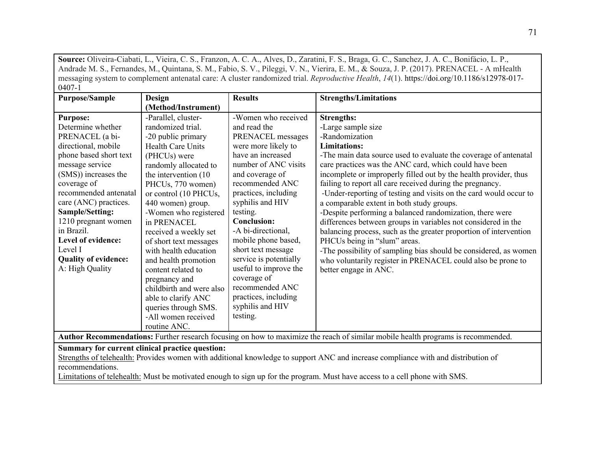**Source:** Oliveira-Ciabati, L., Vieira, C. S., Franzon, A. C. A., Alves, D., Zaratini, F. S., Braga, G. C., Sanchez, J. A. C., Bonifácio, L. P., Andrade M. S., Fernandes, M., Quintana, S. M., Fabio, S. V., Pileggi, V. N., Vierira, E. M., & Souza, J. P. (2017). PRENACEL - A mHealth messaging system to complement antenatal care: A cluster randomized trial. *Reproductive Health*, *14*(1). https://doi.org/10.1186/s12978-017-  $0407 - 1$ 

| <b>Purpose/Sample</b>                                                                                                             | Design                   | <b>Results</b>         | <b>Strengths/Limitations</b>                                      |
|-----------------------------------------------------------------------------------------------------------------------------------|--------------------------|------------------------|-------------------------------------------------------------------|
|                                                                                                                                   | (Method/Instrument)      |                        |                                                                   |
| <b>Purpose:</b>                                                                                                                   | -Parallel, cluster-      | -Women who received    | <b>Strengths:</b>                                                 |
| Determine whether                                                                                                                 | randomized trial.        | and read the           | -Large sample size                                                |
| PRENACEL (a bi-                                                                                                                   | -20 public primary       | PRENACEL messages      | -Randomization                                                    |
| directional, mobile                                                                                                               | <b>Health Care Units</b> | were more likely to    | <b>Limitations:</b>                                               |
| phone based short text                                                                                                            | (PHCUs) were             | have an increased      | -The main data source used to evaluate the coverage of antenatal  |
| message service                                                                                                                   | randomly allocated to    | number of ANC visits   | care practices was the ANC card, which could have been            |
| (SMS)) increases the                                                                                                              | the intervention (10)    | and coverage of        | incomplete or improperly filled out by the health provider, thus  |
| coverage of                                                                                                                       | PHCUs, 770 women)        | recommended ANC        | failing to report all care received during the pregnancy.         |
| recommended antenatal                                                                                                             | or control (10 PHCUs,    | practices, including   | -Under-reporting of testing and visits on the card would occur to |
| care (ANC) practices.                                                                                                             | 440 women) group.        | syphilis and HIV       | a comparable extent in both study groups.                         |
| Sample/Setting:                                                                                                                   | -Women who registered    | testing.               | -Despite performing a balanced randomization, there were          |
| 1210 pregnant women                                                                                                               | in PRENACEL              | <b>Conclusion:</b>     | differences between groups in variables not considered in the     |
| in Brazil.                                                                                                                        | received a weekly set    | -A bi-directional,     | balancing process, such as the greater proportion of intervention |
| Level of evidence:                                                                                                                | of short text messages   | mobile phone based,    | PHCUs being in "slum" areas.                                      |
| Level I                                                                                                                           | with health education    | short text message     | -The possibility of sampling bias should be considered, as women  |
| <b>Quality of evidence:</b>                                                                                                       | and health promotion     | service is potentially | who voluntarily register in PRENACEL could also be prone to       |
| A: High Quality                                                                                                                   | content related to       | useful to improve the  | better engage in ANC.                                             |
|                                                                                                                                   | pregnancy and            | coverage of            |                                                                   |
|                                                                                                                                   | childbirth and were also | recommended ANC        |                                                                   |
|                                                                                                                                   | able to clarify ANC      | practices, including   |                                                                   |
|                                                                                                                                   | queries through SMS.     | syphilis and HIV       |                                                                   |
|                                                                                                                                   | -All women received      | testing.               |                                                                   |
|                                                                                                                                   | routine ANC.             |                        |                                                                   |
| Author Recommendations: Further research focusing on how to maximize the reach of similar mobile health programs is recommended.  |                          |                        |                                                                   |
| Summary for current clinical practice question:                                                                                   |                          |                        |                                                                   |
| Strengths of telehealth: Provides women with additional knowledge to support ANC and increase compliance with and distribution of |                          |                        |                                                                   |
| recommendations.                                                                                                                  |                          |                        |                                                                   |

Limitations of telehealth: Must be motivated enough to sign up for the program. Must have access to a cell phone with SMS.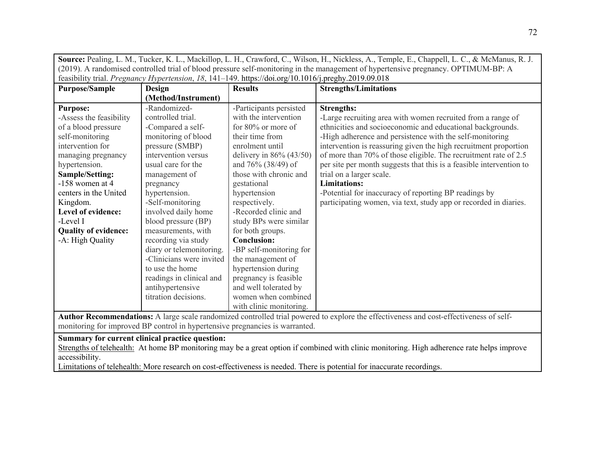| Source: Pealing, L. M., Tucker, K. L., Mackillop, L. H., Crawford, C., Wilson, H., Nickless, A., Temple, E., Chappell, L. C., & McManus, R. J. |                                                                                                      |                           |                                                                     |
|------------------------------------------------------------------------------------------------------------------------------------------------|------------------------------------------------------------------------------------------------------|---------------------------|---------------------------------------------------------------------|
| (2019). A randomised controlled trial of blood pressure self-monitoring in the management of hypertensive pregnancy. OPTIMUM-BP: A             |                                                                                                      |                           |                                                                     |
|                                                                                                                                                | feasibility trial. Pregnancy Hypertension, 18, 141-149. https://doi.org/10.1016/j.preghy.2019.09.018 |                           |                                                                     |
| <b>Purpose/Sample</b>                                                                                                                          | <b>Design</b>                                                                                        | <b>Results</b>            | <b>Strengths/Limitations</b>                                        |
|                                                                                                                                                | (Method/Instrument)                                                                                  |                           |                                                                     |
| <b>Purpose:</b>                                                                                                                                | -Randomized-                                                                                         | -Participants persisted   | <b>Strengths:</b>                                                   |
| -Assess the feasibility                                                                                                                        | controlled trial.                                                                                    | with the intervention     | -Large recruiting area with women recruited from a range of         |
| of a blood pressure                                                                                                                            | -Compared a self-                                                                                    | for 80% or more of        | ethnicities and socioeconomic and educational backgrounds.          |
| self-monitoring                                                                                                                                | monitoring of blood                                                                                  | their time from           | -High adherence and persistence with the self-monitoring            |
| intervention for                                                                                                                               | pressure (SMBP)                                                                                      | enrolment until           | intervention is reassuring given the high recruitment proportion    |
| managing pregnancy                                                                                                                             | intervention versus                                                                                  | delivery in $86% (43/50)$ | of more than 70% of those eligible. The recruitment rate of 2.5     |
| hypertension.                                                                                                                                  | usual care for the                                                                                   | and $76\%$ (38/49) of     | per site per month suggests that this is a feasible intervention to |
| Sample/Setting:                                                                                                                                | management of                                                                                        | those with chronic and    | trial on a larger scale.                                            |
| $-158$ women at 4                                                                                                                              | pregnancy                                                                                            | gestational               | <b>Limitations:</b>                                                 |
| centers in the United                                                                                                                          | hypertension.                                                                                        | hypertension              | -Potential for inaccuracy of reporting BP readings by               |
| Kingdom.                                                                                                                                       | -Self-monitoring                                                                                     | respectively.             | participating women, via text, study app or recorded in diaries.    |
| Level of evidence:                                                                                                                             | involved daily home                                                                                  | -Recorded clinic and      |                                                                     |
| -Level I                                                                                                                                       | blood pressure (BP)                                                                                  | study BPs were similar    |                                                                     |
| <b>Quality of evidence:</b>                                                                                                                    | measurements, with                                                                                   | for both groups.          |                                                                     |
| -A: High Quality                                                                                                                               | recording via study                                                                                  | <b>Conclusion:</b>        |                                                                     |
|                                                                                                                                                | diary or telemonitoring.                                                                             | -BP self-monitoring for   |                                                                     |
|                                                                                                                                                | -Clinicians were invited                                                                             | the management of         |                                                                     |
|                                                                                                                                                | to use the home                                                                                      | hypertension during       |                                                                     |
|                                                                                                                                                | readings in clinical and                                                                             | pregnancy is feasible     |                                                                     |
|                                                                                                                                                | antihypertensive                                                                                     | and well tolerated by     |                                                                     |
|                                                                                                                                                | titration decisions.                                                                                 | women when combined       |                                                                     |
|                                                                                                                                                |                                                                                                      | with clinic monitoring.   |                                                                     |
| Author Recommendations: A large scale randomized controlled trial powered to explore the effectiveness and cost-effectiveness of self-         |                                                                                                      |                           |                                                                     |

monitoring for improved BP control in hypertensive pregnancies is warranted.

## **Summary for current clinical practice question:**

Strengths of telehealth: At home BP monitoring may be a great option if combined with clinic monitoring. High adherence rate helps improve accessibility.

Limitations of telehealth: More research on cost-effectiveness is needed. There is potential for inaccurate recordings.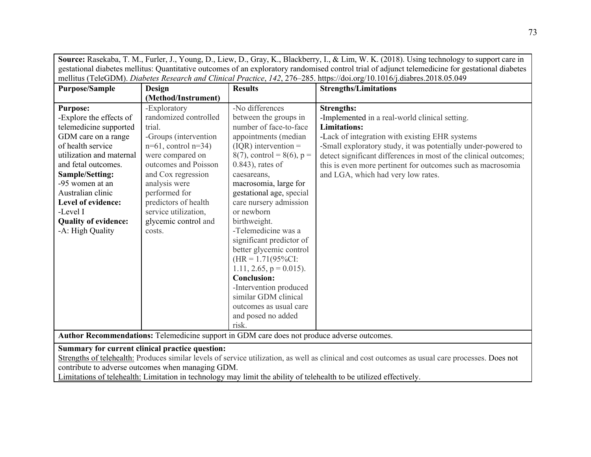| Source: Rasekaba, T. M., Furler, J., Young, D., Liew, D., Gray, K., Blackberry, I., & Lim, W. K. (2018). Using technology to support care in                                                                                                                                                                                                                                    |                                                                                                                                                                                                                                                                                             |                                                                                                                                                                                                                                                                                                                                                                                                                                                                                                                                                                               |                                                                                                                                                                                                                                                                                                                                                                                        |
|---------------------------------------------------------------------------------------------------------------------------------------------------------------------------------------------------------------------------------------------------------------------------------------------------------------------------------------------------------------------------------|---------------------------------------------------------------------------------------------------------------------------------------------------------------------------------------------------------------------------------------------------------------------------------------------|-------------------------------------------------------------------------------------------------------------------------------------------------------------------------------------------------------------------------------------------------------------------------------------------------------------------------------------------------------------------------------------------------------------------------------------------------------------------------------------------------------------------------------------------------------------------------------|----------------------------------------------------------------------------------------------------------------------------------------------------------------------------------------------------------------------------------------------------------------------------------------------------------------------------------------------------------------------------------------|
| gestational diabetes mellitus: Quantitative outcomes of an exploratory randomised control trial of adjunct telemedicine for gestational diabetes                                                                                                                                                                                                                                |                                                                                                                                                                                                                                                                                             |                                                                                                                                                                                                                                                                                                                                                                                                                                                                                                                                                                               |                                                                                                                                                                                                                                                                                                                                                                                        |
|                                                                                                                                                                                                                                                                                                                                                                                 |                                                                                                                                                                                                                                                                                             |                                                                                                                                                                                                                                                                                                                                                                                                                                                                                                                                                                               | mellitus (TeleGDM). Diabetes Research and Clinical Practice, 142, 276-285. https://doi.org/10.1016/j.diabres.2018.05.049                                                                                                                                                                                                                                                               |
| <b>Purpose/Sample</b>                                                                                                                                                                                                                                                                                                                                                           | <b>Design</b>                                                                                                                                                                                                                                                                               | <b>Results</b>                                                                                                                                                                                                                                                                                                                                                                                                                                                                                                                                                                | <b>Strengths/Limitations</b>                                                                                                                                                                                                                                                                                                                                                           |
|                                                                                                                                                                                                                                                                                                                                                                                 | (Method/Instrument)                                                                                                                                                                                                                                                                         |                                                                                                                                                                                                                                                                                                                                                                                                                                                                                                                                                                               |                                                                                                                                                                                                                                                                                                                                                                                        |
| <b>Purpose:</b><br>-Explore the effects of<br>telemedicine supported<br>GDM care on a range<br>of health service<br>utilization and maternal<br>and fetal outcomes.<br>Sample/Setting:<br>-95 women at an<br>Australian clinic<br>Level of evidence:<br>-Level I<br><b>Quality of evidence:</b><br>-A: High Quality                                                             | -Exploratory<br>randomized controlled<br>trial.<br>-Groups (intervention<br>$n=61$ , control $n=34$ )<br>were compared on<br>outcomes and Poisson<br>and Cox regression<br>analysis were<br>performed for<br>predictors of health<br>service utilization,<br>glycemic control and<br>costs. | -No differences<br>between the groups in<br>number of face-to-face<br>appointments (median<br>$(IQR)$ intervention =<br>$8(7)$ , control = 8(6), p =<br>$(0.843)$ , rates of<br>caesareans,<br>macrosomia, large for<br>gestational age, special<br>care nursery admission<br>or newborn<br>birthweight.<br>-Telemedicine was a<br>significant predictor of<br>better glycemic control<br>$(HR = 1.71(95\%CI:$<br>1.11, 2.65, $p = 0.015$ ).<br><b>Conclusion:</b><br>-Intervention produced<br>similar GDM clinical<br>outcomes as usual care<br>and posed no added<br>risk. | <b>Strengths:</b><br>-Implemented in a real-world clinical setting.<br><b>Limitations:</b><br>-Lack of integration with existing EHR systems<br>-Small exploratory study, it was potentially under-powered to<br>detect significant differences in most of the clinical outcomes;<br>this is even more pertinent for outcomes such as macrosomia<br>and LGA, which had very low rates. |
| Author Recommendations: Telemedicine support in GDM care does not produce adverse outcomes.                                                                                                                                                                                                                                                                                     |                                                                                                                                                                                                                                                                                             |                                                                                                                                                                                                                                                                                                                                                                                                                                                                                                                                                                               |                                                                                                                                                                                                                                                                                                                                                                                        |
| Summary for current clinical practice question:<br>Strengths of telehealth: Produces similar levels of service utilization, as well as clinical and cost outcomes as usual care processes. Does not<br>contribute to adverse outcomes when managing GDM.<br>Limitations of telehealth: Limitation in technology may limit the ability of telehealth to be utilized effectively. |                                                                                                                                                                                                                                                                                             |                                                                                                                                                                                                                                                                                                                                                                                                                                                                                                                                                                               |                                                                                                                                                                                                                                                                                                                                                                                        |

┑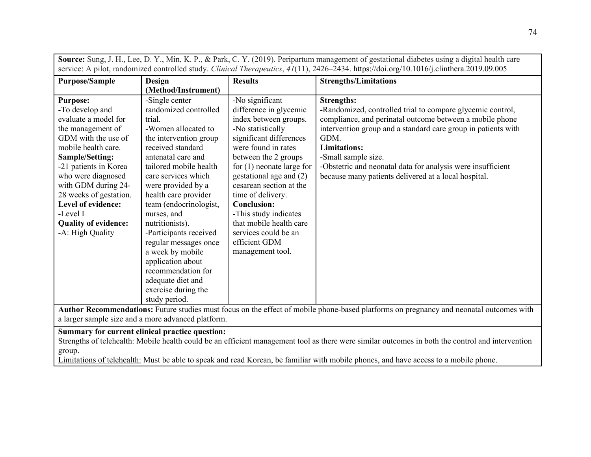| <b>Purpose/Sample</b>                                                                                                                                                                                                                                                                                                                 | <b>Design</b>                                                                                                                                                                                                                                                                                                                                                                                                                                                                           | <b>Results</b>                                                                                                                                                                                                                                                                                                                                                                                                     | <b>Strengths/Limitations</b>                                                                                                                                                                                                                                                                                                                                                              |
|---------------------------------------------------------------------------------------------------------------------------------------------------------------------------------------------------------------------------------------------------------------------------------------------------------------------------------------|-----------------------------------------------------------------------------------------------------------------------------------------------------------------------------------------------------------------------------------------------------------------------------------------------------------------------------------------------------------------------------------------------------------------------------------------------------------------------------------------|--------------------------------------------------------------------------------------------------------------------------------------------------------------------------------------------------------------------------------------------------------------------------------------------------------------------------------------------------------------------------------------------------------------------|-------------------------------------------------------------------------------------------------------------------------------------------------------------------------------------------------------------------------------------------------------------------------------------------------------------------------------------------------------------------------------------------|
|                                                                                                                                                                                                                                                                                                                                       | (Method/Instrument)                                                                                                                                                                                                                                                                                                                                                                                                                                                                     |                                                                                                                                                                                                                                                                                                                                                                                                                    |                                                                                                                                                                                                                                                                                                                                                                                           |
| <b>Purpose:</b><br>-To develop and<br>evaluate a model for<br>the management of<br>GDM with the use of<br>mobile health care.<br>Sample/Setting:<br>-21 patients in Korea<br>who were diagnosed<br>with GDM during 24-<br>28 weeks of gestation.<br>Level of evidence:<br>-Level I<br><b>Quality of evidence:</b><br>-A: High Quality | -Single center<br>randomized controlled<br>trial.<br>-Women allocated to<br>the intervention group<br>received standard<br>antenatal care and<br>tailored mobile health<br>care services which<br>were provided by a<br>health care provider<br>team (endocrinologist,<br>nurses, and<br>nutritionists).<br>-Participants received<br>regular messages once<br>a week by mobile<br>application about<br>recommendation for<br>adequate diet and<br>exercise during the<br>study period. | -No significant<br>difference in glycemic<br>index between groups.<br>-No statistically<br>significant differences<br>were found in rates<br>between the 2 groups<br>for $(1)$ neonate large for<br>gestational age and (2)<br>cesarean section at the<br>time of delivery.<br><b>Conclusion:</b><br>-This study indicates<br>that mobile health care<br>services could be an<br>efficient GDM<br>management tool. | <b>Strengths:</b><br>-Randomized, controlled trial to compare glycemic control,<br>compliance, and perinatal outcome between a mobile phone<br>intervention group and a standard care group in patients with<br>GDM.<br><b>Limitations:</b><br>-Small sample size.<br>-Obstetric and neonatal data for analysis were insufficient<br>because many patients delivered at a local hospital. |

**Source:** Sung, J. H., Lee, D. Y., Min, K. P., & Park, C. Y. (2019). Peripartum management of gestational diabetes using a digital health care

**Author Recommendations:** Future studies must focus on the effect of mobile phone-based platforms on pregnancy and neonatal outcomes with a larger sample size and a more advanced platform.

## **Summary for current clinical practice question:**

Strengths of telehealth: Mobile health could be an efficient management tool as there were similar outcomes in both the control and intervention group.

Limitations of telehealth: Must be able to speak and read Korean, be familiar with mobile phones, and have access to a mobile phone.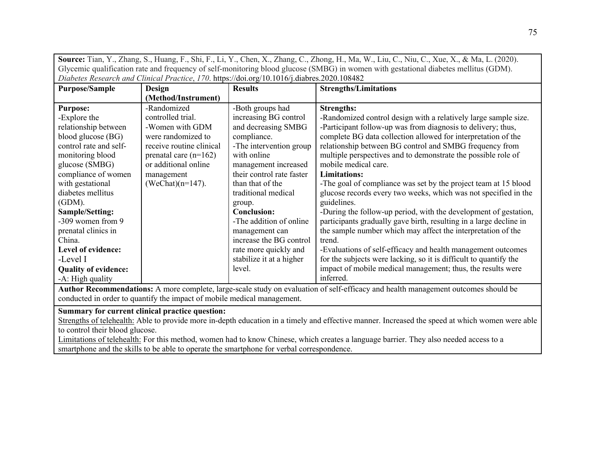| <b>Source:</b> Tian, Y., Zhang, S., Huang, F., Shi, F., Li, Y., Chen, X., Zhang, C., Zhong, H., Ma, W., Liu, C., Niu, C., Xue, X., & Ma, L. (2020). |  |  |
|-----------------------------------------------------------------------------------------------------------------------------------------------------|--|--|
| Glycemic qualification rate and frequency of self-monitoring blood glucose (SMBG) in women with gestational diabetes mellitus (GDM).                |  |  |
| Diabetes Research and Clinical Practice, 170. https://doi.org/10.1016/j.diabres.2020.108482                                                         |  |  |
|                                                                                                                                                     |  |  |

| <b>Purpose/Sample</b>       | <b>Design</b>            | <b>Results</b>            | <b>Strengths/Limitations</b>                                       |
|-----------------------------|--------------------------|---------------------------|--------------------------------------------------------------------|
|                             | (Method/Instrument)      |                           |                                                                    |
| <b>Purpose:</b>             | -Randomized              | -Both groups had          | <b>Strengths:</b>                                                  |
| -Explore the                | controlled trial.        | increasing BG control     | -Randomized control design with a relatively large sample size.    |
| relationship between        | -Women with GDM          | and decreasing SMBG       | -Participant follow-up was from diagnosis to delivery; thus,       |
| blood glucose (BG)          | were randomized to       | compliance.               | complete BG data collection allowed for interpretation of the      |
| control rate and self-      | receive routine clinical | -The intervention group   | relationship between BG control and SMBG frequency from            |
| monitoring blood            | prenatal care $(n=162)$  | with online               | multiple perspectives and to demonstrate the possible role of      |
| glucose (SMBG)              | or additional online     | management increased      | mobile medical care.                                               |
| compliance of women         | management               | their control rate faster | <b>Limitations:</b>                                                |
| with gestational            | $(WeChat)(n=147).$       | than that of the          | -The goal of compliance was set by the project team at 15 blood    |
| diabetes mellitus           |                          | traditional medical       | glucose records every two weeks, which was not specified in the    |
| (GDM).                      |                          | group.                    | guidelines.                                                        |
| Sample/Setting:             |                          | <b>Conclusion:</b>        | -During the follow-up period, with the development of gestation,   |
| -309 women from 9           |                          | -The addition of online   | participants gradually gave birth, resulting in a large decline in |
| prenatal clinics in         |                          | management can            | the sample number which may affect the interpretation of the       |
| China.                      |                          | increase the BG control   | trend.                                                             |
| Level of evidence:          |                          | rate more quickly and     | -Evaluations of self-efficacy and health management outcomes       |
| -Level I                    |                          | stabilize it at a higher  | for the subjects were lacking, so it is difficult to quantify the  |
| <b>Quality of evidence:</b> |                          | level.                    | impact of mobile medical management; thus, the results were        |
| -A: High quality            |                          |                           | inferred.                                                          |

**Author Recommendations:** A more complete, large-scale study on evaluation of self-efficacy and health management outcomes should be conducted in order to quantify the impact of mobile medical management.

**Summary for current clinical practice question:** 

Strengths of telehealth: Able to provide more in-depth education in a timely and effective manner. Increased the speed at which women were able to control their blood glucose.

Limitations of telehealth: For this method, women had to know Chinese, which creates a language barrier. They also needed access to a smartphone and the skills to be able to operate the smartphone for verbal correspondence.